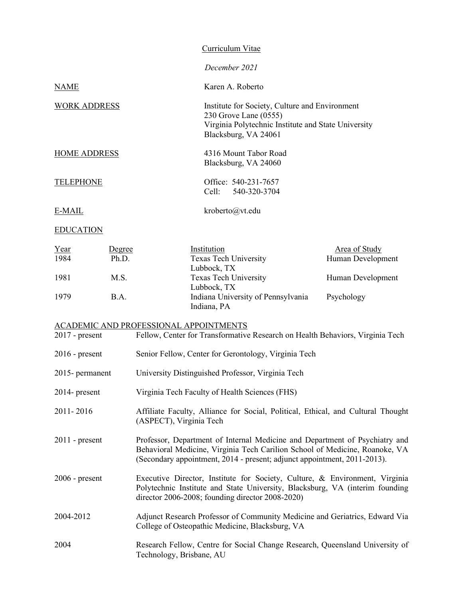|                     | Curriculum Vitae                                                                                                                                       |
|---------------------|--------------------------------------------------------------------------------------------------------------------------------------------------------|
|                     | December 2021                                                                                                                                          |
| <b>NAME</b>         | Karen A. Roberto                                                                                                                                       |
| <b>WORK ADDRESS</b> | Institute for Society, Culture and Environment<br>230 Grove Lane (0555)<br>Virginia Polytechnic Institute and State University<br>Blacksburg, VA 24061 |
| <b>HOME ADDRESS</b> | 4316 Mount Tabor Road<br>Blacksburg, VA 24060                                                                                                          |
| <b>TELEPHONE</b>    | Office: 540-231-7657<br>Cell: 540-320-3704                                                                                                             |
| E-MAIL              | kroberto@vt.edu                                                                                                                                        |
| <b>EDUCATION</b>    |                                                                                                                                                        |

Year Degree Institution Contract Degree Institution 1984 Ph.D. Texas Tech University Human Development Lubbock, TX 1981 M.S. Texas Tech University Human Development Lubbock, TX 1979 B.A. Indiana University of Pennsylvania Psychology Indiana, PA

#### ACADEMIC AND PROFESSIONAL APPOINTMENTS

| $2017$ - present | Fellow, Center for Transformative Research on Health Behaviors, Virginia Tech                                                                                                                                                          |
|------------------|----------------------------------------------------------------------------------------------------------------------------------------------------------------------------------------------------------------------------------------|
| $2016$ - present | Senior Fellow, Center for Gerontology, Virginia Tech                                                                                                                                                                                   |
| 2015- permanent  | University Distinguished Professor, Virginia Tech                                                                                                                                                                                      |
| $2014$ - present | Virginia Tech Faculty of Health Sciences (FHS)                                                                                                                                                                                         |
| 2011-2016        | Affiliate Faculty, Alliance for Social, Political, Ethical, and Cultural Thought<br>(ASPECT), Virginia Tech                                                                                                                            |
| $2011$ - present | Professor, Department of Internal Medicine and Department of Psychiatry and<br>Behavioral Medicine, Virginia Tech Carilion School of Medicine, Roanoke, VA<br>(Secondary appointment, 2014 - present; adjunct appointment, 2011-2013). |
| $2006$ - present | Executive Director, Institute for Society, Culture, & Environment, Virginia<br>Polytechnic Institute and State University, Blacksburg, VA (interim founding<br>director 2006-2008; founding director 2008-2020)                        |
| 2004-2012        | Adjunct Research Professor of Community Medicine and Geriatrics, Edward Via<br>College of Osteopathic Medicine, Blacksburg, VA                                                                                                         |
| 2004             | Research Fellow, Centre for Social Change Research, Queensland University of<br>Technology, Brisbane, AU                                                                                                                               |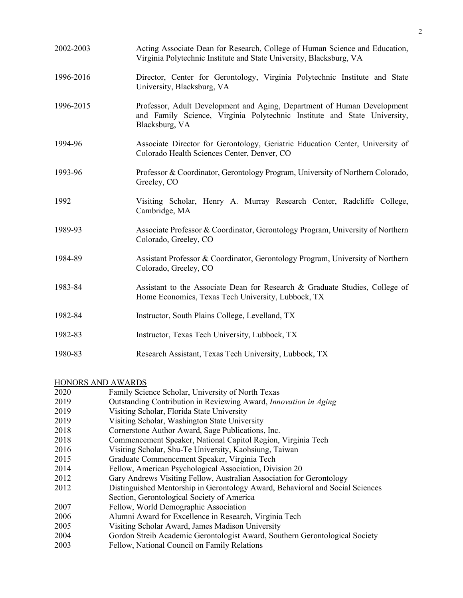| 2002-2003 | Acting Associate Dean for Research, College of Human Science and Education,<br>Virginia Polytechnic Institute and State University, Blacksburg, VA                    |
|-----------|-----------------------------------------------------------------------------------------------------------------------------------------------------------------------|
| 1996-2016 | Director, Center for Gerontology, Virginia Polytechnic Institute and State<br>University, Blacksburg, VA                                                              |
| 1996-2015 | Professor, Adult Development and Aging, Department of Human Development<br>and Family Science, Virginia Polytechnic Institute and State University,<br>Blacksburg, VA |
| 1994-96   | Associate Director for Gerontology, Geriatric Education Center, University of<br>Colorado Health Sciences Center, Denver, CO                                          |
| 1993-96   | Professor & Coordinator, Gerontology Program, University of Northern Colorado,<br>Greeley, CO                                                                         |
| 1992      | Visiting Scholar, Henry A. Murray Research Center, Radcliffe College,<br>Cambridge, MA                                                                                |
| 1989-93   | Associate Professor & Coordinator, Gerontology Program, University of Northern<br>Colorado, Greeley, CO                                                               |
| 1984-89   | Assistant Professor & Coordinator, Gerontology Program, University of Northern<br>Colorado, Greeley, CO                                                               |
| 1983-84   | Assistant to the Associate Dean for Research & Graduate Studies, College of<br>Home Economics, Texas Tech University, Lubbock, TX                                     |
| 1982-84   | Instructor, South Plains College, Levelland, TX                                                                                                                       |
| 1982-83   | Instructor, Texas Tech University, Lubbock, TX                                                                                                                        |
| 1980-83   | Research Assistant, Texas Tech University, Lubbock, TX                                                                                                                |

### HONORS AND AWARDS

| 2020 | Family Science Scholar, University of North Texas                             |
|------|-------------------------------------------------------------------------------|
| 2019 | Outstanding Contribution in Reviewing Award, <i>Innovation in Aging</i>       |
| 2019 | Visiting Scholar, Florida State University                                    |
| 2019 | Visiting Scholar, Washington State University                                 |
| 2018 | Cornerstone Author Award, Sage Publications, Inc.                             |
| 2018 | Commencement Speaker, National Capitol Region, Virginia Tech                  |
| 2016 | Visiting Scholar, Shu-Te University, Kaohsiung, Taiwan                        |
| 2015 | Graduate Commencement Speaker, Virginia Tech                                  |
| 2014 | Fellow, American Psychological Association, Division 20                       |
| 2012 | Gary Andrews Visiting Fellow, Australian Association for Gerontology          |
| 2012 | Distinguished Mentorship in Gerontology Award, Behavioral and Social Sciences |
|      | Section, Gerontological Society of America                                    |
| 2007 | Fellow, World Demographic Association                                         |
| 2006 | Alumni Award for Excellence in Research, Virginia Tech                        |
| 2005 | Visiting Scholar Award, James Madison University                              |
| 2004 | Gordon Streib Academic Gerontologist Award, Southern Gerontological Society   |
| 2003 | Fellow, National Council on Family Relations                                  |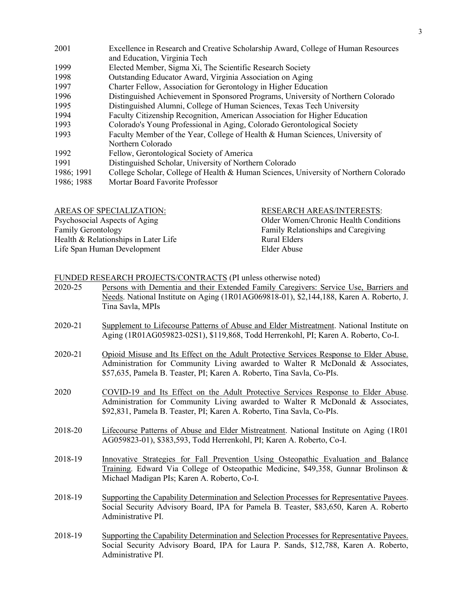| 2001       | Excellence in Research and Creative Scholarship Award, College of Human Resources    |
|------------|--------------------------------------------------------------------------------------|
|            | and Education, Virginia Tech                                                         |
| 1999       | Elected Member, Sigma Xi, The Scientific Research Society                            |
| 1998       | Outstanding Educator Award, Virginia Association on Aging                            |
| 1997       | Charter Fellow, Association for Gerontology in Higher Education                      |
| 1996       | Distinguished Achievement in Sponsored Programs, University of Northern Colorado     |
| 1995       | Distinguished Alumni, College of Human Sciences, Texas Tech University               |
| 1994       | Faculty Citizenship Recognition, American Association for Higher Education           |
| 1993       | Colorado's Young Professional in Aging, Colorado Gerontological Society              |
| 1993       | Faculty Member of the Year, College of Health & Human Sciences, University of        |
|            | Northern Colorado                                                                    |
| 1992       | Fellow, Gerontological Society of America                                            |
| 1991       | Distinguished Scholar, University of Northern Colorado                               |
| 1986; 1991 | College Scholar, College of Health & Human Sciences, University of Northern Colorado |
| 1986; 1988 | Mortar Board Favorite Professor                                                      |
|            |                                                                                      |

| <b>RESEARCH AREAS/INTERESTS:</b>      |
|---------------------------------------|
| Older Women/Chronic Health Conditions |
| Family Relationships and Caregiving   |
| Rural Elders                          |
| Elder Abuse                           |
|                                       |

# FUNDED RESEARCH PROJECTS/CONTRACTS (PI unless otherwise noted)

| 2020-25 | Persons with Dementia and their Extended Family Caregivers: Service Use, Barriers and<br>Needs. National Institute on Aging (1R01AG069818-01), \$2,144,188, Karen A. Roberto, J.<br>Tina Savla, MPIs                                               |
|---------|----------------------------------------------------------------------------------------------------------------------------------------------------------------------------------------------------------------------------------------------------|
| 2020-21 | Supplement to Lifecourse Patterns of Abuse and Elder Mistreatment. National Institute on<br>Aging (1R01AG059823-02S1), \$119,868, Todd Herrenkohl, PI; Karen A. Roberto, Co-I.                                                                     |
| 2020-21 | Opioid Misuse and Its Effect on the Adult Protective Services Response to Elder Abuse.<br>Administration for Community Living awarded to Walter R McDonald & Associates,<br>\$57,635, Pamela B. Teaster, PI; Karen A. Roberto, Tina Savla, Co-PIs. |
| 2020    | COVID-19 and Its Effect on the Adult Protective Services Response to Elder Abuse.<br>Administration for Community Living awarded to Walter R McDonald & Associates,<br>\$92,831, Pamela B. Teaster, PI; Karen A. Roberto, Tina Savla, Co-PIs.      |
| 2018-20 | Lifecourse Patterns of Abuse and Elder Mistreatment. National Institute on Aging (1R01)<br>AG059823-01), \$383,593, Todd Herrenkohl, PI; Karen A. Roberto, Co-I.                                                                                   |
| 2018-19 | Innovative Strategies for Fall Prevention Using Osteopathic Evaluation and Balance<br>Training. Edward Via College of Osteopathic Medicine, \$49,358, Gunnar Brolinson &<br>Michael Madigan PIs; Karen A. Roberto, Co-I.                           |
| 2018-19 | Supporting the Capability Determination and Selection Processes for Representative Payees.<br>Social Security Advisory Board, IPA for Pamela B. Teaster, \$83,650, Karen A. Roberto<br>Administrative PI.                                          |
| 2018-19 | Supporting the Capability Determination and Selection Processes for Representative Payees.<br>Social Security Advisory Board, IPA for Laura P. Sands, \$12,788, Karen A. Roberto,<br>Administrative PI.                                            |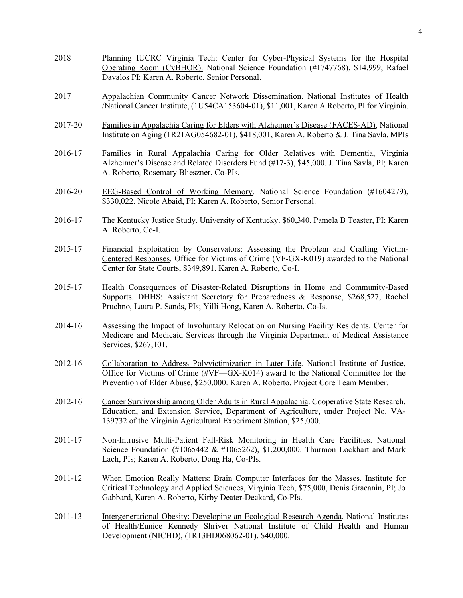- 2018 Planning IUCRC Virginia Tech: Center for Cyber-Physical Systems for the Hospital Operating Room (CyBHOR). National Science Foundation (#1747768), \$14,999, Rafael Davalos PI; Karen A. Roberto, Senior Personal. 2017 Appalachian Community Cancer Network Dissemination. National Institutes of Health /National Cancer Institute, (1U54CA153604-01), \$11,001, Karen A Roberto, PI for Virginia. 2017-20 Families in Appalachia Caring for Elders with Alzheimer's Disease (FACES-AD), National Institute on Aging (1R21AG054682-01), \$418,001, Karen A. Roberto & J. Tina Savla, MPIs
- 2016-17 Families in Rural Appalachia Caring for Older Relatives with Dementia, Virginia Alzheimer's Disease and Related Disorders Fund (#17-3), \$45,000. J. Tina Savla, PI; Karen A. Roberto, Rosemary Blieszner, Co-PIs.
- 2016-20 EEG-Based Control of Working Memory. National Science Foundation (#1604279), \$330,022. Nicole Abaid, PI; Karen A. Roberto, Senior Personal.
- 2016-17 The Kentucky Justice Study. University of Kentucky. \$60,340. Pamela B Teaster, PI; Karen A. Roberto, Co-I.
- 2015-17 Financial Exploitation by Conservators: Assessing the Problem and Crafting Victim-Centered Responses. Office for Victims of Crime (VF-GX-K019) awarded to the National Center for State Courts, \$349,891. Karen A. Roberto, Co-I.
- 2015-17 Health Consequences of Disaster-Related Disruptions in Home and Community-Based Supports. DHHS: Assistant Secretary for Preparedness & Response, \$268,527, Rachel Pruchno, Laura P. Sands, PIs; Yilli Hong, Karen A. Roberto, Co-Is.
- 2014-16 Assessing the Impact of Involuntary Relocation on Nursing Facility Residents. Center for Medicare and Medicaid Services through the Virginia Department of Medical Assistance Services, \$267,101.
- 2012-16 Collaboration to Address Polyvictimization in Later Life. National Institute of Justice, Office for Victims of Crime (#VF—GX-K014) award to the National Committee for the Prevention of Elder Abuse, \$250,000. Karen A. Roberto, Project Core Team Member.
- 2012-16 Cancer Survivorship among Older Adults in Rural Appalachia. Cooperative State Research, Education, and Extension Service, Department of Agriculture, under Project No. VA-139732 of the Virginia Agricultural Experiment Station, \$25,000.
- 2011-17 Non-Intrusive Multi-Patient Fall-Risk Monitoring in Health Care Facilities. National Science Foundation (#1065442 & #1065262), \$1,200,000. Thurmon Lockhart and Mark Lach, PIs; Karen A. Roberto, Dong Ha, Co-PIs.
- 2011-12 When Emotion Really Matters: Brain Computer Interfaces for the Masses. Institute for Critical Technology and Applied Sciences, Virginia Tech, \$75,000, Denis Gracanin, PI; Jo Gabbard, Karen A. Roberto, Kirby Deater-Deckard, Co-PIs.
- 2011-13 Intergenerational Obesity: Developing an Ecological Research Agenda. National Institutes of Health/Eunice Kennedy Shriver National Institute of Child Health and Human Development (NICHD), (1R13HD068062-01), \$40,000.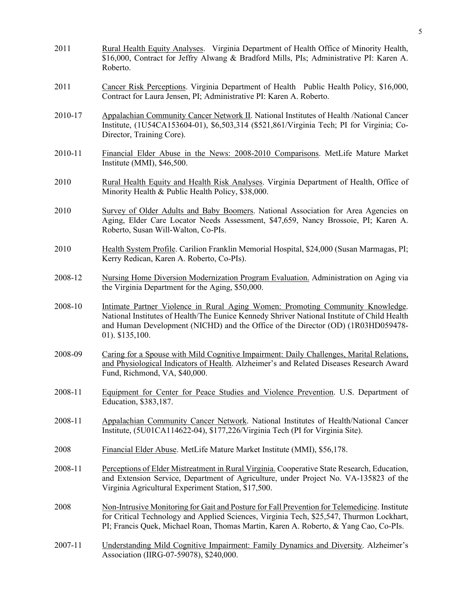| 2011    | Rural Health Equity Analyses. Virginia Department of Health Office of Minority Health,<br>\$16,000, Contract for Jeffry Alwang & Bradford Mills, PIs; Administrative PI: Karen A.<br>Roberto.                                                                                        |
|---------|--------------------------------------------------------------------------------------------------------------------------------------------------------------------------------------------------------------------------------------------------------------------------------------|
| 2011    | Cancer Risk Perceptions. Virginia Department of Health Public Health Policy, \$16,000,<br>Contract for Laura Jensen, PI; Administrative PI: Karen A. Roberto.                                                                                                                        |
| 2010-17 | Appalachian Community Cancer Network II. National Institutes of Health /National Cancer<br>Institute, (1U54CA153604-01), \$6,503,314 (\$521,861/Virginia Tech; PI for Virginia; Co-<br>Director, Training Core).                                                                     |
| 2010-11 | Financial Elder Abuse in the News: 2008-2010 Comparisons. MetLife Mature Market<br>Institute (MMI), $$46,500$ .                                                                                                                                                                      |
| 2010    | Rural Health Equity and Health Risk Analyses. Virginia Department of Health, Office of<br>Minority Health & Public Health Policy, \$38,000.                                                                                                                                          |
| 2010    | Survey of Older Adults and Baby Boomers. National Association for Area Agencies on<br>Aging, Elder Care Locator Needs Assessment, \$47,659, Nancy Brossoie, PI; Karen A.<br>Roberto, Susan Will-Walton, Co-PIs.                                                                      |
| 2010    | Health System Profile. Carilion Franklin Memorial Hospital, \$24,000 (Susan Marmagas, PI;<br>Kerry Redican, Karen A. Roberto, Co-PIs).                                                                                                                                               |
| 2008-12 | Nursing Home Diversion Modernization Program Evaluation. Administration on Aging via<br>the Virginia Department for the Aging, \$50,000.                                                                                                                                             |
| 2008-10 | Intimate Partner Violence in Rural Aging Women: Promoting Community Knowledge.<br>National Institutes of Health/The Eunice Kennedy Shriver National Institute of Child Health<br>and Human Development (NICHD) and the Office of the Director (OD) (1R03HD059478-<br>01). \$135,100. |
| 2008-09 | Caring for a Spouse with Mild Cognitive Impairment: Daily Challenges, Marital Relations,<br>and Physiological Indicators of Health. Alzheimer's and Related Diseases Research Award<br>Fund, Richmond, VA, \$40,000.                                                                 |
| 2008-11 | Equipment for Center for Peace Studies and Violence Prevention. U.S. Department of<br>Education, \$383,187.                                                                                                                                                                          |
| 2008-11 | Appalachian Community Cancer Network. National Institutes of Health/National Cancer<br>Institute, (5U01CA114622-04), \$177,226/Virginia Tech (PI for Virginia Site).                                                                                                                 |
| 2008    | Financial Elder Abuse. MetLife Mature Market Institute (MMI), \$56,178.                                                                                                                                                                                                              |
| 2008-11 | Perceptions of Elder Mistreatment in Rural Virginia. Cooperative State Research, Education,<br>and Extension Service, Department of Agriculture, under Project No. VA-135823 of the<br>Virginia Agricultural Experiment Station, \$17,500.                                           |
| 2008    | Non-Intrusive Monitoring for Gait and Posture for Fall Prevention for Telemedicine. Institute<br>for Critical Technology and Applied Sciences, Virginia Tech, \$25,547, Thurmon Lockhart,<br>PI; Francis Quek, Michael Roan, Thomas Martin, Karen A. Roberto, & Yang Cao, Co-PIs.    |
| 2007-11 | Understanding Mild Cognitive Impairment: Family Dynamics and Diversity. Alzheimer's<br>Association (IIRG-07-59078), \$240,000.                                                                                                                                                       |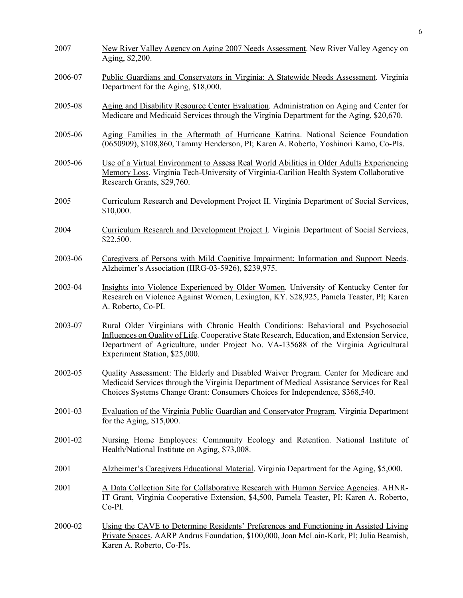| 2007    | New River Valley Agency on Aging 2007 Needs Assessment. New River Valley Agency on<br>Aging, \$2,200.                                                                                                                                                                                                      |
|---------|------------------------------------------------------------------------------------------------------------------------------------------------------------------------------------------------------------------------------------------------------------------------------------------------------------|
| 2006-07 | Public Guardians and Conservators in Virginia: A Statewide Needs Assessment. Virginia<br>Department for the Aging, \$18,000.                                                                                                                                                                               |
| 2005-08 | Aging and Disability Resource Center Evaluation. Administration on Aging and Center for<br>Medicare and Medicaid Services through the Virginia Department for the Aging, \$20,670.                                                                                                                         |
| 2005-06 | Aging Families in the Aftermath of Hurricane Katrina. National Science Foundation<br>(0650909), \$108,860, Tammy Henderson, PI; Karen A. Roberto, Yoshinori Kamo, Co-PIs.                                                                                                                                  |
| 2005-06 | Use of a Virtual Environment to Assess Real World Abilities in Older Adults Experiencing<br>Memory Loss. Virginia Tech-University of Virginia-Carilion Health System Collaborative<br>Research Grants, \$29,760.                                                                                           |
| 2005    | Curriculum Research and Development Project II. Virginia Department of Social Services,<br>\$10,000.                                                                                                                                                                                                       |
| 2004    | Curriculum Research and Development Project I. Virginia Department of Social Services,<br>\$22,500.                                                                                                                                                                                                        |
| 2003-06 | Caregivers of Persons with Mild Cognitive Impairment: Information and Support Needs.<br>Alzheimer's Association (IIRG-03-5926), \$239,975.                                                                                                                                                                 |
| 2003-04 | Insights into Violence Experienced by Older Women. University of Kentucky Center for<br>Research on Violence Against Women, Lexington, KY. \$28,925, Pamela Teaster, PI; Karen<br>A. Roberto, Co-PI.                                                                                                       |
| 2003-07 | Rural Older Virginians with Chronic Health Conditions: Behavioral and Psychosocial<br>Influences on Quality of Life. Cooperative State Research, Education, and Extension Service,<br>Department of Agriculture, under Project No. VA-135688 of the Virginia Agricultural<br>Experiment Station, \$25,000. |
| 2002-05 | Quality Assessment: The Elderly and Disabled Waiver Program. Center for Medicare and<br>Medicaid Services through the Virginia Department of Medical Assistance Services for Real<br>Choices Systems Change Grant: Consumers Choices for Independence, \$368,540.                                          |
| 2001-03 | Evaluation of the Virginia Public Guardian and Conservator Program. Virginia Department<br>for the Aging, $$15,000$ .                                                                                                                                                                                      |
| 2001-02 | Nursing Home Employees: Community Ecology and Retention. National Institute of<br>Health/National Institute on Aging, \$73,008.                                                                                                                                                                            |
| 2001    | Alzheimer's Caregivers Educational Material. Virginia Department for the Aging, \$5,000.                                                                                                                                                                                                                   |
| 2001    | A Data Collection Site for Collaborative Research with Human Service Agencies. AHNR-<br>IT Grant, Virginia Cooperative Extension, \$4,500, Pamela Teaster, PI; Karen A. Roberto,<br>Co-PI.                                                                                                                 |
| 2000-02 | Using the CAVE to Determine Residents' Preferences and Functioning in Assisted Living<br>Private Spaces. AARP Andrus Foundation, \$100,000, Joan McLain-Kark, PI; Julia Beamish,<br>Karen A. Roberto, Co-PIs.                                                                                              |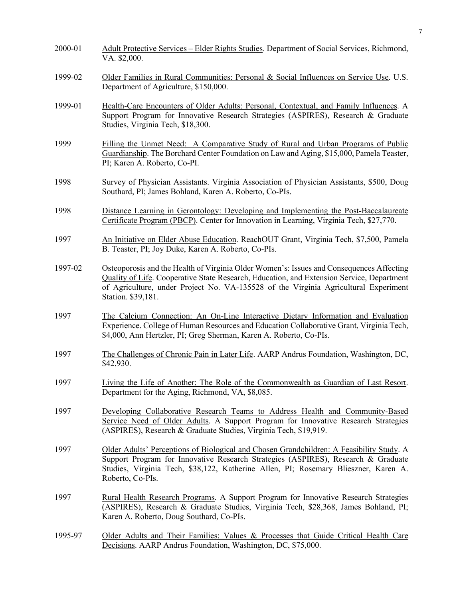| 2000-01 | Adult Protective Services – Elder Rights Studies. Department of Social Services, Richmond,<br>VA. \$2,000.                                                                                                                                                                                         |
|---------|----------------------------------------------------------------------------------------------------------------------------------------------------------------------------------------------------------------------------------------------------------------------------------------------------|
| 1999-02 | Older Families in Rural Communities: Personal & Social Influences on Service Use. U.S.<br>Department of Agriculture, \$150,000.                                                                                                                                                                    |
| 1999-01 | Health-Care Encounters of Older Adults: Personal, Contextual, and Family Influences. A<br>Support Program for Innovative Research Strategies (ASPIRES), Research & Graduate<br>Studies, Virginia Tech, \$18,300.                                                                                   |
| 1999    | Filling the Unmet Need: A Comparative Study of Rural and Urban Programs of Public<br>Guardianship. The Borchard Center Foundation on Law and Aging, \$15,000, Pamela Teaster,<br>PI; Karen A. Roberto, Co-PI.                                                                                      |
| 1998    | Survey of Physician Assistants. Virginia Association of Physician Assistants, \$500, Doug<br>Southard, PI; James Bohland, Karen A. Roberto, Co-PIs.                                                                                                                                                |
| 1998    | Distance Learning in Gerontology: Developing and Implementing the Post-Baccalaureate<br>Certificate Program (PBCP). Center for Innovation in Learning, Virginia Tech, \$27,770.                                                                                                                    |
| 1997    | An Initiative on Elder Abuse Education. ReachOUT Grant, Virginia Tech, \$7,500, Pamela<br>B. Teaster, PI; Joy Duke, Karen A. Roberto, Co-PIs.                                                                                                                                                      |
| 1997-02 | Osteoporosis and the Health of Virginia Older Women's: Issues and Consequences Affecting<br>Quality of Life. Cooperative State Research, Education, and Extension Service, Department<br>of Agriculture, under Project No. VA-135528 of the Virginia Agricultural Experiment<br>Station. \$39,181. |
| 1997    | The Calcium Connection: An On-Line Interactive Dietary Information and Evaluation<br>Experience. College of Human Resources and Education Collaborative Grant, Virginia Tech,<br>\$4,000, Ann Hertzler, PI; Greg Sherman, Karen A. Roberto, Co-PIs.                                                |
| 1997    | The Challenges of Chronic Pain in Later Life. AARP Andrus Foundation, Washington, DC,<br>\$42,930.                                                                                                                                                                                                 |
| 1997    | Living the Life of Another: The Role of the Commonwealth as Guardian of Last Resort.<br>Department for the Aging, Richmond, VA, \$8,085.                                                                                                                                                           |
| 1997    | Developing Collaborative Research Teams to Address Health and Community-Based<br>Service Need of Older Adults. A Support Program for Innovative Research Strategies<br>(ASPIRES), Research & Graduate Studies, Virginia Tech, \$19,919.                                                            |
| 1997    | Older Adults' Perceptions of Biological and Chosen Grandchildren: A Feasibility Study. A<br>Support Program for Innovative Research Strategies (ASPIRES), Research & Graduate<br>Studies, Virginia Tech, \$38,122, Katherine Allen, PI; Rosemary Blieszner, Karen A.<br>Roberto, Co-PIs.           |
| 1997    | Rural Health Research Programs. A Support Program for Innovative Research Strategies<br>(ASPIRES), Research & Graduate Studies, Virginia Tech, \$28,368, James Bohland, PI;<br>Karen A. Roberto, Doug Southard, Co-PIs.                                                                            |
| 1995-97 | Older Adults and Their Families: Values & Processes that Guide Critical Health Care<br>Decisions. AARP Andrus Foundation, Washington, DC, \$75,000.                                                                                                                                                |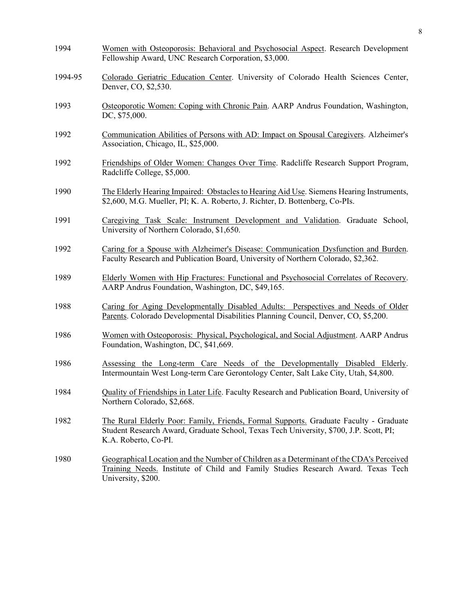| 1994    | Women with Osteoporosis: Behavioral and Psychosocial Aspect. Research Development<br>Fellowship Award, UNC Research Corporation, \$3,000.                                                               |
|---------|---------------------------------------------------------------------------------------------------------------------------------------------------------------------------------------------------------|
| 1994-95 | Colorado Geriatric Education Center. University of Colorado Health Sciences Center,<br>Denver, CO, \$2,530.                                                                                             |
| 1993    | Osteoporotic Women: Coping with Chronic Pain. AARP Andrus Foundation, Washington,<br>DC, \$75,000.                                                                                                      |
| 1992    | Communication Abilities of Persons with AD: Impact on Spousal Caregivers. Alzheimer's<br>Association, Chicago, IL, \$25,000.                                                                            |
| 1992    | Friendships of Older Women: Changes Over Time. Radcliffe Research Support Program,<br>Radcliffe College, \$5,000.                                                                                       |
| 1990    | The Elderly Hearing Impaired: Obstacles to Hearing Aid Use. Siemens Hearing Instruments,<br>\$2,600, M.G. Mueller, PI; K. A. Roberto, J. Richter, D. Bottenberg, Co-PIs.                                |
| 1991    | Caregiving Task Scale: Instrument Development and Validation. Graduate School,<br>University of Northern Colorado, \$1,650.                                                                             |
| 1992    | Caring for a Spouse with Alzheimer's Disease: Communication Dysfunction and Burden.<br>Faculty Research and Publication Board, University of Northern Colorado, \$2,362.                                |
| 1989    | Elderly Women with Hip Fractures: Functional and Psychosocial Correlates of Recovery.<br>AARP Andrus Foundation, Washington, DC, \$49,165.                                                              |
| 1988    | Caring for Aging Developmentally Disabled Adults: Perspectives and Needs of Older<br>Parents. Colorado Developmental Disabilities Planning Council, Denver, CO, \$5,200.                                |
| 1986    | <u>Women with Osteoporosis: Physical, Psychological, and Social Adjustment</u> . AARP Andrus<br>Foundation, Washington, DC, \$41,669.                                                                   |
| 1986    | Assessing the Long-term Care Needs of the Developmentally Disabled Elderly.<br>Intermountain West Long-term Care Gerontology Center, Salt Lake City, Utah, \$4,800.                                     |
| 1984    | Quality of Friendships in Later Life. Faculty Research and Publication Board, University of<br>Northern Colorado, \$2,668.                                                                              |
| 1982    | The Rural Elderly Poor: Family, Friends, Formal Supports. Graduate Faculty - Graduate<br>Student Research Award, Graduate School, Texas Tech University, \$700, J.P. Scott, PI;<br>K.A. Roberto, Co-PI. |
| 1980    | Geographical Location and the Number of Children as a Determinant of the CDA's Perceived<br>Training Needs. Institute of Child and Family Studies Research Award. Texas Tech<br>University, \$200.      |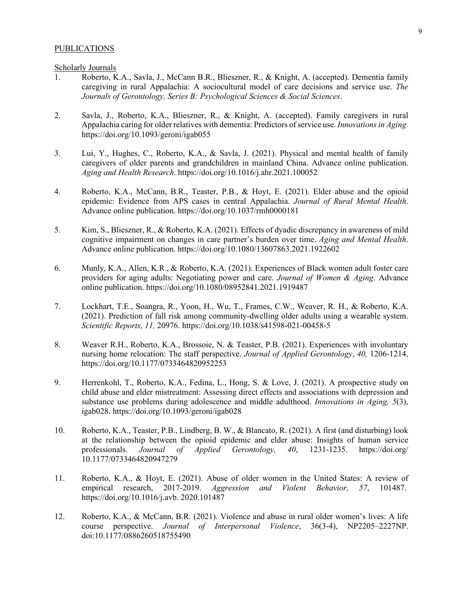#### PUBLICATIONS

Scholarly Journals

- 1. Roberto, K.A., Savla, J., McCann B.R., Blieszner, R., & Knight, A. (accepted). Dementia family caregiving in rural Appalachia: A sociocultural model of care decisions and service use. *The Journals of Gerontology, Series B: Psychological Sciences & Social Sciences*.
- 2. Savla, J., Roberto, K.A., Blieszner, R., & Knight, A. (accepted). Family caregivers in rural Appalachia caring for older relatives with dementia: Predictors of service use. *Innovations in Aging.* https://doi.org/10.1093/geroni/igab055
- 3. Lui, Y., Hughes, C., Roberto, K.A., & Savla, J. (2021). Physical and mental health of family caregivers of older parents and grandchildren in mainland China. Advance online publication. *Aging and Health Research*. https://doi.org/10.1016/j.ahr.2021.100052
- 4. Roberto, K.A., McCann, B.R., Teaster, P.B., & Hoyt, E. (2021). Elder abuse and the opioid epidemic: Evidence from APS cases in central Appalachia. *Journal of Rural Mental Health*. Advance online publication. https://doi.org/10.1037/rmh0000181
- 5. Kim, S., Blieszner, R., & Roberto, K.A. (2021). Effects of dyadic discrepancy in awareness of mild cognitive impairment on changes in care partner's burden over time. *Aging and Mental Health*. Advance online publication. https://doi.org/10.1080/13607863.2021.1922602
- 6. Munly, K.A., Allen, K.R., & Roberto, K.A. (2021). Experiences of Black women adult foster care providers for aging adults: Negotiating power and care. *Journal of Women & Aging*. Advance online publication. https://doi.org/10.1080/08952841.2021.1919487
- 7. Lockhart, T.E., Soangra, R., Yoon, H., Wu, T., Frames, C.W., Weaver, R. H., & Roberto, K.A. (2021). Prediction of fall risk among community-dwelling older adults using a wearable system. *Scientific Reports, 11,* 20976. https://doi.org/10.1038/s41598-021-00458-5
- 8. Weaver R.H., Roberto, K.A., Brossoie, N. & Teaster, P.B. (2021). Experiences with involuntary nursing home relocation: The staff perspective. *Journal of Applied Gerontology*, *40,* 1206-1214, https://doi.org/10.1177/0733464820952253
- 9. Herrenkohl, T., Roberto, K.A., Fedina, L., Hong, S. & Love, J. (2021). A prospective study on child abuse and elder mistreatment: Assessing direct effects and associations with depression and substance use problems during adolescence and middle adulthood. *Innovations in Aging, 5*(3), igab028. https://doi.org/10.1093/geroni/igab028
- 10. Roberto, K.A., Teaster, P.B., Lindberg, B. W., & Blancato, R. (2021). A first (and disturbing) look at the relationship between the opioid epidemic and elder abuse: Insights of human service professionals. *Journal of Applied Gerontology, 40*, 1231-1235. https://doi.org/ 10.1177/0733464820947279
- 11. Roberto, K.A., & Hoyt, E. (2021). Abuse of older women in the United States: A review of empirical research, 2017-2019. *Aggression and Violent Behavior, 57*, 101487. https://doi.org/10.1016/j.avb. 2020.101487
- 12. Roberto, K.A., & McCann, B.R. (2021). Violence and abuse in rural older women's lives: A life course perspective. *Journal of Interpersonal Violence*, 36(3-4), NP2205–2227NP. doi:10.1177/0886260518755490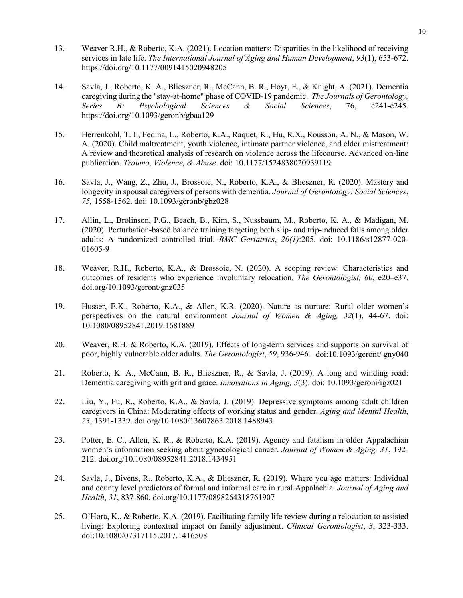- 13. Weaver R.H., & Roberto, K.A. (2021). Location matters: Disparities in the likelihood of receiving services in late life. *The International Journal of Aging and Human Development*, *93*(1), 653-672. https://doi.org/10.1177/0091415020948205
- 14. Savla, J., Roberto, K. A., Blieszner, R., McCann, B. R., Hoyt, E., & Knight, A. (2021). Dementia caregiving during the "stay-at-home" phase of COVID-19 pandemic. *The Journals of Gerontology, Series B: Psychological Sciences & Social Sciences, 76,* https://doi.org/10.1093/geronb/gbaa129
- 15. Herrenkohl, T. I., Fedina, L., Roberto, K.A., Raquet, K., Hu, R.X., Rousson, A. N., & Mason, W. A. (2020). Child maltreatment, youth violence, intimate partner violence, and elder mistreatment: A review and theoretical analysis of research on violence across the lifecourse. Advanced on-line publication. *Trauma, Violence, & Abuse*. doi: 10.1177/1524838020939119
- 16. Savla, J., Wang, Z., Zhu, J., Brossoie, N., Roberto, K.A., & Blieszner, R. (2020). Mastery and longevity in spousal caregivers of persons with dementia. *Journal of Gerontology: Social Sciences*, *75,* 1558-1562. doi: 10.1093/geronb/gbz028
- 17. Allin, L., Brolinson, P.G., Beach, B., Kim, S., Nussbaum, M., Roberto, K. A., & Madigan, M. (2020). Perturbation-based balance training targeting both slip- and trip-induced falls among older adults: A randomized controlled trial. *BMC Geriatrics*, *20(1)*:205. doi: 10.1186/s12877-020- 01605-9
- 18. Weaver, R.H., Roberto, K.A., & Brossoie, N. (2020). A scoping review: Characteristics and outcomes of residents who experience involuntary relocation. *The Gerontologist, 60*, e20–e37. doi.org/10.1093/geront/gnz035
- 19. Husser, E.K., Roberto, K.A., & Allen, K.R. (2020). Nature as nurture: Rural older women's perspectives on the natural environment *Journal of Women & Aging, 32*(1), 44-67. doi: 10.1080/08952841.2019.1681889
- 20. Weaver, R.H. & Roberto, K.A. (2019). Effects of long-term services and supports on survival of poor, highly vulnerable older adults. *The Gerontologist*, *59*, 936-946. doi:10.1093/geront/ gny040
- 21. Roberto, K. A., McCann, B. R., Blieszner, R., & Savla, J. (2019). A long and winding road: Dementia caregiving with grit and grace. *Innovations in Aging, 3*(3). doi: 10.1093/geroni/igz021
- 22. Liu, Y., Fu, R., Roberto, K.A., & Savla, J. (2019). Depressive symptoms among adult children caregivers in China: Moderating effects of working status and gender. *Aging and Mental Health*, *23*, 1391-1339. doi.org/10.1080/13607863.2018.1488943
- 23. Potter, E. C., Allen, K. R., & Roberto, K.A. (2019). Agency and fatalism in older Appalachian women's information seeking about gynecological cancer. *Journal of Women & Aging, 31*, 192- 212. doi.org/10.1080/08952841.2018.1434951
- 24. Savla, J., Bivens, R., Roberto, K.A., & Blieszner, R. (2019). Where you age matters: Individual and county level predictors of formal and informal care in rural Appalachia. *Journal of Aging and Health*, *31*, 837-860. doi.org/10.1177/0898264318761907
- 25. O'Hora, K., & Roberto, K.A. (2019). Facilitating family life review during a relocation to assisted living: Exploring contextual impact on family adjustment. *Clinical Gerontologist*, *3*, 323-333. doi:10.1080/07317115.2017.1416508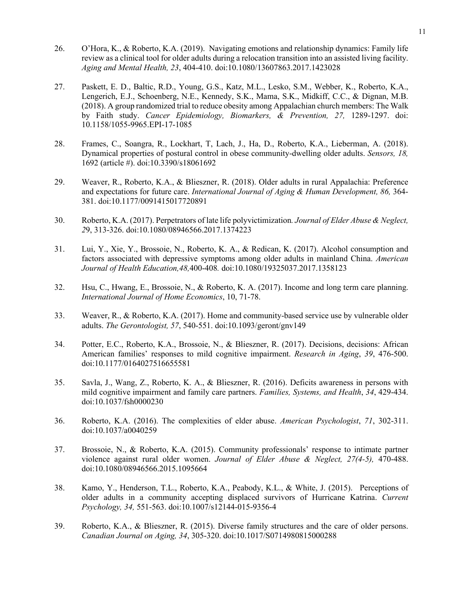- 26. O'Hora, K., & Roberto, K.A. (2019). Navigating emotions and relationship dynamics: Family life review as a clinical tool for older adults during a relocation transition into an assisted living facility. *Aging and Mental Health, 23*, 404-410. doi:10.1080/13607863.2017.1423028
- 27. Paskett, E. D., Baltic, R.D., Young, G.S., Katz, M.L., Lesko, S.M., Webber, K., Roberto, K.A., Lengerich, E.J., Schoenberg, N.E., Kennedy, S.K., Mama, S.K., Midkiff, C.C., & Dignan, M.B. (2018). A group randomized trial to reduce obesity among Appalachian church members: The Walk by Faith study. *Cancer Epidemiology, Biomarkers, & Prevention, 27,* 1289-1297. doi: 10.1158/1055-9965.EPI-17-1085
- 28. Frames, C., Soangra, R., Lockhart, T, Lach, J., Ha, D., Roberto, K.A., Lieberman, A. (2018). Dynamical properties of postural control in obese community-dwelling older adults. *Sensors, 18,* 1692 (article #). doi:10.3390/s18061692
- 29. Weaver, R., Roberto, K.A., & Blieszner, R. (2018). Older adults in rural Appalachia: Preference and expectations for future care. *International Journal of Aging & Human Development, 86,* 364- 381. doi:10.1177/0091415017720891
- 30. Roberto, K.A. (2017). Perpetrators of late life polyvictimization*. Journal of Elder Abuse & Neglect, 2*9, 313-326. doi:10.1080/08946566.2017.1374223
- 31. Lui, Y., Xie, Y., Brossoie, N., Roberto, K. A., & Redican, K. (2017). Alcohol consumption and factors associated with depressive symptoms among older adults in mainland China. *American Journal of Health Education,48,*400-408*.* doi:10.1080/19325037.2017.1358123
- 32. Hsu, C., Hwang, E., Brossoie, N., & Roberto, K. A. (2017). Income and long term care planning. *International Journal of Home Economics*, 10, 71-78.
- 33. Weaver, R., & Roberto, K.A. (2017). Home and community-based service use by vulnerable older adults. *The Gerontologist, 57*, 540-551. doi:10.1093/geront/gnv149
- 34. Potter, E.C., Roberto, K.A., Brossoie, N., & Blieszner, R. (2017). Decisions, decisions: African American families' responses to mild cognitive impairment. *Research in Aging*, *39*, 476-500. doi:10.1177/0164027516655581
- 35. Savla, J., Wang, Z., Roberto, K. A., & Blieszner, R. (2016). Deficits awareness in persons with mild cognitive impairment and family care partners. *Families, Systems, and Health*, *34*, 429-434. doi:10.1037/fsh0000230
- 36. Roberto, K.A. (2016). The complexities of elder abuse. *American Psychologist*, *71*, 302-311. doi:10.1037/a0040259
- 37. Brossoie, N., & Roberto, K.A. (2015). Community professionals' response to intimate partner violence against rural older women. *Journal of Elder Abuse & Neglect, 27(4-5),* 470-488. doi:10.1080/08946566.2015.1095664
- 38. Kamo, Y., Henderson, T.L., Roberto, K.A., Peabody, K.L., & White, J. (2015). Perceptions of older adults in a community accepting displaced survivors of Hurricane Katrina. *Current Psychology, 34,* 551-563. doi:10.1007/s12144-015-9356-4
- 39. Roberto, K.A., & Blieszner, R. (2015). Diverse family structures and the care of older persons. *Canadian Journal on Aging, 34*, 305-320. doi:10.1017/S0714980815000288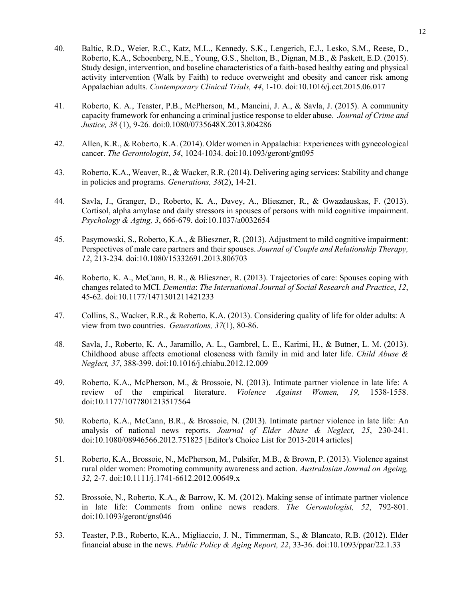- 40. Baltic, R.D., Weier, R.C., Katz, M.L., Kennedy, S.K., Lengerich, E.J., Lesko, S.M., Reese, D., Roberto, K.A., Schoenberg, N.E., Young, G.S., Shelton, B., Dignan, M.B., & Paskett, E.D. (2015). Study design, intervention, and baseline characteristics of a faith-based healthy eating and physical activity intervention (Walk by Faith) to reduce overweight and obesity and cancer risk among Appalachian adults. *Contemporary Clinical Trials, 44*, 1-10. doi:10.1016/j.cct.2015.06.017
- 41. Roberto, K. A., Teaster, P.B., McPherson, M., Mancini, J. A., & Savla, J. (2015). A community capacity framework for enhancing a criminal justice response to elder abuse. *Journal of Crime and Justice, 38* (1), 9-26*.* doi:0.1080/0735648X.2013.804286
- 42. Allen, K.R., & Roberto, K.A. (2014). Older women in Appalachia: Experiences with gynecological cancer. *The Gerontologist*, *54*, 1024-1034. doi:10.1093/geront/gnt095
- 43. Roberto, K.A., Weaver, R., & Wacker, R.R. (2014). Delivering aging services: Stability and change in policies and programs. *Generations, 38*(2), 14-21.
- 44. Savla, J., Granger, D., Roberto, K. A., Davey, A., Blieszner, R., & Gwazdauskas, F. (2013). Cortisol, alpha amylase and daily stressors in spouses of persons with mild cognitive impairment. *Psychology & Aging, 3*, 666-679. doi:10.1037/a0032654
- 45. Pasymowski, S., Roberto, K.A., & Blieszner, R. (2013). Adjustment to mild cognitive impairment: Perspectives of male care partners and their spouses. *Journal of Couple and Relationship Therapy, 12*, 213-234. doi:10.1080/15332691.2013.806703
- 46. Roberto, K. A., McCann, B. R., & Blieszner, R. (2013). Trajectories of care: Spouses coping with changes related to MCI. *Dementia*: *The International Journal of Social Research and Practice*, *12*, 45-62. doi:10.1177/1471301211421233
- 47. Collins, S., Wacker, R.R., & Roberto, K.A. (2013). Considering quality of life for older adults: A view from two countries. *Generations, 37*(1), 80-86.
- 48. Savla, J., Roberto, K. A., Jaramillo, A. L., Gambrel, L. E., Karimi, H., & Butner, L. M. (2013). Childhood abuse affects emotional closeness with family in mid and later life. *Child Abuse & Neglect, 37*, 388-399. doi:10.1016/j.chiabu.2012.12.009
- 49. Roberto, K.A., McPherson, M., & Brossoie, N. (2013). Intimate partner violence in late life: A review of the empirical literature. *Violence Against Women, 19,* 1538-1558. doi:10.1177/1077801213517564
- 50. Roberto, K.A., McCann, B.R., & Brossoie, N. (2013). Intimate partner violence in late life: An analysis of national news reports. *Journal of Elder Abuse & Neglect, 25*, 230-241. doi:10.1080/08946566.2012.751825 [Editor's Choice List for 2013-2014 articles]
- 51. Roberto, K.A., Brossoie, N., McPherson, M., Pulsifer, M.B., & Brown, P. (2013). Violence against rural older women: Promoting community awareness and action. *Australasian Journal on Ageing, 32,* 2-7. doi:10.1111/j.1741-6612.2012.00649.x
- 52. Brossoie, N., Roberto, K.A., & Barrow, K. M. (2012). Making sense of intimate partner violence in late life: Comments from online news readers. *The Gerontologist, 52*, 792-801. doi:10.1093/geront/gns046
- 53. Teaster, P.B., Roberto, K.A., Migliaccio, J. N., Timmerman, S., & Blancato, R.B. (2012). Elder financial abuse in the news. *Public Policy & Aging Report, 22*, 33-36. doi:10.1093/ppar/22.1.33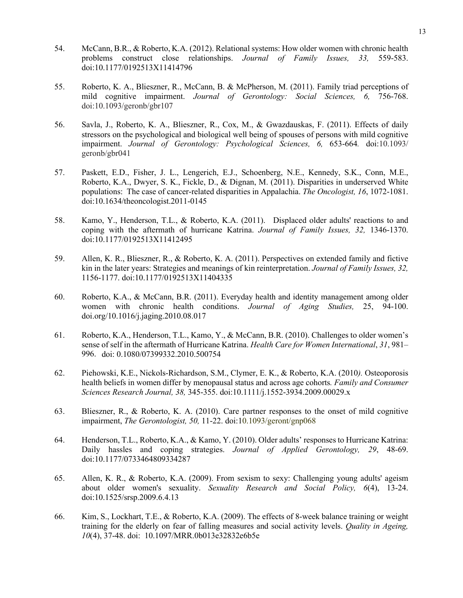- 54. McCann, B.R., & Roberto, K.A. (2012). Relational systems: How older women with chronic health problems construct close relationships. *Journal of Family Issues, 33,* 559-583. doi:10.1177/0192513X11414796
- 55. Roberto, K. A., Blieszner, R., McCann, B. & McPherson, M. (2011). Family triad perceptions of mild cognitive impairment. *Journal of Gerontology: Social Sciences, 6,* 756-768. doi:10.1093/geronb/gbr107
- 56. Savla, J., Roberto, K. A., Blieszner, R., Cox, M., & Gwazdauskas, F. (2011). Effects of daily stressors on the psychological and biological well being of spouses of persons with mild cognitive impairment. *Journal of Gerontology: Psychological Sciences, 6,* 653-664*.* doi:10.1093/ geronb/gbr041
- 57. Paskett, E.D., Fisher, J. L., Lengerich, E.J., Schoenberg, N.E., Kennedy, S.K., Conn, M.E., Roberto, K.A., Dwyer, S. K., Fickle, D., & Dignan, M. (2011). Disparities in underserved White populations: The case of cancer-related disparities in Appalachia. *The Oncologist, 16*, 1072-1081. doi:10.1634/theoncologist.2011-0145
- 58. Kamo, Y., Henderson, T.L., & Roberto, K.A. (2011). Displaced older adults' reactions to and coping with the aftermath of hurricane Katrina. *Journal of Family Issues, 32,* 1346-1370. doi:10.1177/0192513X11412495
- 59. Allen, K. R., Blieszner, R., & Roberto, K. A. (2011). Perspectives on extended family and fictive kin in the later years: Strategies and meanings of kin reinterpretation. *Journal of Family Issues, 32,*  1156-1177. doi:10.1177/0192513X11404335
- 60. Roberto, K.A., & McCann, B.R. (2011). Everyday health and identity management among older women with chronic health conditions. *Journal of Aging Studies,* 25, 94-100. doi.org/10.1016/j.jaging.2010.08.017
- 61. Roberto, K.A., Henderson, T.L., Kamo, Y., & McCann, B.R. (2010). Challenges to older women's sense of self in the aftermath of Hurricane Katrina. *Health Care for Women International*, *31*, 981– 996. doi: 0.1080/07399332.2010.500754
- 62. Piehowski, K.E., Nickols-Richardson, S.M., Clymer, E. K., & Roberto, K.A. (2010*).* Osteoporosis health beliefs in women differ by menopausal status and across age cohorts*. Family and Consumer Sciences Research Journal, 38,* 345-355. doi:10.1111/j.1552-3934.2009.00029.x
- 63. Blieszner, R., & Roberto, K. A. (2010). Care partner responses to the onset of mild cognitive impairment, *The Gerontologist, 50,* 11-22. doi:10.1093/geront/gnp068
- 64. Henderson, T.L., Roberto, K.A., & Kamo, Y. (2010). Older adults' responses to Hurricane Katrina: Daily hassles and coping strategies. *Journal of Applied Gerontology, 29*, 48-69. doi:10.1177/0733464809334287
- 65. Allen, K. R., & Roberto, K.A. (2009). From sexism to sexy: Challenging young adults' ageism about older women's sexuality. *Sexuality Research and Social Policy, 6*(4), 13-24. doi:10.1525/srsp.2009.6.4.13
- 66. Kim, S., Lockhart, T.E., & Roberto, K.A. (2009). The effects of 8-week balance training or weight training for the elderly on fear of falling measures and social activity levels. *Quality in Ageing, 10*(4), 37-48. doi: [10.1097/MRR.0b013e32832e6b5e](http://dx.doi.org/10.1097%2FMRR.0b013e32832e6b5e)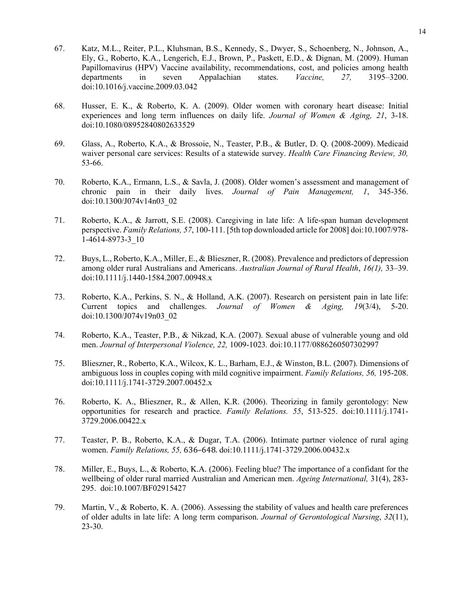- 67. Katz, M.L., Reiter, P.L., Kluhsman, B.S., Kennedy, S., Dwyer, S., Schoenberg, N., Johnson, A., Ely, G., Roberto, K.A., Lengerich, E.J., Brown, P., Paskett, E.D., & Dignan, M. (2009). Human Papillomavirus (HPV) Vaccine availability, recommendations, cost, and policies among health departments in seven Appalachian states. *Vaccine, 27,* 3195–3200. doi:10.1016/j.vaccine.2009.03.042
- 68. Husser, E. K., & Roberto, K. A. (2009). Older women with coronary heart disease: Initial experiences and long term influences on daily life. *Journal of Women & Aging, 21*, 3-18. doi:10.1080/08952840802633529
- 69. Glass, A., Roberto, K.A., & Brossoie, N., Teaster, P.B., & Butler, D. Q. (2008-2009). Medicaid waiver personal care services: Results of a statewide survey. *Health Care Financing Review, 30,*  53-66.
- 70. Roberto, K.A., Ermann, L.S., & Savla, J. (2008). Older women's assessment and management of chronic pain in their daily lives. *Journal of Pain Management, 1*, 345-356. doi:10.1300/J074v14n03\_02
- 71. Roberto, K.A., & Jarrott, S.E. (2008). Caregiving in late life: A life-span human development perspective. *Family Relations, 57*, 100-111. [5th top downloaded article for 2008] doi:10.1007/978- 1-4614-8973-3\_10
- 72. Buys, L., Roberto, K.A., Miller, E., & Blieszner, R. (2008). Prevalence and predictors of depression among older rural Australians and Americans. *Australian Journal of Rural Health*, *16(1),* 33–39. doi:10.1111/j.1440-1584.2007.00948.x
- 73. Roberto, K.A., Perkins, S. N., & Holland, A.K. (2007). Research on persistent pain in late life: Current topics and challenges. *Journal of Women & Aging, 19*(3/4), 5-20. doi:10.1300/J074v19n03\_02
- 74. Roberto, K.A., Teaster, P.B., & Nikzad, K.A. (2007). Sexual abuse of vulnerable young and old men. *Journal of Interpersonal Violence, 22,* 1009-1023*.* doi:10.1177/0886260507302997
- 75. Blieszner, R., Roberto, K.A., Wilcox, K. L., Barham, E.J., & Winston, B.L. (2007). Dimensions of ambiguous loss in couples coping with mild cognitive impairment. *Family Relations, 56,* 195-208. doi:10.1111/j.1741-3729.2007.00452.x
- 76. Roberto, K. A., Blieszner, R., & Allen, K.R. (2006). Theorizing in family gerontology: New opportunities for research and practice. *Family Relations. 55*, 513-525. doi:10.1111/j.1741- 3729.2006.00422.x
- 77. Teaster, P. B., Roberto, K.A., & Dugar, T.A. (2006). Intimate partner violence of rural aging women. *Family Relations, 55,* 636–648. doi:10.1111/j.1741-3729.2006.00432.x
- 78. Miller, E., Buys, L., & Roberto, K.A. (2006). Feeling blue? The importance of a confidant for the wellbeing of older rural married Australian and American men. *Ageing International,* 31(4), 283- 295. doi:10.1007/BF02915427
- 79. Martin, V., & Roberto, K. A. (2006). Assessing the stability of values and health care preferences of older adults in late life: A long term comparison. *Journal of Gerontological Nursing*, *32*(11), 23-30.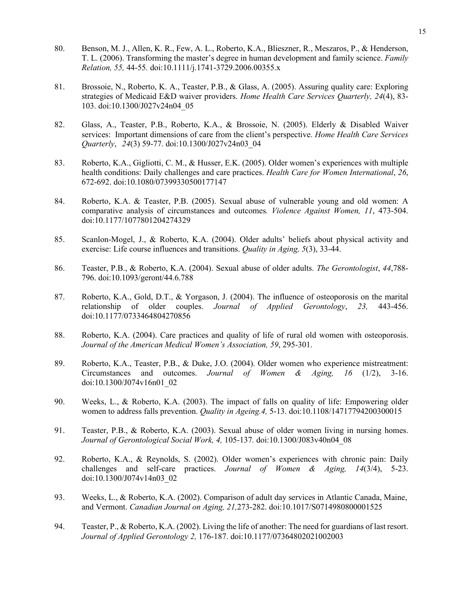- 80. Benson, M. J., Allen, K. R., Few, A. L., Roberto, K.A., Blieszner, R., Meszaros, P., & Henderson, T. L. (2006). Transforming the master's degree in human development and family science. *Family Relation, 55,* 44-55*.* doi:10.1111/j.1741-3729.2006.00355.x
- 81. Brossoie, N., Roberto, K. A., Teaster, P.B., & Glass, A. (2005). Assuring quality care: Exploring strategies of Medicaid E&D waiver providers. *Home Health Care Services Quarterly, 24*(4), 83- 103. doi:10.1300/J027v24n04\_05
- 82. Glass, A., Teaster, P.B., Roberto, K.A., & Brossoie, N. (2005). Elderly & Disabled Waiver services: Important dimensions of care from the client's perspective. *Home Health Care Services Quarterly*, *24*(3) 59-77*.* doi:10.1300/J027v24n03\_04
- 83. Roberto, K.A., Gigliotti, C. M., & Husser, E.K. (2005). Older women's experiences with multiple health conditions: Daily challenges and care practices. *Health Care for Women International*, *26*, 672-692. doi:10.1080/07399330500177147
- 84. Roberto, K.A. & Teaster, P.B. (2005). Sexual abuse of vulnerable young and old women: A comparative analysis of circumstances and outcomes*. Violence Against Women, 11*, 473-504. doi:10.1177/1077801204274329
- 85. Scanlon-Mogel, J., & Roberto, K.A. (2004). Older adults' beliefs about physical activity and exercise: Life course influences and transitions. *Quality in Aging, 5*(3), 33-44.
- 86. Teaster, P.B., & Roberto, K.A. (2004). Sexual abuse of older adults. *The Gerontologist*, *44*,788- 796. doi:10.1093/geront/44.6.788
- 87. Roberto, K.A., Gold, D.T., & Yorgason, J. (2004). The influence of osteoporosis on the marital relationship of older couples. *Journal of Applied Gerontology*, *23,* 443-456. doi:10.1177/0733464804270856
- 88. Roberto, K.A. (2004). Care practices and quality of life of rural old women with osteoporosis. *Journal of the American Medical Women's Association, 59*, 295-301.
- 89. Roberto, K.A., Teaster, P.B., & Duke, J.O. (2004). Older women who experience mistreatment: Circumstances and outcomes. *Journal of Women & Aging, 16* (1/2), 3-16. doi:10.1300/J074v16n01\_02
- 90. Weeks, L., & Roberto, K.A. (2003). The impact of falls on quality of life: Empowering older women to address falls prevention. *Quality in Ageing.4,* 5-13. doi:10.1108/14717794200300015
- 91. Teaster, P.B., & Roberto, K.A. (2003). Sexual abuse of older women living in nursing homes. *Journal of Gerontological Social Work, 4,* 105-137*.* doi:10.1300/J083v40n04\_08
- 92. Roberto, K.A., & Reynolds, S. (2002). Older women's experiences with chronic pain: Daily challenges and self-care practices. *Journal of Women & Aging, 14*(3/4), 5-23. doi:10.1300/J074v14n03\_02
- 93. Weeks, L., & Roberto, K.A. (2002). Comparison of adult day services in Atlantic Canada, Maine, and Vermont. *Canadian Journal on Aging, 21,*273-282. doi[:10.1017/S0714980800001525](http://dx.doi.org/10.1017/S0714980800001525)
- 94. Teaster, P., & Roberto, K.A. (2002). Living the life of another: The need for guardians of last resort. *Journal of Applied Gerontology 2,* 176-187. doi:10.1177/07364802021002003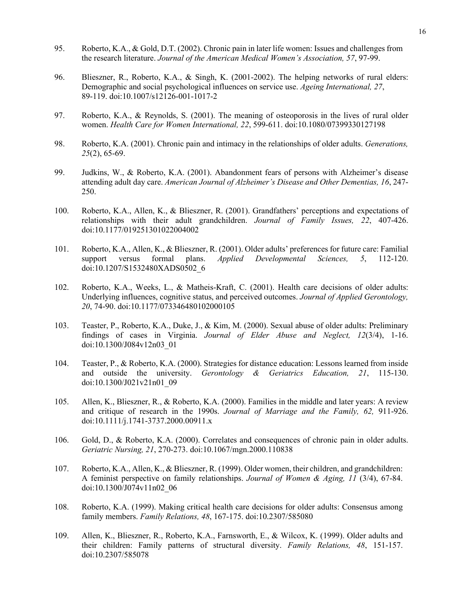- 95. Roberto, K.A., & Gold, D.T. (2002). Chronic pain in later life women: Issues and challenges from the research literature. *Journal of the American Medical Women's Association, 57*, 97-99.
- 96. Blieszner, R., Roberto, K.A., & Singh, K. (2001-2002). The helping networks of rural elders: Demographic and social psychological influences on service use. *Ageing International, 27*, 89-119. doi:10.1007/s12126-001-1017-2
- 97. Roberto, K.A., & Reynolds, S. (2001). The meaning of osteoporosis in the lives of rural older women. *Health Care for Women International, 22*, 599-611. doi:10.1080/07399330127198
- 98. Roberto, K.A. (2001). Chronic pain and intimacy in the relationships of older adults. *Generations, 25*(2), 65-69.
- 99. Judkins, W., & Roberto, K.A. (2001). Abandonment fears of persons with Alzheimer's disease attending adult day care. *American Journal of Alzheimer's Disease and Other Dementias, 16*, 247- 250.
- 100. Roberto, K.A., Allen, K., & Blieszner, R. (2001). Grandfathers' perceptions and expectations of relationships with their adult grandchildren. *Journal of Family Issues, 22*, 407-426. doi:10.1177/019251301022004002
- 101. Roberto, K.A., Allen, K., & Blieszner, R. (2001). Older adults' preferences for future care: Familial support versus formal plans. *Applied Developmental Sciences, 5*, 112-120. doi:10.1207/S1532480XADS0502\_6
- 102. Roberto, K.A., Weeks, L., & Matheis-Kraft, C. (2001). Health care decisions of older adults: Underlying influences, cognitive status, and perceived outcomes. *Journal of Applied Gerontology, 20*, 74-90. doi:10.1177/073346480102000105
- 103. Teaster, P., Roberto, K.A., Duke, J., & Kim, M. (2000). Sexual abuse of older adults: Preliminary findings of cases in Virginia. *Journal of Elder Abuse and Neglect, 12*(3/4), 1-16. doi:10.1300/J084v12n03\_01
- 104. Teaster, P., & Roberto, K.A. (2000). Strategies for distance education: Lessons learned from inside and outside the university. *Gerontology & Geriatrics Education, 21*, 115-130. doi:10.1300/J021v21n01\_09
- 105. Allen, K., Blieszner, R., & Roberto, K.A. (2000). Families in the middle and later years: A review and critique of research in the 1990s. *Journal of Marriage and the Family, 62,* 911-926. doi:10.1111/j.1741-3737.2000.00911.x
- 106. Gold, D., & Roberto, K.A. (2000). Correlates and consequences of chronic pain in older adults. *Geriatric Nursing, 21*, 270-273. [doi:10.1067/mgn.2000.110838](http://dx.doi.org/10.1067/mgn.2000.110838)
- 107. Roberto, K.A., Allen, K., & Blieszner, R. (1999). Older women, their children, and grandchildren: A feminist perspective on family relationships. *Journal of Women & Aging, 11* (3/4), 67-84. doi:10.1300/J074v11n02\_06
- 108. Roberto, K.A. (1999). Making critical health care decisions for older adults: Consensus among family members. *Family Relations, 48*, 167-175. doi:10.2307/585080
- 109. Allen, K., Blieszner, R., Roberto, K.A., Farnsworth, E., & Wilcox, K. (1999). Older adults and their children: Family patterns of structural diversity. *Family Relations, 48*, 151-157. doi:10.2307/585078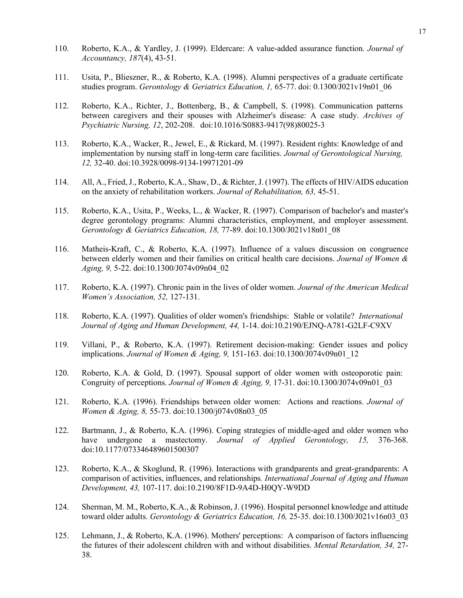- 110. Roberto, K.A., & Yardley, J. (1999). Eldercare: A value-added assurance function*. Journal of Accountancy, 187*(4), 43-51.
- 111. Usita, P., Blieszner, R., & Roberto, K.A. (1998). Alumni perspectives of a graduate certificate studies program. *Gerontology & Geriatrics Education, 1,* 65-77. doi: 0.1300/J021v19n01\_06
- 112. Roberto, K.A., Richter, J., Bottenberg, B., & Campbell, S. (1998). Communication patterns between caregivers and their spouses with Alzheimer's disease: A case study. *Archives of Psychiatric Nursing, 12*, 202-208. doi:10.1016/S0883-9417(98)80025-3
- 113. Roberto, K.A., Wacker, R., Jewel, E., & Rickard, M. (1997). Resident rights: Knowledge of and implementation by nursing staff in long-term care facilities. *Journal of Gerontological Nursing, 12,* 32-40. doi:10.3928/0098-9134-19971201-09
- 114. All, A., Fried, J., Roberto, K.A., Shaw, D., & Richter, J. (1997). The effects of HIV/AIDS education on the anxiety of rehabilitation workers. *Journal of Rehabilitation, 63,* 45-51.
- 115. Roberto, K.A., Usita, P., Weeks, L., & Wacker, R. (1997). Comparison of bachelor's and master's degree gerontology programs: Alumni characteristics, employment, and employer assessment. *Gerontology & Geriatrics Education, 18,* 77-89. doi:10.1300/J021v18n01\_08
- 116. Matheis-Kraft, C., & Roberto, K.A. (1997). Influence of a values discussion on congruence between elderly women and their families on critical health care decisions. *Journal of Women & Aging, 9,* 5-22. doi:10.1300/J074v09n04\_02
- 117. Roberto, K.A. (1997). Chronic pain in the lives of older women. *Journal of the American Medical Women's Association, 52,* 127-131.
- 118. Roberto, K.A. (1997). Qualities of older women's friendships: Stable or volatile? *International Journal of Aging and Human Development, 44,* 1-14. doi:10.2190/EJNQ-A781-G2LF-C9XV
- 119. Villani, P., & Roberto, K.A. (1997). Retirement decision-making: Gender issues and policy implications. *Journal of Women & Aging, 9,* 151-163. doi:10.1300/J074v09n01\_12
- 120. Roberto, K.A. & Gold, D. (1997). Spousal support of older women with osteoporotic pain: Congruity of perceptions. *Journal of Women & Aging, 9, 17-31.* doi:10.1300/J074v09n01\_03
- 121. Roberto, K.A. (1996). Friendships between older women: Actions and reactions. *Journal of Women & Aging, 8,* 55-73. doi:10.1300/j074v08n03\_05
- 122. Bartmann, J., & Roberto, K.A. (1996). Coping strategies of middle-aged and older women who have undergone a mastectomy. *Journal of Applied Gerontology, 15,* 376-368. doi:10.1177/073346489601500307
- 123. Roberto, K.A., & Skoglund, R. (1996). Interactions with grandparents and great-grandparents: A comparison of activities, influences, and relationships*. International Journal of Aging and Human Development, 43,* 107-117. doi:10.2190/8F1D-9A4D-H0QY-W9DD
- 124. Sherman, M. M., Roberto, K.A., & Robinson, J. (1996). Hospital personnel knowledge and attitude toward older adults. *Gerontology & Geriatrics Education, 16,* 25-35. doi:10.1300/J021v16n03\_03
- 125. Lehmann, J., & Roberto, K.A. (1996). Mothers' perceptions: A comparison of factors influencing the futures of their adolescent children with and without disabilities. *Mental Retardation, 34,* 27- 38.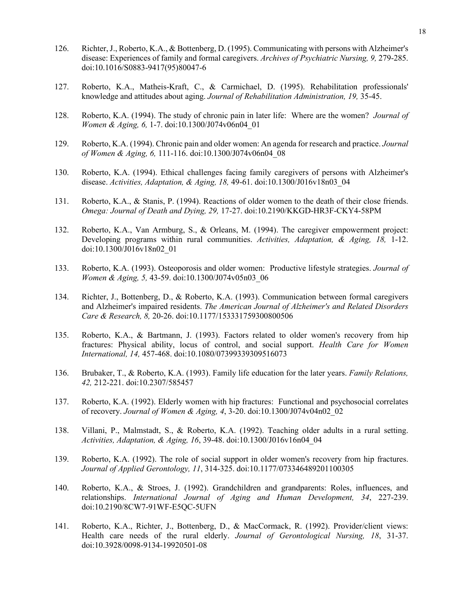- 126. Richter, J., Roberto, K.A., & Bottenberg, D. (1995). Communicating with persons with Alzheimer's disease: Experiences of family and formal caregivers. *Archives of Psychiatric Nursing, 9,* 279-285. [doi:10.1016/S0883-9417\(95\)80047-6](http://dx.doi.org/10.1016/S0883-9417(95)80047-6)
- 127. Roberto, K.A., Matheis-Kraft, C., & Carmichael, D. (1995). Rehabilitation professionals' knowledge and attitudes about aging. *Journal of Rehabilitation Administration, 19,* 35-45.
- 128. Roberto, K.A. (1994). The study of chronic pain in later life: Where are the women? *Journal of Women & Aging, 6,* 1-7. doi:10.1300/J074v06n04\_01
- 129. Roberto, K.A. (1994). Chronic pain and older women: An agenda for research and practice. *Journal of Women & Aging, 6,* 111-116. doi:10.1300/J074v06n04\_08
- 130. Roberto, K.A. (1994). Ethical challenges facing family caregivers of persons with Alzheimer's disease. *Activities, Adaptation, & Aging, 18,* 49-61. doi:10.1300/J016v18n03\_04
- 131. Roberto, K.A., & Stanis, P. (1994). Reactions of older women to the death of their close friends. *Omega: Journal of Death and Dying, 29,* 17-27. doi:10.2190/KKGD-HR3F-CKY4-58PM
- 132. Roberto, K.A., Van Armburg, S., & Orleans, M. (1994). The caregiver empowerment project: Developing programs within rural communities. *Activities, Adaptation, & Aging, 18,* 1-12. doi:10.1300/J016v18n02\_01
- 133. Roberto, K.A. (1993). Osteoporosis and older women: Productive lifestyle strategies. *Journal of Women & Aging, 5,* 43-59. doi:10.1300/J074v05n03\_06
- 134. Richter, J., Bottenberg, D., & Roberto, K.A. (1993). Communication between formal caregivers and Alzheimer's impaired residents. *The American Journal of Alzheimer's and Related Disorders Care & Research, 8,* 20-26. doi:10.1177/153331759300800506
- 135. Roberto, K.A., & Bartmann, J. (1993). Factors related to older women's recovery from hip fractures: Physical ability, locus of control, and social support. *Health Care for Women International, 14,* 457-468. doi:10.1080/07399339309516073
- 136. Brubaker, T., & Roberto, K.A. (1993). Family life education for the later years. *Family Relations, 42,* 212-221. doi:10.2307/585457
- 137. Roberto, K.A. (1992). Elderly women with hip fractures: Functional and psychosocial correlates of recovery. *Journal of Women & Aging, 4*, 3-20. doi:10.1300/J074v04n02\_02
- 138. Villani, P., Malmstadt, S., & Roberto, K.A. (1992). Teaching older adults in a rural setting. *Activities, Adaptation, & Aging, 16*, 39-48. doi:10.1300/J016v16n04\_04
- 139. Roberto, K.A. (1992). The role of social support in older women's recovery from hip fractures. *Journal of Applied Gerontology, 11*, 314-325. doi:10.1177/073346489201100305
- 140. Roberto, K.A., & Stroes, J. (1992). Grandchildren and grandparents: Roles, influences, and relationships. *International Journal of Aging and Human Development, 34*, 227-239. doi:10.2190/8CW7-91WF-E5QC-5UFN
- 141. Roberto, K.A., Richter, J., Bottenberg, D., & MacCormack, R. (1992). Provider/client views: Health care needs of the rural elderly. *Journal of Gerontological Nursing, 18*, 31-37. doi:10.3928/0098-9134-19920501-08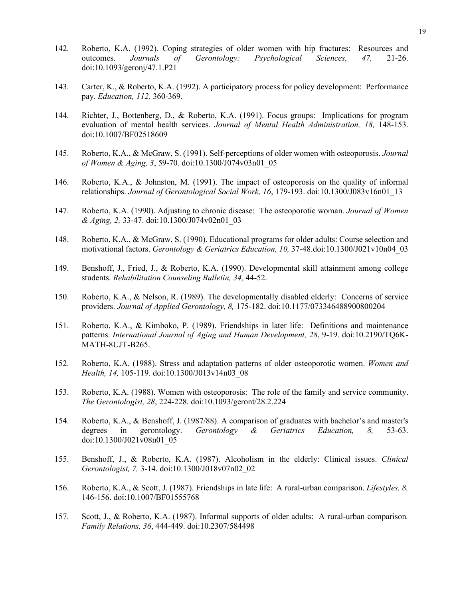- 142. Roberto, K.A. (1992). Coping strategies of older women with hip fractures: Resources and outcomes. *Journals of Gerontology: Psychological Sciences, 47,* 21-26. doi:10.1093/geronj/47.1.P21
- 143. Carter, K., & Roberto, K.A. (1992). A participatory process for policy development: Performance pay*. Education, 112,* 360-369.
- 144. Richter, J., Bottenberg, D., & Roberto, K.A. (1991). Focus groups: Implications for program evaluation of mental health services*. Journal of Mental Health Administration, 18,* 148-153. doi:10.1007/BF02518609
- 145. Roberto, K.A., & McGraw, S. (1991). Self-perceptions of older women with osteoporosis. *Journal of Women & Aging, 3*, 59-70. doi:10.1300/J074v03n01\_05
- 146. Roberto, K.A., & Johnston, M. (1991). The impact of osteoporosis on the quality of informal relationships. *Journal of Gerontological Social Work, 16*, 179-193. doi:10.1300/J083v16n01\_13
- 147. Roberto, K.A. (1990). Adjusting to chronic disease: The osteoporotic woman. *Journal of Women & Aging, 2,* 33-47. doi:10.1300/J074v02n01\_03
- 148. Roberto, K.A., & McGraw, S. (1990). Educational programs for older adults: Course selection and motivational factors. *Gerontology & Geriatrics Education, 10,* 37-48.doi:10.1300/J021v10n04\_03
- 149. Benshoff, J., Fried, J., & Roberto, K.A. (1990). Developmental skill attainment among college students. *Rehabilitation Counseling Bulletin, 34,* 44-52.
- 150. Roberto, K.A., & Nelson, R. (1989). The developmentally disabled elderly: Concerns of service providers. *Journal of Applied Gerontology, 8,* 175-182. doi:10.1177/073346488900800204
- 151. Roberto, K.A., & Kimboko, P. (1989). Friendships in later life: Definitions and maintenance patterns. *International Journal of Aging and Human Development, 28*, 9-19. doi:10.2190/TQ6K-MATH-8UJT-B265.
- 152. Roberto, K.A. (1988). Stress and adaptation patterns of older osteoporotic women. *Women and Health, 14,* 105-119. doi:10.1300/J013v14n03\_08
- 153. Roberto, K.A. (1988). Women with osteoporosis: The role of the family and service community. *The Gerontologist, 28*, 224-228. doi:10.1093/geront/28.2.224
- 154. Roberto, K.A., & Benshoff, J. (1987/88). A comparison of graduates with bachelor's and master's degrees in gerontology. *Gerontology & Geriatrics Education, 8,* 53-63. doi:10.1300/J021v08n01\_05
- 155. Benshoff, J., & Roberto, K.A. (1987). Alcoholism in the elderly: Clinical issues. *Clinical Gerontologist, 7,* 3-14. doi:10.1300/J018v07n02\_02
- 156. Roberto, K.A., & Scott, J. (1987). Friendships in late life: A rural-urban comparison. *Lifestyles, 8,* 146-156. doi:10.1007/BF01555768
- 157. Scott, J., & Roberto, K.A. (1987). Informal supports of older adults: A rural-urban comparison*. Family Relations, 36*, 444-449. doi:10.2307/584498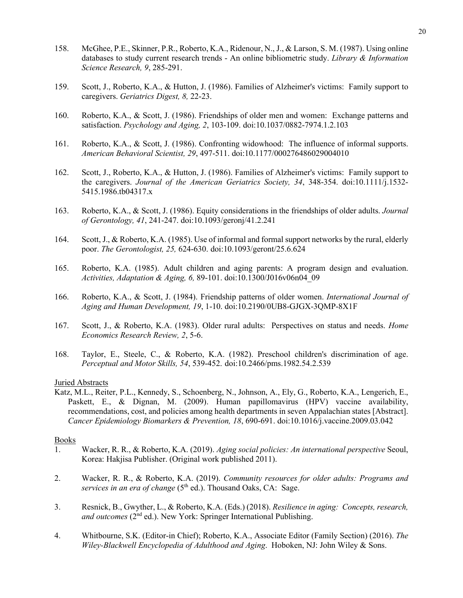- 158. McGhee, P.E., Skinner, P.R., Roberto, K.A., Ridenour, N., J., & Larson, S. M. (1987). Using online databases to study current research trends - An online bibliometric study. *Library & Information Science Research, 9*, 285-291.
- 159. Scott, J., Roberto, K.A., & Hutton, J. (1986). Families of Alzheimer's victims: Family support to caregivers. *Geriatrics Digest, 8,* 22-23.
- 160. Roberto, K.A., & Scott, J. (1986). Friendships of older men and women: Exchange patterns and satisfaction. *Psychology and Aging, 2*, 103-109. doi:10.1037/0882-7974.1.2.103
- 161. Roberto, K.A., & Scott, J. (1986). Confronting widowhood: The influence of informal supports. *American Behavioral Scientist, 29*, 497-511. doi:10.1177/000276486029004010
- 162. Scott, J., Roberto, K.A., & Hutton, J. (1986). Families of Alzheimer's victims: Family support to the caregivers. *Journal of the American Geriatrics Society, 34*, 348-354. doi:10.1111/j.1532- 5415.1986.tb04317.x
- 163. Roberto, K.A., & Scott, J. (1986). Equity considerations in the friendships of older adults. *Journal of Gerontology, 41*, 241-247. doi:10.1093/geronj/41.2.241
- 164. Scott, J., & Roberto, K.A. (1985). Use of informal and formal support networks by the rural, elderly poor. *The Gerontologist, 25,* 624-630. doi:10.1093/geront/25.6.624
- 165. Roberto, K.A. (1985). Adult children and aging parents: A program design and evaluation. *Activities, Adaptation & Aging, 6,* 89-101. doi:10.1300/J016v06n04\_09
- 166. Roberto, K.A., & Scott, J. (1984). Friendship patterns of older women. *International Journal of Aging and Human Development, 19*, 1-10. doi:10.2190/0UB8-GJGX-3QMP-8X1F
- 167. Scott, J., & Roberto, K.A. (1983). Older rural adults: Perspectives on status and needs. *Home Economics Research Review, 2*, 5-6.
- 168. Taylor, E., Steele, C., & Roberto, K.A. (1982). Preschool children's discrimination of age. *Perceptual and Motor Skills, 54*, 539-452. doi:10.2466/pms.1982.54.2.539

### Juried Abstracts

Katz, M.L., Reiter, P.L., Kennedy, S., Schoenberg, N., Johnson, A., Ely, G., Roberto, K.A., Lengerich, E., Paskett, E., & Dignan, M. (2009). Human papillomavirus (HPV) vaccine availability, recommendations, cost, and policies among health departments in seven Appalachian states [Abstract]. *Cancer Epidemiology Biomarkers & Prevention, 18*, 690-691. doi:10.1016/j.vaccine.2009.03.042

#### Books

- 1. Wacker, R. R., & Roberto, K.A. (2019). *Aging social policies: An international perspective* Seoul, Korea: Hakjisa Publisher. (Original work published 2011).
- 2. Wacker, R. R., & Roberto, K.A. (2019). *Community resources for older adults: Programs and services in an era of change* (5<sup>th</sup> ed.). Thousand Oaks, CA: Sage.
- 3. Resnick, B., Gwyther, L., & Roberto, K.A. (Eds.) (2018). *Resilience in aging: Concepts, research, and outcomes* (2<sup>nd</sup> ed.). New York: Springer International Publishing.
- 4. Whitbourne, S.K. (Editor-in Chief); Roberto, K.A., Associate Editor (Family Section) (2016). *The Wiley-Blackwell Encyclopedia of Adulthood and Aging*. Hoboken, NJ: John Wiley & Sons.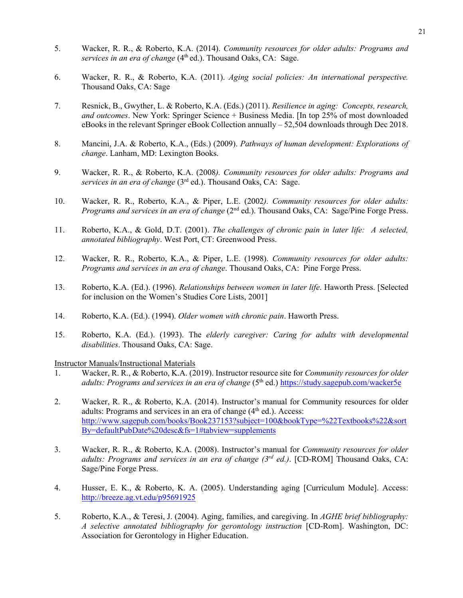- 5. Wacker, R. R., & Roberto, K.A. (2014). *Community resources for older adults: Programs and services in an era of change* (4<sup>th</sup> ed.). Thousand Oaks, CA: Sage.
- 6. Wacker, R. R., & Roberto, K.A. (2011). *Aging social policies: An international perspective.* Thousand Oaks, CA: Sage
- 7. Resnick, B., Gwyther, L. & Roberto, K.A. (Eds.) (2011). *Resilience in aging: Concepts, research, and outcomes*. New York: Springer Science + Business Media. [In top 25% of most downloaded eBooks in the relevant Springer eBook Collection annually – 52,504 downloads through Dec 2018.
- 8. Mancini, J.A. & Roberto, K.A., (Eds.) (2009). *Pathways of human development: Explorations of change*. Lanham, MD: Lexington Books.
- 9. Wacker, R. R., & Roberto, K.A. (2008*). Community resources for older adults: Programs and services in an era of change* (3rd ed.). Thousand Oaks, CA: Sage.
- 10. Wacker, R. R., Roberto, K.A., & Piper, L.E. (2002*). Community resources for older adults: Programs and services in an era of change* (2<sup>nd</sup> ed.). Thousand Oaks, CA: Sage/Pine Forge Press.
- 11. Roberto, K.A., & Gold, D.T. (2001). *The challenges of chronic pain in later life: A selected, annotated bibliography*. West Port, CT: Greenwood Press.
- 12. Wacker, R. R., Roberto, K.A., & Piper, L.E. (1998). *Community resources for older adults: Programs and services in an era of change*. Thousand Oaks, CA: Pine Forge Press.
- 13. Roberto, K.A. (Ed.). (1996). *Relationships between women in later life*. Haworth Press. [Selected for inclusion on the Women's Studies Core Lists, 2001]
- 14. Roberto, K.A. (Ed.). (1994). *Older women with chronic pain*. Haworth Press.
- 15. Roberto, K.A. (Ed.). (1993). The *elderly caregiver: Caring for adults with developmental disabilities*. Thousand Oaks, CA: Sage.

Instructor Manuals/Instructional Materials

- 1. Wacker, R. R., & Roberto, K.A. (2019). Instructor resource site for *Community resources for older*  adults: Programs and services in an era of change (5<sup>th</sup> ed.) <https://study.sagepub.com/wacker5e>
- 2. Wacker, R. R., & Roberto, K.A. (2014). Instructor's manual for Community resources for older adults: Programs and services in an era of change  $(4<sup>th</sup>$  ed.). Access: [http://www.sagepub.com/books/Book237153?subject=100&bookType=%22Textbooks%22&sort](http://www.sagepub.com/books/Book237153?subject=100&bookType=%22Textbooks%22&sortBy=defaultPubDate%20desc&fs=1#tabview=supplements) [By=defaultPubDate%20desc&fs=1#tabview=supplements](http://www.sagepub.com/books/Book237153?subject=100&bookType=%22Textbooks%22&sortBy=defaultPubDate%20desc&fs=1#tabview=supplements)
- 3. Wacker, R. R., & Roberto, K.A. (2008). Instructor's manual for *Community resources for older adults: Programs and services in an era of change (3rd ed.)*. [CD-ROM] Thousand Oaks, CA: Sage/Pine Forge Press.
- 4. Husser, E. K., & Roberto, K. A. (2005). Understanding aging [Curriculum Module]. Access: <http://breeze.ag.vt.edu/p95691925>
- 5. Roberto, K.A., & Teresi, J. (2004). Aging, families, and caregiving. In *AGHE brief bibliography: A selective annotated bibliography for gerontology instruction* [CD-Rom]. Washington, DC: Association for Gerontology in Higher Education.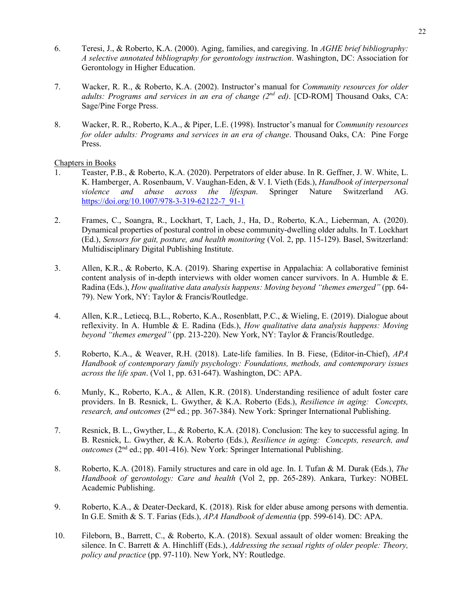- 6. Teresi, J., & Roberto, K.A. (2000). Aging, families, and caregiving. In *AGHE brief bibliography: A selective annotated bibliography for gerontology instruction*. Washington, DC: Association for Gerontology in Higher Education.
- 7. Wacker, R. R., & Roberto, K.A. (2002). Instructor's manual for *Community resources for older adults: Programs and services in an era of change (2nd ed)*. [CD-ROM] Thousand Oaks, CA: Sage/Pine Forge Press.
- 8. Wacker, R. R., Roberto, K.A., & Piper, L.E. (1998). Instructor's manual for *Community resources for older adults: Programs and services in an era of change*. Thousand Oaks, CA: Pine Forge Press.

### Chapters in Books

- 1. Teaster, P.B., & Roberto, K.A. (2020). Perpetrators of elder abuse. In R. Geffner, J. W. White, L. K. Hamberger, A. Rosenbaum, V. Vaughan-Eden, & V. I. Vieth (Eds.), *Handbook of interpersonal violence and abuse across the lifespan*. Springer Nature Switzerland AG. [https://doi.org/10.1007/978-3-319-62122-7\\_91-1](https://doi.org/10.1007/978-3-319-62122-7_91-1)
- 2. Frames, C., Soangra, R., Lockhart, T, Lach, J., Ha, D., Roberto, K.A., Lieberman, A. (2020). Dynamical properties of postural control in obese community-dwelling older adults. In T. Lockhart (Ed.), *Sensors for gait, posture, and health monitoring* (Vol. 2, pp. 115-129). Basel, Switzerland: Multidisciplinary Digital Publishing Institute.
- 3. Allen, K.R., & Roberto, K.A. (2019). Sharing expertise in Appalachia: A collaborative feminist content analysis of in-depth interviews with older women cancer survivors. In A. Humble & E. Radina (Eds.), *How qualitative data analysis happens: Moving beyond "themes emerged"* (pp. 64- 79). New York, NY: Taylor & Francis/Routledge.
- 4. Allen, K.R., Letiecq, B.L., Roberto, K.A., Rosenblatt, P.C., & Wieling, E. (2019). Dialogue about reflexivity. In A. Humble & E. Radina (Eds.), *How qualitative data analysis happens: Moving beyond "themes emerged"* (pp. 213-220). New York, NY: Taylor & Francis/Routledge.
- 5. Roberto, K.A., & Weaver, R.H. (2018). Late-life families. In B. Fiese, (Editor-in-Chief), *APA Handbook of contemporary family psychology: Foundations, methods, and contemporary issues across the life span*. (Vol 1, pp. 631-647). Washington, DC: APA.
- 6. Munly, K., Roberto, K.A., & Allen, K.R. (2018). Understanding resilience of adult foster care providers. In B. Resnick, L. Gwyther, & K.A. Roberto (Eds.), *Resilience in aging: Concepts, research, and outcomes* (2<sup>nd</sup> ed.; pp. 367-384). New York: Springer International Publishing.
- 7. Resnick, B. L., Gwyther, L., & Roberto, K.A. (2018). Conclusion: The key to successful aging. In B. Resnick, L. Gwyther, & K.A. Roberto (Eds.), *Resilience in aging: Concepts, research, and outcomes* ( $2<sup>nd</sup>$  ed.; pp. 401-416). New York: Springer International Publishing.
- 8. Roberto, K.A. (2018). Family structures and care in old age. In. I. Tufan & M. Durak (Eds.), *The Handbook of* ge*rontology: Care and health* (Vol 2, pp. 265-289). Ankara, Turkey: NOBEL Academic Publishing.
- 9. Roberto, K.A., & Deater-Deckard, K. (2018). Risk for elder abuse among persons with dementia. In G.E. Smith & S. T. Farias (Eds.), *APA Handbook of dementia* (pp. 599-614). DC: APA.
- 10. Fileborn, B., Barrett, C., & Roberto, K.A. (2018). Sexual assault of older women: Breaking the silence. In C. Barrett & A. Hinchliff (Eds.), *Addressing the sexual rights of older people: Theory, policy and practice* (pp. 97-110). New York, NY: Routledge.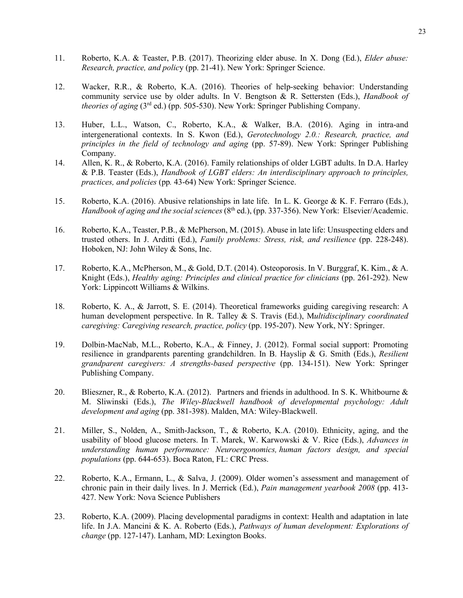- 11. Roberto, K.A. & Teaster, P.B. (2017). Theorizing elder abuse. In X. Dong (Ed.), *Elder abuse: Research, practice, and polic*y (pp. 21-41). New York: Springer Science.
- 12. Wacker, R.R., & Roberto, K.A. (2016). Theories of help-seeking behavior: Understanding community service use by older adults. In V. Bengtson & R. Settersten (Eds.), *Handbook of theories of aging* (3rd ed.) (pp. 505-530). New York: Springer Publishing Company.
- 13. Huber, L.L., Watson, C., Roberto, K.A., & Walker, B.A. (2016). Aging in intra-and intergenerational contexts. In S. Kwon (Ed.), *Gerotechnology 2.0.: Research, practice, and principles in the field of technology and aging* (pp. 57-89). New York: Springer Publishing Company.
- 14. Allen, K. R., & Roberto, K.A. (2016). Family relationships of older LGBT adults. In D.A. Harley & P.B. Teaster (Eds.), *Handbook of LGBT elders: An interdisciplinary approach to principles, practices, and policies* (pp*.* 43-64) New York: Springer Science.
- 15. Roberto, K.A. (2016). Abusive relationships in late life. In L. K. George & K. F. Ferraro (Eds.), *Handbook of aging and the social sciences* (8<sup>th</sup> ed.), (pp. 337-356). New York: Elsevier/Academic.
- 16. Roberto, K.A., Teaster, P.B., & McPherson, M. (2015). Abuse in late life: Unsuspecting elders and trusted others. In J. Arditti (Ed.), *Family problems: Stress, risk, and resilience* (pp. 228-248). Hoboken, NJ: John Wiley & Sons, Inc.
- 17. Roberto, K.A., McPherson, M., & Gold, D.T. (2014). Osteoporosis. In V. Burggraf, K. Kim., & A. Knight (Eds.), *Healthy aging: Principles and clinical practice for clinicians* (pp. 261-292). New York: Lippincott Williams & Wilkins.
- 18. Roberto, K. A., & Jarrott, S. E. (2014). Theoretical frameworks guiding caregiving research: A human development perspective. In R. Talley & S. Travis (Ed.), M*ultidisciplinary coordinated caregiving: Caregiving research, practice, policy* (pp. 195-207). New York, NY: Springer.
- 19. Dolbin-MacNab, M.L., Roberto, K.A., & Finney, J. (2012). Formal social support: Promoting resilience in grandparents parenting grandchildren. In B. Hayslip & G. Smith (Eds.), *Resilient grandparent caregivers: A strengths-based perspective* (pp. 134-151). New York: Springer Publishing Company.
- 20. Blieszner, R., & Roberto, K.A. (2012). Partners and friends in adulthood. In S. K. Whitbourne & M. Sliwinski (Eds.), *The Wiley-Blackwell handbook of developmental psychology: Adult development and aging* (pp. 381-398). Malden, MA: Wiley-Blackwell.
- 21. Miller, S., Nolden, A., Smith-Jackson, T., & Roberto, K.A. (2010). Ethnicity, aging, and the usability of blood glucose meters. In T. Marek, W. Karwowski & V. Rice (Eds.), *Advances in understanding human performance: Neuroergonomics, human factors design, and special populations* (pp. 644-653). Boca Raton, FL: CRC Press.
- 22. Roberto, K.A., Ermann, L., & Salva, J. (2009). Older women's assessment and management of chronic pain in their daily lives. In J. Merrick (Ed.), *Pain management yearbook 2008* (pp. 413- 427. New York: Nova Science Publishers
- 23. Roberto, K.A. (2009). Placing developmental paradigms in context: Health and adaptation in late life. In J.A. Mancini & K. A. Roberto (Eds.), *Pathways of human development: Explorations of change* (pp. 127-147). Lanham, MD: Lexington Books.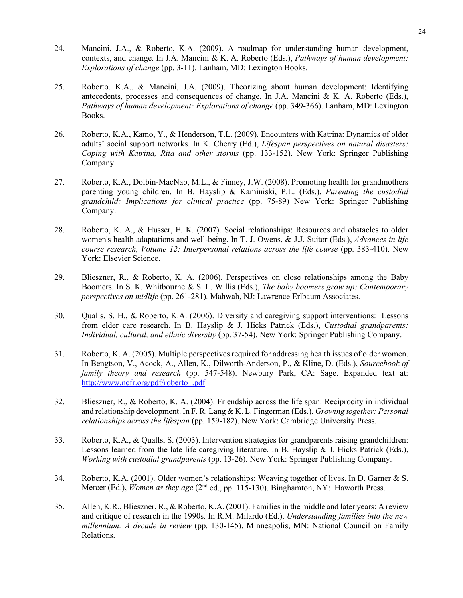- 24. Mancini, J.A., & Roberto, K.A. (2009). A roadmap for understanding human development, contexts, and change. In J.A. Mancini & K. A. Roberto (Eds.), *Pathways of human development: Explorations of change* (pp. 3-11). Lanham, MD: Lexington Books.
- 25. Roberto, K.A., & Mancini, J.A. (2009). Theorizing about human development: Identifying antecedents, processes and consequences of change. In J.A. Mancini & K. A. Roberto (Eds.), *Pathways of human development: Explorations of change* (pp. 349-366). Lanham, MD: Lexington Books.
- 26. Roberto, K.A., Kamo, Y., & Henderson, T.L. (2009). Encounters with Katrina: Dynamics of older adults' social support networks. In K. Cherry (Ed.), *Lifespan perspectives on natural disasters: Coping with Katrina, Rita and other storms* (pp. 133-152). New York: Springer Publishing Company.
- 27. Roberto, K.A., Dolbin-MacNab, M.L., & Finney, J.W. (2008). Promoting health for grandmothers parenting young children. In B. Hayslip & Kaminiski, P.L. (Eds.), *Parenting the custodial grandchild: Implications for clinical practice* (pp. 75-89) New York: Springer Publishing Company.
- 28. Roberto, K. A., & Husser, E. K. (2007). Social relationships: Resources and obstacles to older women's health adaptations and well-being. In T. J. Owens, & J.J. Suitor (Eds.), *Advances in life course research, Volume 12: Interpersonal relations across the life course* (pp. 383-410). New York: Elsevier Science.
- 29. Blieszner, R., & Roberto, K. A. (2006). Perspectives on close relationships among the Baby Boomers. In S. K. Whitbourne & S. L. Willis (Eds.), *The baby boomers grow up: Contemporary perspectives on midlife* (pp. 261-281)*.* Mahwah, NJ: Lawrence Erlbaum Associates.
- 30. Qualls, S. H., & Roberto, K.A. (2006). Diversity and caregiving support interventions: Lessons from elder care research. In B. Hayslip & J. Hicks Patrick (Eds.), *Custodial grandparents: Individual, cultural, and ethnic diversity* (pp. 37-54). New York: Springer Publishing Company.
- 31. Roberto, K. A. (2005). Multiple perspectives required for addressing health issues of older women. In Bengtson, V., Acock, A., Allen, K., Dilworth-Anderson, P., & Kline, D. (Eds.), *Sourcebook of family theory and research* (pp. 547-548). Newbury Park, CA: Sage. Expanded text at: <http://www.ncfr.org/pdf/roberto1.pdf>
- 32. Blieszner, R., & Roberto, K. A. (2004). Friendship across the life span: Reciprocity in individual and relationship development. In F. R. Lang & K. L. Fingerman (Eds.), *Growing together: Personal relationships across the lifespan* (pp. 159-182). New York: Cambridge University Press.
- 33. Roberto, K.A., & Qualls, S. (2003). Intervention strategies for grandparents raising grandchildren: Lessons learned from the late life caregiving literature. In B. Hayslip & J. Hicks Patrick (Eds.), *Working with custodial grandparents* (pp. 13-26). New York: Springer Publishing Company.
- 34. Roberto, K.A. (2001). Older women's relationships: Weaving together of lives. In D. Garner & S. Mercer (Ed.), *Women as they age* (2<sup>nd</sup> ed., pp. 115-130). Binghamton, NY: Haworth Press.
- 35. Allen, K.R., Blieszner, R., & Roberto, K.A. (2001). Families in the middle and later years: A review and critique of research in the 1990s. In R.M. Milardo (Ed.). *Understanding families into the new millennium: A decade in review* (pp. 130-145). Minneapolis, MN: National Council on Family Relations.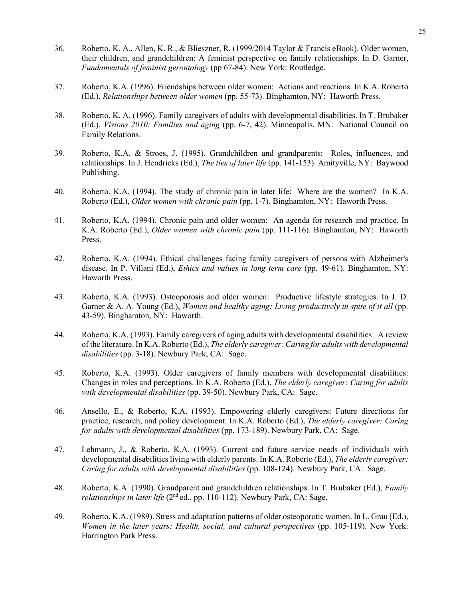- 36. Roberto, K. A., Allen, K. R., & Blieszner, R. (1999/2014 Taylor & Francis eBook). Older women, their children, and grandchildren: A feminist perspective on family relationships. In D. Garner, *Fundamentals of feminist gerontology* (pp 67-84). New York: Routledge.
- 37. Roberto, K.A. (1996). Friendships between older women: Actions and reactions. In K.A. Roberto (Ed.), *Relationships between older women* (pp. 55-73). Binghamton, NY: Haworth Press.
- 38. Roberto, K. A. (1996). Family caregivers of adults with developmental disabilities. In T. Brubaker (Ed.), *Visions 2010: Families and aging* (pp. 6-7, 42). Minneapolis, MN: National Council on Family Relations.
- 39. Roberto, K.A. & Stroes, J. (1995). Grandchildren and grandparents: Roles, influences, and relationships. In J. Hendricks (Ed.), *The ties of later life* (pp. 141-153). Amityville, NY: Baywood Publishing.
- 40. Roberto, K.A. (1994). The study of chronic pain in later life: Where are the women? In K.A. Roberto (Ed.), *Older women with chronic pain* (pp. 1-7). Binghamton, NY: Haworth Press.
- 41. Roberto, K.A. (1994). Chronic pain and older women: An agenda for research and practice. In K.A. Roberto (Ed.), *Older women with chronic pain* (pp. 111-116). Binghamton, NY: Haworth Press.
- 42. Roberto, K.A. (1994). Ethical challenges facing family caregivers of persons with Alzheimer's disease. In P. Villani (Ed.), *Ethics and values in long term care* (pp. 49-61). Binghamton, NY: Haworth Press.
- 43. Roberto, K.A. (1993). Osteoporosis and older women: Productive lifestyle strategies. In J. D. Garner & A. A. Young (Ed.), *Women and healthy aging: Living productively in spite of it all* (pp. 43-59). Binghamton, NY: Haworth.
- 44. Roberto, K.A. (1993). Family caregivers of aging adults with developmental disabilities: A review of the literature. In K.A. Roberto (Ed.), *The elderly caregiver: Caring for adults with developmental disabilities* (pp. 3-18). Newbury Park, CA: Sage.
- 45. Roberto, K.A. (1993). Older caregivers of family members with developmental disabilities: Changes in roles and perceptions. In K.A. Roberto (Ed.), *The elderly caregiver: Caring for adults with developmental disabilities* (pp. 39-50). Newbury Park, CA: Sage.
- 46. Ansello, E., & Roberto, K.A. (1993). Empowering elderly caregivers: Future directions for practice, research, and policy development. In K.A. Roberto (Ed.), *The elderly caregiver: Caring for adults with developmental disabilities* (pp. 173-189). Newbury Park, CA: Sage.
- 47. Lehmann, J., & Roberto, K.A. (1993). Current and future service needs of individuals with developmental disabilities living with elderly parents. In K.A. Roberto (Ed.), *The elderly caregiver: Caring for adults with developmental disabilities* (pp. 108-124). Newbury Park, CA: Sage.
- 48. Roberto, K.A. (1990). Grandparent and grandchildren relationships. In T. Brubaker (Ed.), *Family relationships in later life* (2<sup>nd</sup> ed., pp. 110-112). Newbury Park, CA: Sage.
- 49. Roberto, K.A. (1989). Stress and adaptation patterns of older osteoporotic women. In L. Grau (Ed.), *Women in the later years: Health, social, and cultural perspectives* (pp. 105-119). New York: Harrington Park Press.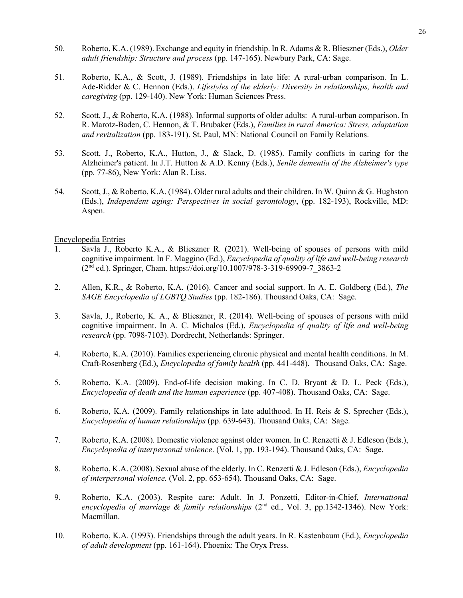- 50. Roberto, K.A. (1989). Exchange and equity in friendship. In R. Adams & R. Blieszner (Eds.), *Older adult friendship: Structure and process* (pp. 147-165). Newbury Park, CA: Sage.
- 51. Roberto, K.A., & Scott, J. (1989). Friendships in late life: A rural-urban comparison. In L. Ade-Ridder & C. Hennon (Eds.). *Lifestyles of the elderly: Diversity in relationships, health and caregiving* (pp. 129-140). New York: Human Sciences Press.
- 52. Scott, J., & Roberto, K.A. (1988). Informal supports of older adults: A rural-urban comparison. In R. Marotz-Baden, C. Hennon, & T. Brubaker (Eds.), *Families in rural America: Stress, adaptation and revitalization* (pp. 183-191). St. Paul, MN: National Council on Family Relations.
- 53. Scott, J., Roberto, K.A., Hutton, J., & Slack, D. (1985). Family conflicts in caring for the Alzheimer's patient. In J.T. Hutton & A.D. Kenny (Eds.), *Senile dementia of the Alzheimer's type* (pp. 77-86), New York: Alan R. Liss.
- 54. Scott, J., & Roberto, K.A. (1984). Older rural adults and their children. In W. Quinn & G. Hughston (Eds.), *Independent aging: Perspectives in social gerontology*, (pp. 182-193), Rockville, MD: Aspen.

#### Encyclopedia Entries

- 1. Savla J., Roberto K.A., & Blieszner R. (2021). Well-being of spouses of persons with mild cognitive impairment. In F. Maggino (Ed.), *Encyclopedia of quality of life and well-being research* (2nd ed.). Springer, Cham. https://doi.org/10.1007/978-3-319-69909-7\_3863-2
- 2. Allen, K.R., & Roberto, K.A. (2016). Cancer and social support. In A. E. Goldberg (Ed.), *The SAGE Encyclopedia of LGBTQ Studies* (pp. 182-186). Thousand Oaks, CA: Sage.
- 3. Savla, J., Roberto, K. A., & Blieszner, R. (2014). Well-being of spouses of persons with mild cognitive impairment. In A. C. Michalos (Ed.), *Encyclopedia of quality of life and well-being research* (pp. 7098-7103). Dordrecht, Netherlands: Springer.
- 4. Roberto, K.A. (2010). Families experiencing chronic physical and mental health conditions. In M. Craft-Rosenberg (Ed.), *Encyclopedia of family health* (pp. 441-448). Thousand Oaks, CA: Sage.
- 5. Roberto, K.A. (2009). End-of-life decision making. In C. D. Bryant & D. L. Peck (Eds.), *Encyclopedia of death and the human experience* (pp. 407-408). Thousand Oaks, CA: Sage.
- 6. Roberto, K.A. (2009). Family relationships in late adulthood. In H. Reis & S. Sprecher (Eds.), *Encyclopedia of human relationships* (pp. 639-643). Thousand Oaks, CA: Sage.
- 7. Roberto, K.A. (2008). Domestic violence against older women. In C. Renzetti & J. Edleson (Eds.), *Encyclopedia of interpersonal violence*. (Vol. 1, pp. 193-194). Thousand Oaks, CA: Sage.
- 8. Roberto, K.A. (2008). Sexual abuse of the elderly. In C. Renzetti & J. Edleson (Eds.), *Encyclopedia of interpersonal violence.* (Vol. 2, pp. 653-654). Thousand Oaks, CA: Sage.
- 9. Roberto, K.A. (2003). Respite care: Adult. In J. Ponzetti, Editor-in-Chief, *International*  encyclopedia of marriage & family relationships (2<sup>nd</sup> ed., Vol. 3, pp.1342-1346). New York: Macmillan.
- 10. Roberto, K.A. (1993). Friendships through the adult years. In R. Kastenbaum (Ed.), *Encyclopedia of adult development* (pp. 161-164). Phoenix: The Oryx Press.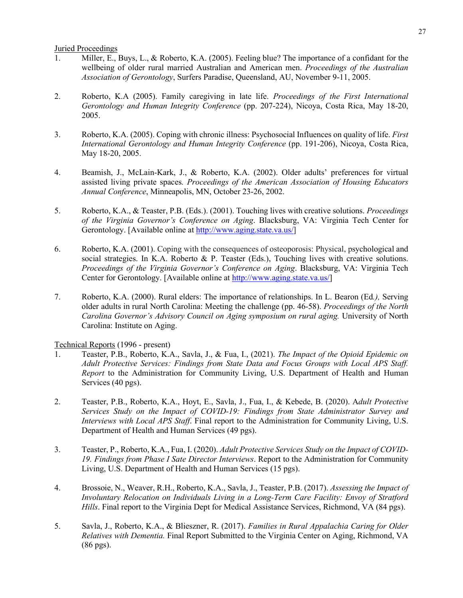Juried Proceedings

- 1. Miller, E., Buys, L., & Roberto, K.A. (2005). Feeling blue? The importance of a confidant for the wellbeing of older rural married Australian and American men. *Proceedings of the Australian Association of Gerontology*, Surfers Paradise, Queensland, AU, November 9-11, 2005.
- 2. Roberto, K.A (2005). Family caregiving in late life. *Proceedings of the First International Gerontology and Human Integrity Conference* (pp. 207-224), Nicoya, Costa Rica, May 18-20, 2005.
- 3. Roberto, K.A. (2005). Coping with chronic illness: Psychosocial Influences on quality of life. *First International Gerontology and Human Integrity Conference* (pp. 191-206), Nicoya, Costa Rica, May 18-20, 2005.
- 4. Beamish, J., McLain-Kark, J., & Roberto, K.A. (2002). Older adults' preferences for virtual assisted living private spaces*. Proceedings of the American Association of Housing Educators Annual Conference*, Minneapolis, MN, October 23-26, 2002.
- 5. Roberto, K.A., & Teaster, P.B. (Eds.). (2001). Touching lives with creative solutions. *Proceedings of the Virginia Governor's Conference on Aging*. Blacksburg, VA: Virginia Tech Center for Gerontology. [Available online at [http://www.aging.state.va.us/\]](http://www.aging.state.va.us/)
- 6. Roberto, K.A. (2001). Coping with the consequences of osteoporosis: Physical, psychological and social strategies. In K.A. Roberto & P. Teaster (Eds.), Touching lives with creative solutions. *Proceedings of the Virginia Governor's Conference on Aging*. Blacksburg, VA: Virginia Tech Center for Gerontology. [Available online at [http://www.aging.state.va.us/\]](http://www.aging.state.va.us/)
- 7. Roberto, K.A. (2000). Rural elders: The importance of relationships. In L. Bearon (Ed*.),* Serving older adults in rural North Carolina: Meeting the challenge (pp. 46-58). *Proceedings of the North Carolina Governor's Advisory Council on Aging symposium on rural aging.* University of North Carolina: Institute on Aging.

Technical Reports (1996 - present)

- 1. Teaster, P.B., Roberto, K.A., Savla, J., & Fua, I., (2021). *The Impact of the Opioid Epidemic on Adult Protective Services: Findings from State Data and Focus Groups with Local APS Staff. Report* to the Administration for Community Living, U.S. Department of Health and Human Services (40 pgs).
- 2. Teaster, P.B., Roberto, K.A., Hoyt, E., Savla, J., Fua, I., & Kebede, B. (2020). A*dult Protective Services Study on the Impact of COVID-19: Findings from State Administrator Survey and Interviews with Local APS Staff*. Final report to the Administration for Community Living, U.S. Department of Health and Human Services (49 pgs).
- 3. Teaster, P., Roberto, K.A., Fua, I. (2020). *Adult Protective Services Study on the Impact of COVID-19. Findings from Phase I Sate Director Interviews*. Report to the Administration for Community Living, U.S. Department of Health and Human Services (15 pgs).
- 4. Brossoie, N., Weaver, R.H., Roberto, K.A., Savla, J., Teaster, P.B. (2017). *Assessing the Impact of Involuntary Relocation on Individuals Living in a Long-Term Care Facility: Envoy of Stratford Hills*. Final report to the Virginia Dept for Medical Assistance Services, Richmond, VA (84 pgs).
- 5. Savla, J., Roberto, K.A., & Blieszner, R. (2017). *Families in Rural Appalachia Caring for Older Relatives with Dementia.* Final Report Submitted to the Virginia Center on Aging, Richmond, VA (86 pgs).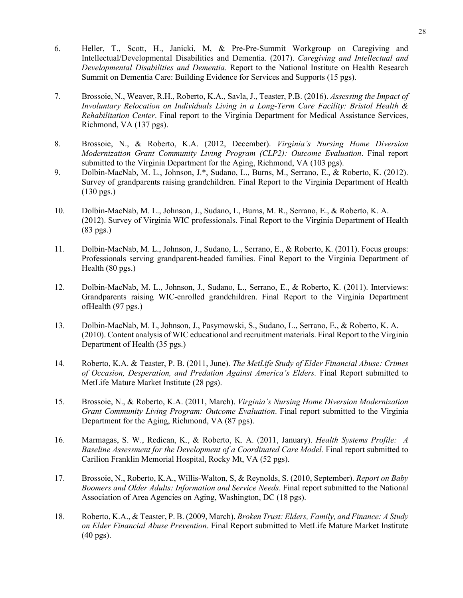- 6. Heller, T., Scott, H., Janicki, M, & Pre-Pre-Summit Workgroup on Caregiving and Intellectual/Developmental Disabilities and Dementia. (2017). *Caregiving and Intellectual and Developmental Disabilities and Dementia.* Report to the National Institute on Health Research Summit on Dementia Care: Building Evidence for Services and Supports (15 pgs).
- 7. Brossoie, N., Weaver, R.H., Roberto, K.A., Savla, J., Teaster, P.B. (2016). *Assessing the Impact of Involuntary Relocation on Individuals Living in a Long-Term Care Facility: Bristol Health & Rehabilitation Center*. Final report to the Virginia Department for Medical Assistance Services, Richmond, VA (137 pgs).
- 8. Brossoie, N., & Roberto, K.A. (2012, December). *Virginia's Nursing Home Diversion Modernization Grant Community Living Program (CLP2): Outcome Evaluation*. Final report submitted to the Virginia Department for the Aging, Richmond, VA (103 pgs).
- 9. Dolbin-MacNab, M. L., Johnson, J.\*, Sudano, L., Burns, M., Serrano, E., & Roberto, K. (2012). Survey of grandparents raising grandchildren. Final Report to the Virginia Department of Health (130 pgs.)
- 10. Dolbin-MacNab, M. L., Johnson, J., Sudano, L, Burns, M. R., Serrano, E., & Roberto, K. A. (2012). Survey of Virginia WIC professionals. Final Report to the Virginia Department of Health (83 pgs.)
- 11. Dolbin-MacNab, M. L., Johnson, J., Sudano, L., Serrano, E., & Roberto, K. (2011). Focus groups: Professionals serving grandparent-headed families. Final Report to the Virginia Department of Health (80 pgs.)
- 12. Dolbin-MacNab, M. L., Johnson, J., Sudano, L., Serrano, E., & Roberto, K. (2011). Interviews: Grandparents raising WIC-enrolled grandchildren. Final Report to the Virginia Department ofHealth (97 pgs.)
- 13. Dolbin-MacNab, M. L, Johnson, J., Pasymowski, S., Sudano, L., Serrano, E., & Roberto, K. A. (2010). Content analysis of WIC educational and recruitment materials. Final Report to the Virginia Department of Health (35 pgs.)
- 14. Roberto, K.A. & Teaster, P. B. (2011, June). *The MetLife Study of Elder Financial Abuse: Crimes of Occasion, Desperation, and Predation Against America's Elders.* Final Report submitted to MetLife Mature Market Institute (28 pgs).
- 15. Brossoie, N., & Roberto, K.A. (2011, March). *Virginia's Nursing Home Diversion Modernization Grant Community Living Program: Outcome Evaluation*. Final report submitted to the Virginia Department for the Aging, Richmond, VA (87 pgs).
- 16. Marmagas, S. W., Redican, K., & Roberto, K. A. (2011, January). *Health Systems Profile: A Baseline Assessment for the Development of a Coordinated Care Model.* Final report submitted to Carilion Franklin Memorial Hospital, Rocky Mt, VA (52 pgs).
- 17. Brossoie, N., Roberto, K.A., Willis-Walton, S, & Reynolds, S. (2010, September). *Report on Baby Boomers and Older Adults: Information and Service Needs*. Final report submitted to the National Association of Area Agencies on Aging, Washington, DC (18 pgs).
- 18. Roberto, K.A., & Teaster, P. B. (2009, March). *Broken Trust: Elders, Family, and Finance: A Study on Elder Financial Abuse Prevention*. Final Report submitted to MetLife Mature Market Institute (40 pgs).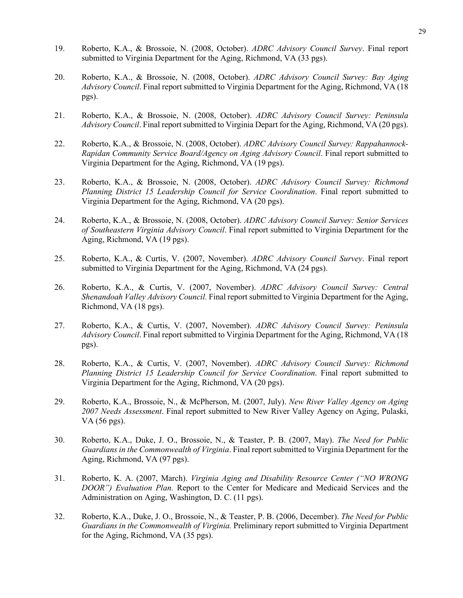- 19. Roberto, K.A., & Brossoie, N. (2008, October). *ADRC Advisory Council Survey*. Final report submitted to Virginia Department for the Aging, Richmond, VA (33 pgs).
- 20. Roberto, K.A., & Brossoie, N. (2008, October). *ADRC Advisory Council Survey: Bay Aging Advisory Council*. Final report submitted to Virginia Department for the Aging, Richmond, VA (18 pgs).
- 21. Roberto, K.A., & Brossoie, N. (2008, October). *ADRC Advisory Council Survey: Peninsula Advisory Council*. Final report submitted to Virginia Depart for the Aging, Richmond, VA (20 pgs).
- 22. Roberto, K.A., & Brossoie, N. (2008, October). *ADRC Advisory Council Survey: Rappahannock-Rapidan Community Service Board/Agency on Aging Advisory Council*. Final report submitted to Virginia Department for the Aging, Richmond, VA (19 pgs).
- 23. Roberto, K.A., & Brossoie, N. (2008, October). *ADRC Advisory Council Survey: Richmond Planning District 15 Leadership Council for Service Coordination*. Final report submitted to Virginia Department for the Aging, Richmond, VA (20 pgs).
- 24. Roberto, K.A., & Brossoie, N. (2008, October). *ADRC Advisory Council Survey: Senior Services of Southeastern Virginia Advisory Council*. Final report submitted to Virginia Department for the Aging, Richmond, VA (19 pgs).
- 25. Roberto, K.A., & Curtis, V. (2007, November). *ADRC Advisory Council Survey*. Final report submitted to Virginia Department for the Aging, Richmond, VA (24 pgs).
- 26. Roberto, K.A., & Curtis, V. (2007, November). *ADRC Advisory Council Survey: Central Shenandoah Valley Advisory Council.* Final report submitted to Virginia Department for the Aging, Richmond, VA (18 pgs).
- 27. Roberto, K.A., & Curtis, V. (2007, November). *ADRC Advisory Council Survey: Peninsula Advisory Council*. Final report submitted to Virginia Department for the Aging, Richmond, VA (18 pgs).
- 28. Roberto, K.A., & Curtis, V. (2007, November). *ADRC Advisory Council Survey: Richmond Planning District 15 Leadership Council for Service Coordination*. Final report submitted to Virginia Department for the Aging, Richmond, VA (20 pgs).
- 29. Roberto, K.A., Brossoie, N., & McPherson, M. (2007, July). *New River Valley Agency on Aging 2007 Needs Assessment*. Final report submitted to New River Valley Agency on Aging, Pulaski, VA (56 pgs).
- 30. Roberto, K.A., Duke, J. O., Brossoie, N., & Teaster, P. B. (2007, May). *The Need for Public Guardians in the Commonwealth of Virginia*. Final report submitted to Virginia Department for the Aging, Richmond, VA (97 pgs).
- 31. Roberto, K. A. (2007, March). *Virginia Aging and Disability Resource Center ("NO WRONG DOOR") Evaluation Plan.* Report to the Center for Medicare and Medicaid Services and the Administration on Aging, Washington, D. C. (11 pgs).
- 32. Roberto, K.A., Duke, J. O., Brossoie, N., & Teaster, P. B. (2006, December). *The Need for Public Guardians in the Commonwealth of Virginia.* Preliminary report submitted to Virginia Department for the Aging, Richmond, VA (35 pgs).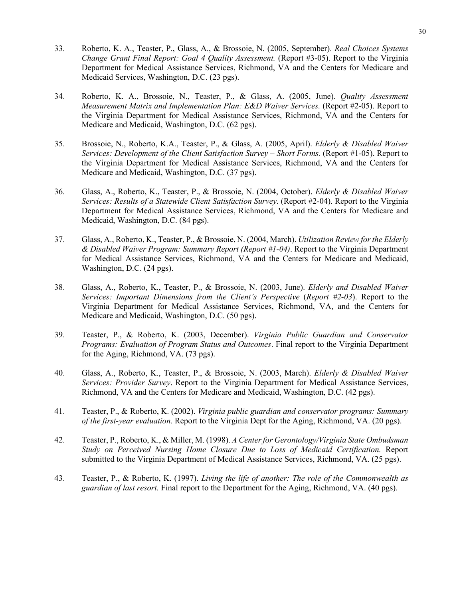- 33. Roberto, K. A., Teaster, P., Glass, A., & Brossoie, N. (2005, September). *Real Choices Systems Change Grant Final Report: Goal 4 Quality Assessment.* (Report #3-05). Report to the Virginia Department for Medical Assistance Services, Richmond, VA and the Centers for Medicare and Medicaid Services, Washington, D.C. (23 pgs).
- 34. Roberto, K. A., Brossoie, N., Teaster, P., & Glass, A. (2005, June). *Quality Assessment Measurement Matrix and Implementation Plan: E&D Waiver Services.* (Report #2-05). Report to the Virginia Department for Medical Assistance Services, Richmond, VA and the Centers for Medicare and Medicaid, Washington, D.C. (62 pgs).
- 35. Brossoie, N., Roberto, K.A., Teaster, P., & Glass, A. (2005, April). *Elderly & Disabled Waiver Services: Development of the Client Satisfaction Survey – Short Forms.* (Report #1-05). Report to the Virginia Department for Medical Assistance Services, Richmond, VA and the Centers for Medicare and Medicaid, Washington, D.C. (37 pgs).
- 36. Glass, A., Roberto, K., Teaster, P., & Brossoie, N. (2004, October). *Elderly & Disabled Waiver Services: Results of a Statewide Client Satisfaction Survey.* (Report #2-04). Report to the Virginia Department for Medical Assistance Services, Richmond, VA and the Centers for Medicare and Medicaid, Washington, D.C. (84 pgs).
- 37. Glass, A., Roberto, K., Teaster, P., & Brossoie, N. (2004, March). *Utilization Review for the Elderly & Disabled Waiver Program: Summary Report (Report #1-04)*. Report to the Virginia Department for Medical Assistance Services, Richmond, VA and the Centers for Medicare and Medicaid, Washington, D.C. (24 pgs).
- 38. Glass, A., Roberto, K., Teaster, P., & Brossoie, N. (2003, June). *Elderly and Disabled Waiver Services: Important Dimensions from the Client's Perspective* (*Report #2-03*). Report to the Virginia Department for Medical Assistance Services, Richmond, VA, and the Centers for Medicare and Medicaid, Washington, D.C. (50 pgs).
- 39. Teaster, P., & Roberto, K. (2003, December). *Virginia Public Guardian and Conservator Programs: Evaluation of Program Status and Outcomes*. Final report to the Virginia Department for the Aging, Richmond, VA. (73 pgs).
- 40. Glass, A., Roberto, K., Teaster, P., & Brossoie, N. (2003, March). *Elderly & Disabled Waiver Services: Provider Survey*. Report to the Virginia Department for Medical Assistance Services, Richmond, VA and the Centers for Medicare and Medicaid, Washington, D.C. (42 pgs).
- 41. Teaster, P., & Roberto, K. (2002). *Virginia public guardian and conservator programs: Summary of the first-year evaluation.* Report to the Virginia Dept for the Aging, Richmond, VA. (20 pgs).
- 42. Teaster, P., Roberto, K., & Miller, M. (1998). *A Center for Gerontology/Virginia State Ombudsman Study on Perceived Nursing Home Closure Due to Loss of Medicaid Certification.* Report submitted to the Virginia Department of Medical Assistance Services, Richmond, VA. (25 pgs).
- 43. Teaster, P., & Roberto, K. (1997). *Living the life of another: The role of the Commonwealth as guardian of last resort.* Final report to the Department for the Aging, Richmond, VA. (40 pgs).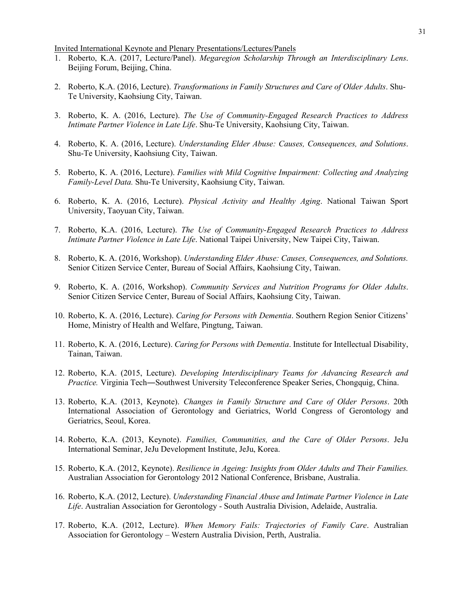Invited International Keynote and Plenary Presentations/Lectures/Panels

- 1. Roberto, K.A. (2017, Lecture/Panel). *Megaregion Scholarship Through an Interdisciplinary Lens*. Beijing Forum, Beijing, China.
- 2. Roberto, K.A. (2016, Lecture). *Transformations in Family Structures and Care of Older Adults*. Shu-Te University, Kaohsiung City, Taiwan.
- 3. Roberto, K. A. (2016, Lecture). *The Use of Community-Engaged Research Practices to Address Intimate Partner Violence in Late Life*. Shu-Te University, Kaohsiung City, Taiwan.
- 4. Roberto, K. A. (2016, Lecture). *Understanding Elder Abuse: Causes, Consequences, and Solutions*. Shu-Te University, Kaohsiung City, Taiwan.
- 5. Roberto, K. A. (2016, Lecture). *Families with Mild Cognitive Impairment: Collecting and Analyzing Family-Level Data.* Shu-Te University, Kaohsiung City, Taiwan.
- 6. Roberto, K. A. (2016, Lecture). *Physical Activity and Healthy Aging*. National Taiwan Sport University, Taoyuan City, Taiwan.
- 7. Roberto, K.A. (2016, Lecture). *The Use of Community-Engaged Research Practices to Address Intimate Partner Violence in Late Life*. National Taipei University, New Taipei City, Taiwan.
- 8. Roberto, K. A. (2016, Workshop). *Understanding Elder Abuse: Causes, Consequences, and Solutions.* Senior Citizen Service Center, Bureau of Social Affairs, Kaohsiung City, Taiwan.
- 9. Roberto, K. A. (2016, Workshop). *Community Services and Nutrition Programs for Older Adults*. Senior Citizen Service Center, Bureau of Social Affairs, Kaohsiung City, Taiwan.
- 10. Roberto, K. A. (2016, Lecture). *Caring for Persons with Dementia*. Southern Region Senior Citizens' Home, Ministry of Health and Welfare, Pingtung, Taiwan.
- 11. Roberto, K. A. (2016, Lecture). *Caring for Persons with Dementia*. Institute for Intellectual Disability, Tainan, Taiwan.
- 12. Roberto, K.A. (2015, Lecture). *Developing Interdisciplinary Teams for Advancing Research and Practice.* Virginia Tech―Southwest University Teleconference Speaker Series, Chongquig, China.
- 13. Roberto, K.A. (2013, Keynote). *Changes in Family Structure and Care of Older Persons*. 20th International Association of Gerontology and Geriatrics, World Congress of Gerontology and Geriatrics, Seoul, Korea.
- 14. Roberto, K.A. (2013, Keynote). *Families, Communities, and the Care of Older Persons*. JeJu International Seminar, JeJu Development Institute, JeJu, Korea.
- 15. Roberto, K.A. (2012, Keynote). *Resilience in Ageing: Insights from Older Adults and Their Families.* Australian Association for Gerontology 2012 National Conference, Brisbane, Australia.
- 16. Roberto, K.A. (2012, Lecture). *Understanding Financial Abuse and Intimate Partner Violence in Late Life*. Australian Association for Gerontology - South Australia Division, Adelaide, Australia.
- 17. Roberto, K.A. (2012, Lecture). *When Memory Fails: Trajectories of Family Care*. Australian Association for Gerontology – Western Australia Division, Perth, Australia.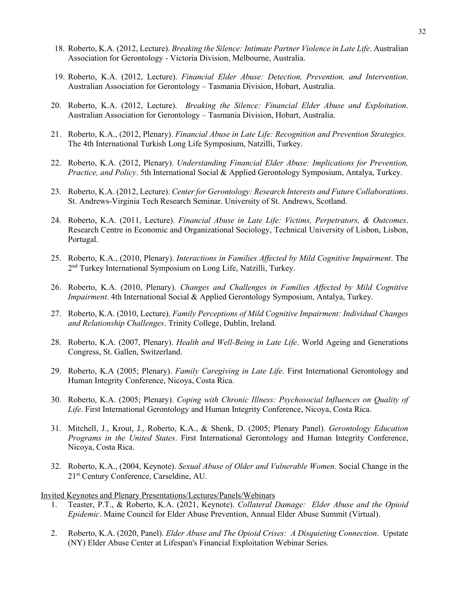- 18. Roberto, K.A. (2012, Lecture). *Breaking the Silence: Intimate Partner Violence in Late Life*. Australian Association for Gerontology - Victoria Division, Melbourne, Australia.
- 19. Roberto, K.A. (2012, Lecture). *Financial Elder Abuse: Detection, Prevention, and Intervention*. Australian Association for Gerontology – Tasmania Division, Hobart, Australia.
- 20. Roberto, K.A. (2012, Lecture). *Breaking the Silence: Financial Elder Abuse and Exploitation*. Australian Association for Gerontology – Tasmania Division, Hobart, Australia.
- 21. Roberto, K.A., (2012, Plenary). *Financial Abuse in Late Life: Recognition and Prevention Strategies*. The 4th International Turkish Long Life Symposium, Natzilli, Turkey.
- 22. Roberto, K.A. (2012, Plenary). *Understanding Financial Elder Abuse: Implications for Prevention, Practice, and Policy*. 5th International Social & Applied Gerontology Symposium, Antalya, Turkey.
- 23. Roberto, K.A. (2012, Lecture). *Center for Gerontology: Research Interests and Future Collaborations*. St. Andrews-Virginia Tech Research Seminar. University of St. Andrews, Scotland.
- 24. Roberto, K.A. (2011, Lecture). *Financial Abuse in Late Life: Victims, Perpetrators, & Outcomes*. Research Centre in Economic and Organizational Sociology, Technical University of Lisbon, Lisbon, Portugal.
- 25. Roberto, K.A., (2010, Plenary). *Interactions in Families Affected by Mild Cognitive Impairment*. The 2nd Turkey International Symposium on Long Life, Natzilli, Turkey.
- 26. Roberto, K.A. (2010, Plenary). *Changes and Challenges in Families Affected by Mild Cognitive Impairment*. 4th International Social & Applied Gerontology Symposium, Antalya, Turkey.
- 27. Roberto, K.A. (2010, Lecture). *Family Perceptions of Mild Cognitive Impairment: Individual Changes and Relationship Challenges*. Trinity College, Dublin, Ireland.
- 28. Roberto, K.A. (2007, Plenary). *Health and Well-Being in Late Life*. World Ageing and Generations Congress, St. Gallen, Switzerland.
- 29. Roberto, K.A (2005; Plenary). *Family Caregiving in Late Life*. First International Gerontology and Human Integrity Conference, Nicoya, Costa Rica.
- 30. Roberto, K.A. (2005; Plenary). *Coping with Chronic Illness: Psychosocial Influences on Quality of Life*. First International Gerontology and Human Integrity Conference, Nicoya, Costa Rica.
- 31. Mitchell, J., Krout, J., Roberto, K.A., & Shenk, D. (2005; Plenary Panel). *Gerontology Education Programs in the United States*. First International Gerontology and Human Integrity Conference, Nicoya, Costa Rica.
- 32. Roberto, K.A., (2004, Keynote). *Sexual Abuse of Older and Vulnerable Women*. Social Change in the 21st Century Conference, Carseldine, AU.

Invited Keynotes and Plenary Presentations/Lectures/Panels/Webinars

- 1. Teaster, P.T., & Roberto, K.A. (2021, Keynote). *Collateral Damage: Elder Abuse and the Opioid Epidemic*. Maine Council for Elder Abuse Prevention, Annual Elder Abuse Summit (Virtual).
- 2. Roberto, K.A. (2020, Panel). *Elder Abuse and The Opioid Crises: A Disquieting Connection*. Upstate (NY) Elder Abuse Center at Lifespan's Financial Exploitation Webinar Series.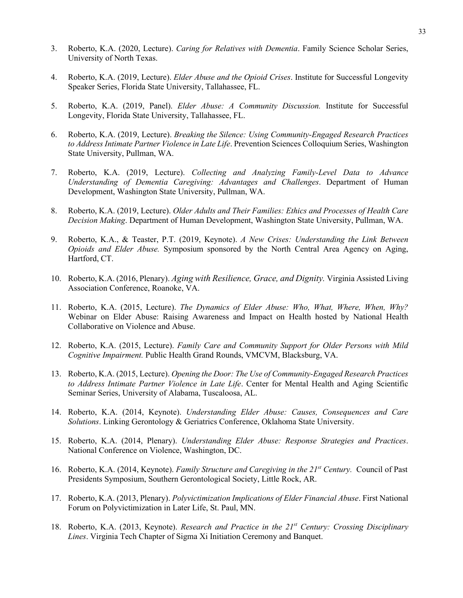- 3. Roberto, K.A. (2020, Lecture). *Caring for Relatives with Dementia*. Family Science Scholar Series, University of North Texas.
- 4. Roberto, K.A. (2019, Lecture). *Elder Abuse and the Opioid Crises*. Institute for Successful Longevity Speaker Series, Florida State University, Tallahassee, FL.
- 5. Roberto, K.A. (2019, Panel). *Elder Abuse: A Community Discussion.* Institute for Successful Longevity, Florida State University, Tallahassee, FL.
- 6. Roberto, K.A. (2019, Lecture). *Breaking the Silence: Using Community-Engaged Research Practices to Address Intimate Partner Violence in Late Life*. Prevention Sciences Colloquium Series, Washington State University, Pullman, WA.
- 7. Roberto, K.A. (2019, Lecture). *Collecting and Analyzing Family-Level Data to Advance Understanding of Dementia Caregiving: Advantages and Challenges*. Department of Human Development, Washington State University, Pullman, WA.
- 8. Roberto, K.A. (2019, Lecture). *Older Adults and Their Families: Ethics and Processes of Health Care Decision Making*. Department of Human Development, Washington State University, Pullman, WA.
- 9. Roberto, K.A., & Teaster, P.T. (2019, Keynote). *A New Crises: Understanding the Link Between Opioids and Elder Abuse.* Symposium sponsored by the North Central Area Agency on Aging, Hartford, CT.
- 10. Roberto, K.A. (2016, Plenary). *Aging with Resilience, Grace, and Dignity.* Virginia Assisted Living Association Conference, Roanoke, VA.
- 11. Roberto, K.A. (2015, Lecture). *The Dynamics of Elder Abuse: Who, What, Where, When, Why?* Webinar on Elder Abuse: Raising Awareness and Impact on Health hosted by National Health Collaborative on Violence and Abuse.
- 12. Roberto, K.A. (2015, Lecture). *Family Care and Community Support for Older Persons with Mild Cognitive Impairment.* Public Health Grand Rounds, VMCVM, Blacksburg, VA.
- 13. Roberto, K.A. (2015, Lecture). *Opening the Door: The Use of Community-Engaged Research Practices to Address Intimate Partner Violence in Late Life*. Center for Mental Health and Aging Scientific Seminar Series, University of Alabama, Tuscaloosa, AL.
- 14. Roberto, K.A. (2014, Keynote). *Understanding Elder Abuse: Causes, Consequences and Care Solutions*. Linking Gerontology & Geriatrics Conference, Oklahoma State University.
- 15. Roberto, K.A. (2014, Plenary). *Understanding Elder Abuse: Response Strategies and Practices*. National Conference on Violence, Washington, DC.
- 16. Roberto, K.A. (2014, Keynote). *Family Structure and Caregiving in the 21st Century.* Council of Past Presidents Symposium, Southern Gerontological Society, Little Rock, AR.
- 17. Roberto, K.A. (2013, Plenary). *Polyvictimization Implications of Elder Financial Abuse*. First National Forum on Polyvictimization in Later Life, St. Paul, MN.
- 18. Roberto, K.A. (2013, Keynote). *Research and Practice in the 21st Century: Crossing Disciplinary Lines*. Virginia Tech Chapter of Sigma Xi Initiation Ceremony and Banquet.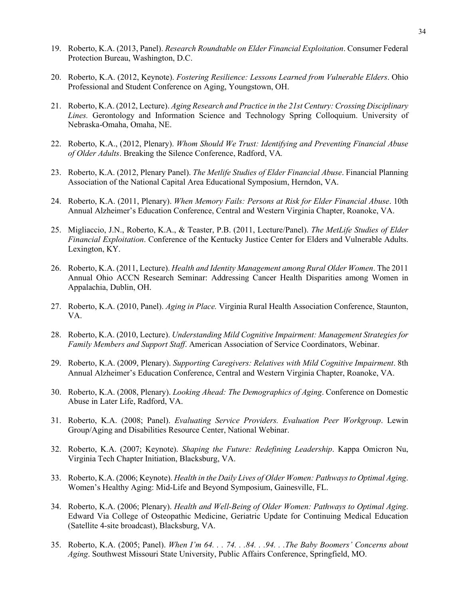- 19. Roberto, K.A. (2013, Panel). *Research Roundtable on Elder Financial Exploitation*. Consumer Federal Protection Bureau, Washington, D.C.
- 20. Roberto, K.A. (2012, Keynote). *Fostering Resilience: Lessons Learned from Vulnerable Elders*. Ohio Professional and Student Conference on Aging, Youngstown, OH.
- 21. Roberto, K.A. (2012, Lecture). *Aging Research and Practice in the 21st Century: Crossing Disciplinary Lines.* Gerontology and Information Science and Technology Spring Colloquium. University of Nebraska-Omaha, Omaha, NE.
- 22. Roberto, K.A., (2012, Plenary). *Whom Should We Trust: Identifying and Preventing Financial Abuse of Older Adults*. Breaking the Silence Conference, Radford, VA*.*
- 23. Roberto, K.A. (2012, Plenary Panel). *The Metlife Studies of Elder Financial Abuse*. Financial Planning Association of the National Capital Area Educational Symposium, Herndon, VA.
- 24. Roberto, K.A. (2011, Plenary). *When Memory Fails: Persons at Risk for Elder Financial Abuse*. 10th Annual Alzheimer's Education Conference, Central and Western Virginia Chapter, Roanoke, VA.
- 25. Migliaccio, J.N., Roberto, K.A., & Teaster, P.B. (2011, Lecture/Panel). *The MetLife Studies of Elder Financial Exploitation*. Conference of the Kentucky Justice Center for Elders and Vulnerable Adults. Lexington, KY.
- 26. Roberto, K.A. (2011, Lecture). *Health and Identity Management among Rural Older Women*. The 2011 Annual Ohio ACCN Research Seminar: Addressing Cancer Health Disparities among Women in Appalachia, Dublin, OH.
- 27. Roberto, K.A. (2010, Panel). *Aging in Place.* Virginia Rural Health Association Conference, Staunton, VA.
- 28. Roberto, K.A. (2010, Lecture). *Understanding Mild Cognitive Impairment: Management Strategies for Family Members and Support Staff*. American Association of Service Coordinators, Webinar.
- 29. Roberto, K.A. (2009, Plenary). *Supporting Caregivers: Relatives with Mild Cognitive Impairment*. 8th Annual Alzheimer's Education Conference, Central and Western Virginia Chapter, Roanoke, VA.
- 30. Roberto, K.A. (2008, Plenary). *Looking Ahead: The Demographics of Aging*. Conference on Domestic Abuse in Later Life, Radford, VA.
- 31. Roberto, K.A. (2008; Panel). *Evaluating Service Providers. Evaluation Peer Workgroup*. Lewin Group/Aging and Disabilities Resource Center, National Webinar.
- 32. Roberto, K.A. (2007; Keynote). *Shaping the Future: Redefining Leadership*. Kappa Omicron Nu, Virginia Tech Chapter Initiation, Blacksburg, VA.
- 33. Roberto, K.A. (2006; Keynote). *Health in the Daily Lives of Older Women: Pathways to Optimal Aging*. Women's Healthy Aging: Mid-Life and Beyond Symposium, Gainesville, FL.
- 34. Roberto, K.A. (2006; Plenary). *Health and Well-Being of Older Women: Pathways to Optimal Aging*. Edward Via College of Osteopathic Medicine, Geriatric Update for Continuing Medical Education (Satellite 4-site broadcast), Blacksburg, VA.
- 35. Roberto, K.A. (2005; Panel). *When I'm 64. . . 74. . .84. . .94. . .The Baby Boomers' Concerns about Aging*. Southwest Missouri State University, Public Affairs Conference, Springfield, MO.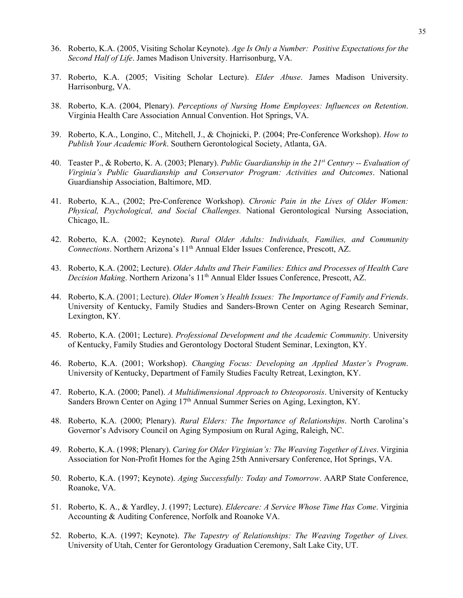- 36. Roberto, K.A. (2005, Visiting Scholar Keynote). *Age Is Only a Number: Positive Expectations for the Second Half of Life*. James Madison University. Harrisonburg, VA.
- 37. Roberto, K.A. (2005; Visiting Scholar Lecture). *Elder Abuse*. James Madison University. Harrisonburg, VA.
- 38. Roberto, K.A. (2004, Plenary). *Perceptions of Nursing Home Employees: Influences on Retention*. Virginia Health Care Association Annual Convention. Hot Springs, VA.
- 39. Roberto, K.A., Longino, C., Mitchell, J., & Chojnicki, P. (2004; Pre-Conference Workshop). *How to Publish Your Academic Work*. Southern Gerontological Society, Atlanta, GA.
- 40. Teaster P., & Roberto, K. A. (2003; Plenary). *Public Guardianship in the 21st Century -- Evaluation of Virginia's Public Guardianship and Conservator Program: Activities and Outcomes*. National Guardianship Association, Baltimore, MD.
- 41. Roberto, K.A., (2002; Pre-Conference Workshop). *Chronic Pain in the Lives of Older Women: Physical, Psychological, and Social Challenges.* National Gerontological Nursing Association, Chicago, IL.
- 42. Roberto, K.A. (2002; Keynote). *Rural Older Adults: Individuals, Families, and Community Connections*. Northern Arizona's 11<sup>th</sup> Annual Elder Issues Conference, Prescott, AZ.
- 43. Roberto, K.A. (2002; Lecture). *Older Adults and Their Families: Ethics and Processes of Health Care Decision Making*. Northern Arizona's 11th Annual Elder Issues Conference, Prescott, AZ.
- 44. Roberto, K.A. (2001; Lecture). *Older Women's Health Issues: The Importance of Family and Friends*. University of Kentucky, Family Studies and Sanders-Brown Center on Aging Research Seminar, Lexington, KY.
- 45. Roberto, K.A. (2001; Lecture). *Professional Development and the Academic Community*. University of Kentucky, Family Studies and Gerontology Doctoral Student Seminar, Lexington, KY.
- 46. Roberto, K.A. (2001; Workshop). *Changing Focus: Developing an Applied Master's Program*. University of Kentucky, Department of Family Studies Faculty Retreat, Lexington, KY.
- 47. Roberto, K.A. (2000; Panel). *A Multidimensional Approach to Osteoporosis*. University of Kentucky Sanders Brown Center on Aging 17<sup>th</sup> Annual Summer Series on Aging, Lexington, KY.
- 48. Roberto, K.A. (2000; Plenary). *Rural Elders: The Importance of Relationships*. North Carolina's Governor's Advisory Council on Aging Symposium on Rural Aging, Raleigh, NC.
- 49. Roberto, K.A. (1998; Plenary). *Caring for Older Virginian's: The Weaving Together of Lives*. Virginia Association for Non-Profit Homes for the Aging 25th Anniversary Conference, Hot Springs, VA.
- 50. Roberto, K.A. (1997; Keynote). *Aging Successfully: Today and Tomorrow*. AARP State Conference, Roanoke, VA.
- 51. Roberto, K. A., & Yardley, J. (1997; Lecture). *Eldercare: A Service Whose Time Has Come*. Virginia Accounting & Auditing Conference, Norfolk and Roanoke VA.
- 52. Roberto, K.A. (1997; Keynote). *The Tapestry of Relationships: The Weaving Together of Lives.* University of Utah, Center for Gerontology Graduation Ceremony, Salt Lake City, UT.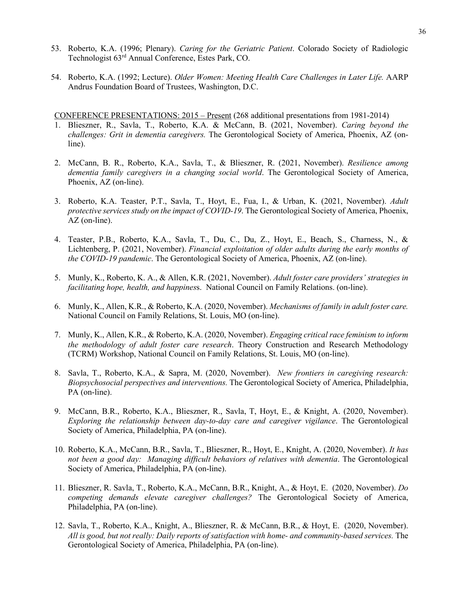- 53. Roberto, K.A. (1996; Plenary). *Caring for the Geriatric Patient*. Colorado Society of Radiologic Technologist 63rd Annual Conference, Estes Park, CO.
- 54. Roberto, K.A. (1992; Lecture). *Older Women: Meeting Health Care Challenges in Later Life.* AARP Andrus Foundation Board of Trustees, Washington, D.C.

CONFERENCE PRESENTATIONS: 2015 – Present (268 additional presentations from 1981-2014)

- 1. Blieszner, R., Savla, T., Roberto, K.A. & McCann, B. (2021, November). *Caring beyond the challenges: Grit in dementia caregivers.* The Gerontological Society of America, Phoenix, AZ (online).
- 2. McCann, B. R., Roberto, K.A., Savla, T., & Blieszner, R. (2021, November). *Resilience among dementia family caregivers in a changing social world*. The Gerontological Society of America, Phoenix, AZ (on-line).
- 3. Roberto, K.A. Teaster, P.T., Savla, T., Hoyt, E., Fua, I., & Urban, K. (2021, November). *Adult protective services study on the impact of COVID-19*. The Gerontological Society of America, Phoenix, AZ (on-line).
- 4. Teaster, P.B., Roberto, K.A., Savla, T., Du, C., Du, Z., Hoyt, E., Beach, S., Charness, N., & Lichtenberg, P. (2021, November). *Financial exploitation of older adults during the early months of the COVID-19 pandemic*. The Gerontological Society of America, Phoenix, AZ (on-line).
- 5. Munly, K., Roberto, K. A., & Allen, K.R. (2021, November). *Adult foster care providers' strategies in facilitating hope, health, and happines*s. National Council on Family Relations. (on-line).
- 6. Munly, K., Allen, K.R., & Roberto, K.A. (2020, November). *Mechanisms of family in adult foster care.*  National Council on Family Relations, St. Louis, MO (on-line).
- 7. Munly, K., Allen, K.R., & Roberto, K.A. (2020, November). *Engaging critical race feminism to inform the methodology of adult foster care research*. Theory Construction and Research Methodology (TCRM) Workshop, National Council on Family Relations, St. Louis, MO (on-line).
- 8. Savla, T., Roberto, K.A., & Sapra, M. (2020, November). *New frontiers in caregiving research: Biopsychosocial perspectives and interventions.* The Gerontological Society of America, Philadelphia, PA (on-line).
- 9. McCann, B.R., Roberto, K.A., Blieszner, R., Savla, T, Hoyt, E., & Knight, A. (2020, November). *Exploring the relationship between day-to-day care and caregiver vigilance*. The Gerontological Society of America, Philadelphia, PA (on-line).
- 10. Roberto, K.A., McCann, B.R., Savla, T., Blieszner, R., Hoyt, E., Knight, A. (2020, November). *It has not been a good day: Managing difficult behaviors of relatives with dementia*. The Gerontological Society of America, Philadelphia, PA (on-line).
- 11. Blieszner, R. Savla, T., Roberto, K.A., McCann, B.R., Knight, A., & Hoyt, E. (2020, November). *Do competing demands elevate caregiver challenges?* The Gerontological Society of America, Philadelphia, PA (on-line).
- 12. Savla, T., Roberto, K.A., Knight, A., Blieszner, R. & McCann, B.R., & Hoyt, E. (2020, November). *All is good, but not really: Daily reports of satisfaction with home- and community-based services.* The Gerontological Society of America, Philadelphia, PA (on-line).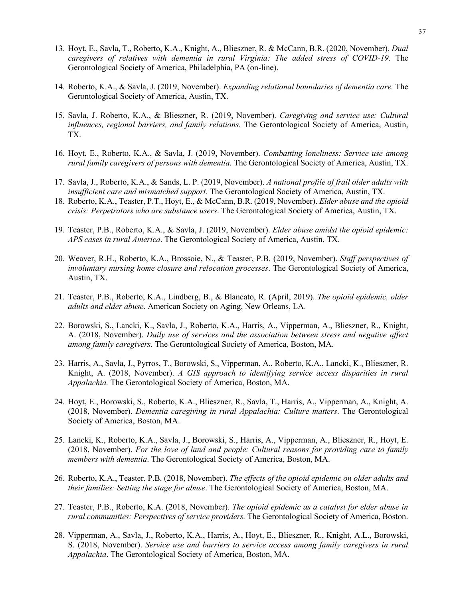- 13. Hoyt, E., Savla, T., Roberto, K.A., Knight, A., Blieszner, R. & McCann, B.R. (2020, November). *Dual caregivers of relatives with dementia in rural Virginia: The added stress of COVID-19.* The Gerontological Society of America, Philadelphia, PA (on-line).
- 14. Roberto, K.A., & Savla, J. (2019, November). *Expanding relational boundaries of dementia care.* The Gerontological Society of America, Austin, TX.
- 15. Savla, J. Roberto, K.A., & Blieszner, R. (2019, November). *Caregiving and service use: Cultural influences, regional barriers, and family relations.* The Gerontological Society of America, Austin, TX.
- 16. Hoyt, E., Roberto, K.A., & Savla, J. (2019, November). *Combatting loneliness: Service use among rural family caregivers of persons with dementia.* The Gerontological Society of America, Austin, TX.
- 17. Savla, J., Roberto, K.A., & Sands, L. P. (2019, November). *A national profile of frail older adults with insufficient care and mismatched support*. The Gerontological Society of America, Austin, TX.
- 18. Roberto, K.A., Teaster, P.T., Hoyt, E., & McCann, B.R. (2019, November). *Elder abuse and the opioid crisis: Perpetrators who are substance users*. The Gerontological Society of America, Austin, TX.
- 19. Teaster, P.B., Roberto, K.A., & Savla, J. (2019, November). *Elder abuse amidst the opioid epidemic: APS cases in rural America*. The Gerontological Society of America, Austin, TX.
- 20. Weaver, R.H., Roberto, K.A., Brossoie, N., & Teaster, P.B. (2019, November). *Staff perspectives of involuntary nursing home closure and relocation processes*. The Gerontological Society of America, Austin, TX.
- 21. Teaster, P.B., Roberto, K.A., Lindberg, B., & Blancato, R. (April, 2019). *The opioid epidemic, older adults and elder abuse*. American Society on Aging, New Orleans, LA.
- 22. Borowski, S., Lancki, K., Savla, J., Roberto, K.A., Harris, A., Vipperman, A., Blieszner, R., Knight, A. (2018, November). *Daily use of services and the association between stress and negative affect among family caregivers*. The Gerontological Society of America, Boston, MA.
- 23. Harris, A., Savla, J., Pyrros, T., Borowski, S., Vipperman, A., Roberto, K.A., Lancki, K., Blieszner, R. Knight, A. (2018, November). *A GIS approach to identifying service access disparities in rural Appalachia.* The Gerontological Society of America, Boston, MA.
- 24. Hoyt, E., Borowski, S., Roberto, K.A., Blieszner, R., Savla, T., Harris, A., Vipperman, A., Knight, A. (2018, November). *Dementia caregiving in rural Appalachia: Culture matters*. The Gerontological Society of America, Boston, MA.
- 25. Lancki, K., Roberto, K.A., Savla, J., Borowski, S., Harris, A., Vipperman, A., Blieszner, R., Hoyt, E. (2018, November). *For the love of land and people: Cultural reasons for providing care to family members with dementia*. The Gerontological Society of America, Boston, MA.
- 26. Roberto, K.A., Teaster, P.B. (2018, November). *The effects of the opioid epidemic on older adults and their families: Setting the stage for abuse*. The Gerontological Society of America, Boston, MA.
- 27. Teaster, P.B., Roberto, K.A. (2018, November). *The opioid epidemic as a catalyst for elder abuse in rural communities: Perspectives of service providers.* The Gerontological Society of America, Boston.
- 28. Vipperman, A., Savla, J., Roberto, K.A., Harris, A., Hoyt, E., Blieszner, R., Knight, A.L., Borowski, S. (2018, November). *Service use and barriers to service access among family caregivers in rural Appalachia*. The Gerontological Society of America, Boston, MA.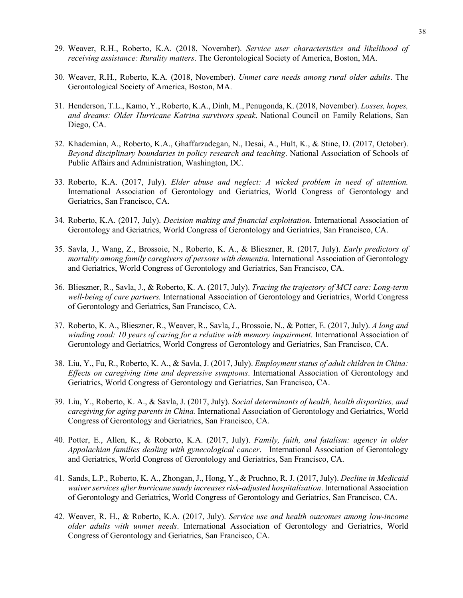- 29. Weaver, R.H., Roberto, K.A. (2018, November). *Service user characteristics and likelihood of receiving assistance: Rurality matters*. The Gerontological Society of America, Boston, MA.
- 30. Weaver, R.H., Roberto, K.A. (2018, November). *Unmet care needs among rural older adults*. The Gerontological Society of America, Boston, MA.
- 31. Henderson, T.L., Kamo, Y., Roberto, K.A., Dinh, M., Penugonda, K. (2018, November). *Losses, hopes, and dreams: Older Hurricane Katrina survivors speak*. National Council on Family Relations, San Diego, CA.
- 32. Khademian, A., Roberto, K.A., Ghaffarzadegan, N., Desai, A., Hult, K., & Stine, D. (2017, October). *Beyond disciplinary boundaries in policy research and teaching*. National Association of Schools of Public Affairs and Administration, Washington, DC.
- 33. Roberto, K.A. (2017, July). *Elder abuse and neglect: A wicked problem in need of attention.* International Association of Gerontology and Geriatrics, World Congress of Gerontology and Geriatrics, San Francisco, CA.
- 34. Roberto, K.A. (2017, July). *Decision making and financial exploitation.* International Association of Gerontology and Geriatrics, World Congress of Gerontology and Geriatrics, San Francisco, CA.
- 35. Savla, J., Wang, Z., Brossoie, N., Roberto, K. A., & Blieszner, R. (2017, July). *Early predictors of mortality among family caregivers of persons with dementia.* International Association of Gerontology and Geriatrics, World Congress of Gerontology and Geriatrics, San Francisco, CA.
- 36. Blieszner, R., Savla, J., & Roberto, K. A. (2017, July). *Tracing the trajectory of MCI care: Long-term well-being of care partners.* International Association of Gerontology and Geriatrics, World Congress of Gerontology and Geriatrics, San Francisco, CA.
- 37. Roberto, K. A., Blieszner, R., Weaver, R., Savla, J., Brossoie, N., & Potter, E. (2017, July). *A long and winding road: 10 years of caring for a relative with memory impairment.* International Association of Gerontology and Geriatrics, World Congress of Gerontology and Geriatrics, San Francisco, CA.
- 38. Liu, Y., Fu, R., Roberto, K. A., & Savla, J. (2017, July). *Employment status of adult children in China: Effects on caregiving time and depressive symptoms*. International Association of Gerontology and Geriatrics, World Congress of Gerontology and Geriatrics, San Francisco, CA.
- 39. Liu, Y., Roberto, K. A., & Savla, J. (2017, July). *Social determinants of health, health disparities, and caregiving for aging parents in China.* International Association of Gerontology and Geriatrics, World Congress of Gerontology and Geriatrics, San Francisco, CA.
- 40. Potter, E., Allen, K., & Roberto, K.A. (2017, July). *Family, faith, and fatalism: agency in older Appalachian families dealing with gynecological cancer*. International Association of Gerontology and Geriatrics, World Congress of Gerontology and Geriatrics, San Francisco, CA.
- 41. Sands, L.P., Roberto, K. A., Zhongan, J., Hong, Y., & Pruchno, R. J. (2017, July). *Decline in Medicaid waiver services after hurricane sandy increases risk-adjusted hospitalization*. International Association of Gerontology and Geriatrics, World Congress of Gerontology and Geriatrics, San Francisco, CA.
- 42. Weaver, R. H., & Roberto, K.A. (2017, July). *Service use and health outcomes among low-income older adults with unmet needs*. International Association of Gerontology and Geriatrics, World Congress of Gerontology and Geriatrics, San Francisco, CA.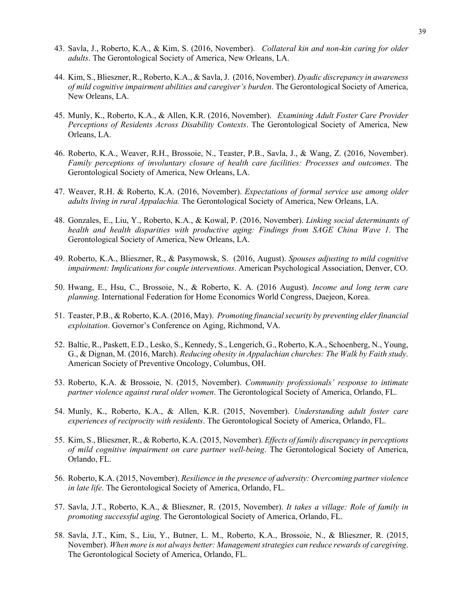- 43. Savla, J., Roberto, K.A., & Kim, S. (2016, November). *Collateral kin and non-kin caring for older adults*. The Gerontological Society of America, New Orleans, LA.
- 44. Kim, S., Blieszner, R., Roberto, K.A., & Savla, J. (2016, November). *Dyadic discrepancy in awareness of mild cognitive impairment abilities and caregiver's burden*. The Gerontological Society of America, New Orleans, LA.
- 45. Munly, K., Roberto, K.A., & Allen, K.R. (2016, November). *Examining Adult Foster Care Provider Perceptions of Residents Across Disability Contexts*. The Gerontological Society of America, New Orleans, LA.
- 46. Roberto, K.A., Weaver, R.H., Brossoie, N., Teaster, P.B., Savla, J., & Wang, Z. (2016, November). *Family perceptions of involuntary closure of health care facilities: Processes and outcomes*. The Gerontological Society of America, New Orleans, LA.
- 47. Weaver, R.H. & Roberto, K.A. (2016, November). *Expectations of formal service use among older adults living in rural Appalachia.* The Gerontological Society of America, New Orleans, LA.
- 48. Gonzales, E., Liu, Y., Roberto, K.A., & Kowal, P. (2016, November). *Linking social determinants of health and health disparities with productive aging: Findings from SAGE China Wave 1.* The Gerontological Society of America, New Orleans, LA.
- 49. Roberto, K.A., Blieszner, R., & Pasymowsk, S. (2016, August). *Spouses adjusting to mild cognitive impairment: Implications for couple interventions*. American Psychological Association, Denver, CO.
- 50. Hwang, E., Hsu, C., Brossoie, N., & Roberto, K. A. (2016 August). *Income and long term care planning*. International Federation for Home Economics World Congress, Daejeon, Korea.
- 51. Teaster, P.B., & Roberto, K.A. (2016, May). *Promoting financial security by preventing elder financial exploitation*. Governor's Conference on Aging, Richmond, VA.
- 52. Baltic, R., Paskett, E.D., Lesko, S., Kennedy, S., Lengerich, G., Roberto, K.A., Schoenberg, N., Young, G., & Dignan, M. (2016, March). *Reducing obesity in Appalachian churches: The Walk by Faith study*. American Society of Preventive Oncology, Columbus, OH.
- 53. Roberto, K.A. & Brossoie, N. (2015, November). *Community professionals' response to intimate partner violence against rural older women*. The Gerontological Society of America, Orlando, FL.
- 54. Munly, K., Roberto, K.A., & Allen, K.R. (2015, November). *Understanding adult foster care experiences of reciprocity with residents*. The Gerontological Society of America, Orlando, FL.
- 55. Kim, S., Blieszner, R., & Roberto, K.A. (2015, November). *Effects of family discrepancy in perceptions of mild cognitive impairment on care partner well-being*. The Gerontological Society of America, Orlando, FL.
- 56. Roberto, K.A. (2015, November). *Resilience in the presence of adversity: Overcoming partner violence in late life*. The Gerontological Society of America, Orlando, FL.
- 57. Savla, J.T., Roberto, K.A., & Blieszner, R. (2015, November). *It takes a village: Role of family in promoting successful aging*. The Gerontological Society of America, Orlando, FL.
- 58. Savla, J.T., Kim, S., Liu, Y., Butner, L. M., Roberto, K.A., Brossoie, N., & Blieszner, R. (2015, November). *When more is not always better: Management strategies can reduce rewards of caregiving*. The Gerontological Society of America, Orlando, FL.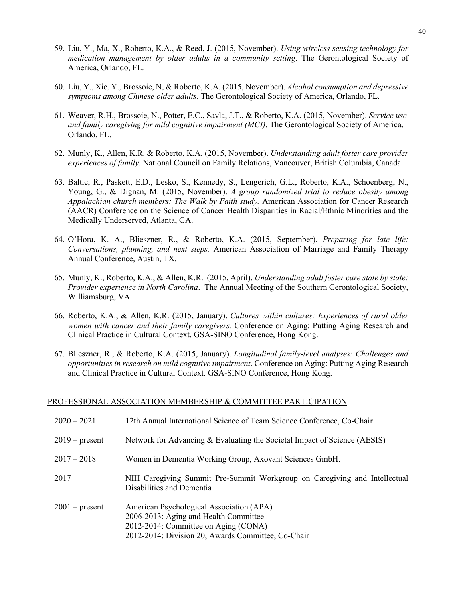- 59. Liu, Y., Ma, X., Roberto, K.A., & Reed, J. (2015, November). *Using wireless sensing technology for medication management by older adults in a community setting*. The Gerontological Society of America, Orlando, FL.
- 60. Liu, Y., Xie, Y., Brossoie, N, & Roberto, K.A. (2015, November). *Alcohol consumption and depressive symptoms among Chinese older adults*. The Gerontological Society of America, Orlando, FL.
- 61. Weaver, R.H., Brossoie, N., Potter, E.C., Savla, J.T., & Roberto, K.A. (2015, November). *Service use and family caregiving for mild cognitive impairment (MCI)*. The Gerontological Society of America, Orlando, FL.
- 62. Munly, K., Allen, K.R. & Roberto, K.A. (2015, November). *Understanding adult foster care provider experiences of family*. National Council on Family Relations, Vancouver, British Columbia, Canada.
- 63. Baltic, R., Paskett, E.D., Lesko, S., Kennedy, S., Lengerich, G.L., Roberto, K.A., Schoenberg, N., Young, G., & Dignan, M. (2015, November). *A group randomized trial to reduce obesity among Appalachian church members: The Walk by Faith study.* American Association for Cancer Research (AACR) Conference on the Science of Cancer Health Disparities in Racial/Ethnic Minorities and the Medically Underserved, Atlanta, GA.
- 64. O'Hora, K. A., Blieszner, R., & Roberto, K.A. (2015, September). *Preparing for late life: Conversations, planning, and next steps.* American Association of Marriage and Family Therapy Annual Conference, Austin, TX.
- 65. Munly, K., Roberto, K.A., & Allen, K.R. (2015, April). *Understanding adult foster care state by state: Provider experience in North Carolina*. The Annual Meeting of the Southern Gerontological Society, Williamsburg, VA.
- 66. Roberto, K.A., & Allen, K.R. (2015, January). *Cultures within cultures: Experiences of rural older women with cancer and their family caregivers.* Conference on Aging: Putting Aging Research and Clinical Practice in Cultural Context. GSA-SINO Conference, Hong Kong.
- 67. Blieszner, R., & Roberto, K.A. (2015, January). *Longitudinal family-level analyses: Challenges and opportunities in research on mild cognitive impairment*. Conference on Aging: Putting Aging Research and Clinical Practice in Cultural Context. GSA-SINO Conference, Hong Kong.

## PROFESSIONAL ASSOCIATION MEMBERSHIP & COMMITTEE PARTICIPATION

| $2020 - 2021$    | 12th Annual International Science of Team Science Conference, Co-Chair                                                                                                          |
|------------------|---------------------------------------------------------------------------------------------------------------------------------------------------------------------------------|
| $2019$ – present | Network for Advancing & Evaluating the Societal Impact of Science (AESIS)                                                                                                       |
| $2017 - 2018$    | Women in Dementia Working Group, Axovant Sciences GmbH.                                                                                                                         |
| 2017             | NIH Caregiving Summit Pre-Summit Workgroup on Caregiving and Intellectual<br>Disabilities and Dementia                                                                          |
| $2001$ – present | American Psychological Association (APA)<br>2006-2013: Aging and Health Committee<br>2012-2014: Committee on Aging (CONA)<br>2012-2014: Division 20, Awards Committee, Co-Chair |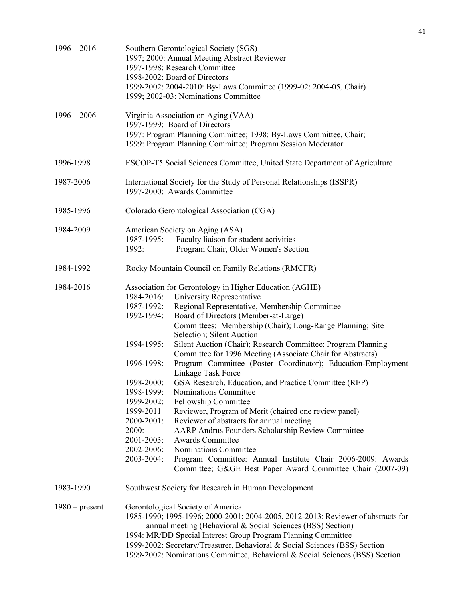| $1996 - 2016$    | Southern Gerontological Society (SGS)<br>1997; 2000: Annual Meeting Abstract Reviewer<br>1997-1998: Research Committee<br>1998-2002: Board of Directors<br>1999-2002: 2004-2010: By-Laws Committee (1999-02; 2004-05, Chair)<br>1999; 2002-03: Nominations Committee                                                                                                                                                                                                                                                                                                                                                                                                                                                                                                                                                                                                                                                                                                                                                                                                                                                                                 |  |  |
|------------------|------------------------------------------------------------------------------------------------------------------------------------------------------------------------------------------------------------------------------------------------------------------------------------------------------------------------------------------------------------------------------------------------------------------------------------------------------------------------------------------------------------------------------------------------------------------------------------------------------------------------------------------------------------------------------------------------------------------------------------------------------------------------------------------------------------------------------------------------------------------------------------------------------------------------------------------------------------------------------------------------------------------------------------------------------------------------------------------------------------------------------------------------------|--|--|
| $1996 - 2006$    | Virginia Association on Aging (VAA)<br>1997-1999: Board of Directors<br>1997: Program Planning Committee; 1998: By-Laws Committee, Chair;<br>1999: Program Planning Committee; Program Session Moderator                                                                                                                                                                                                                                                                                                                                                                                                                                                                                                                                                                                                                                                                                                                                                                                                                                                                                                                                             |  |  |
| 1996-1998        | ESCOP-T5 Social Sciences Committee, United State Department of Agriculture                                                                                                                                                                                                                                                                                                                                                                                                                                                                                                                                                                                                                                                                                                                                                                                                                                                                                                                                                                                                                                                                           |  |  |
| 1987-2006        | International Society for the Study of Personal Relationships (ISSPR)<br>1997-2000: Awards Committee                                                                                                                                                                                                                                                                                                                                                                                                                                                                                                                                                                                                                                                                                                                                                                                                                                                                                                                                                                                                                                                 |  |  |
| 1985-1996        | Colorado Gerontological Association (CGA)                                                                                                                                                                                                                                                                                                                                                                                                                                                                                                                                                                                                                                                                                                                                                                                                                                                                                                                                                                                                                                                                                                            |  |  |
| 1984-2009        | American Society on Aging (ASA)<br>1987-1995:<br>Faculty liaison for student activities<br>Program Chair, Older Women's Section<br>1992:                                                                                                                                                                                                                                                                                                                                                                                                                                                                                                                                                                                                                                                                                                                                                                                                                                                                                                                                                                                                             |  |  |
| 1984-1992        | Rocky Mountain Council on Family Relations (RMCFR)                                                                                                                                                                                                                                                                                                                                                                                                                                                                                                                                                                                                                                                                                                                                                                                                                                                                                                                                                                                                                                                                                                   |  |  |
| 1984-2016        | Association for Gerontology in Higher Education (AGHE)<br>1984-2016:<br>University Representative<br>1987-1992:<br>Regional Representative, Membership Committee<br>1992-1994:<br>Board of Directors (Member-at-Large)<br>Committees: Membership (Chair); Long-Range Planning; Site<br>Selection; Silent Auction<br>Silent Auction (Chair); Research Committee; Program Planning<br>1994-1995:<br>Committee for 1996 Meeting (Associate Chair for Abstracts)<br>Program Committee (Poster Coordinator); Education-Employment<br>1996-1998:<br>Linkage Task Force<br>1998-2000:<br>GSA Research, Education, and Practice Committee (REP)<br>1998-1999:<br>Nominations Committee<br>1999-2002:<br>Fellowship Committee<br>1999-2011<br>Reviewer, Program of Merit (chaired one review panel)<br>Reviewer of abstracts for annual meeting<br>2000-2001:<br>AARP Andrus Founders Scholarship Review Committee<br>2000:<br><b>Awards Committee</b><br>2001-2003:<br>2002-2006:<br><b>Nominations Committee</b><br>2003-2004:<br>Program Committee: Annual Institute Chair 2006-2009: Awards<br>Committee; G&GE Best Paper Award Committee Chair (2007-09) |  |  |
| 1983-1990        | Southwest Society for Research in Human Development                                                                                                                                                                                                                                                                                                                                                                                                                                                                                                                                                                                                                                                                                                                                                                                                                                                                                                                                                                                                                                                                                                  |  |  |
| $1980$ – present | Gerontological Society of America<br>1985-1990; 1995-1996; 2000-2001; 2004-2005, 2012-2013: Reviewer of abstracts for<br>annual meeting (Behavioral & Social Sciences (BSS) Section)<br>1994: MR/DD Special Interest Group Program Planning Committee<br>1999-2002: Secretary/Treasurer, Behavioral & Social Sciences (BSS) Section                                                                                                                                                                                                                                                                                                                                                                                                                                                                                                                                                                                                                                                                                                                                                                                                                  |  |  |

1999-2002: Nominations Committee, Behavioral & Social Sciences (BSS) Section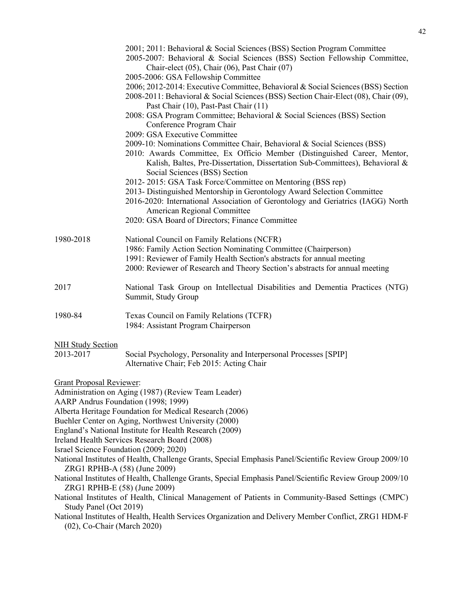- 2001; 2011: Behavioral & Social Sciences (BSS) Section Program Committee
- 2005-2007: Behavioral & Social Sciences (BSS) Section Fellowship Committee, Chair-elect (05), Chair (06), Past Chair (07)
- 2005-2006: GSA Fellowship Committee
- 2006; 2012-2014: Executive Committee, Behavioral & Social Sciences (BSS) Section
- 2008-2011: Behavioral & Social Sciences (BSS) Section Chair-Elect (08), Chair (09), Past Chair (10), Past-Past Chair (11)
- 2008: GSA Program Committee; Behavioral & Social Sciences (BSS) Section Conference Program Chair
- 2009: GSA Executive Committee
- 2009-10: Nominations Committee Chair, Behavioral & Social Sciences (BSS)
- 2010: Awards Committee, Ex Officio Member (Distinguished Career, Mentor, Kalish, Baltes, Pre-Dissertation, Dissertation Sub-Committees), Behavioral & Social Sciences (BSS) Section
- 2012- 2015: GSA Task Force/Committee on Mentoring (BSS rep)
- 2013- Distinguished Mentorship in Gerontology Award Selection Committee
- 2016-2020: International Association of Gerontology and Geriatrics (IAGG) North American Regional Committee
- 2020: GSA Board of Directors; Finance Committee

| 1980-2018 | National Council on Family Relations (NCFR)                                  |
|-----------|------------------------------------------------------------------------------|
|           | 1986: Family Action Section Nominating Committee (Chairperson)               |
|           | 1991: Reviewer of Family Health Section's abstracts for annual meeting       |
|           | 2000: Reviewer of Research and Theory Section's abstracts for annual meeting |
|           |                                                                              |

- 2017 National Task Group on Intellectual Disabilities and Dementia Practices (NTG) Summit, Study Group
- 1980-84 Texas Council on Family Relations (TCFR) 1984: Assistant Program Chairperson

#### NIH Study Section

2013-2017 Social Psychology, Personality and Interpersonal Processes [SPIP] Alternative Chair; Feb 2015: Acting Chair

Grant Proposal Reviewer:

Administration on Aging (1987) (Review Team Leader)

AARP Andrus Foundation (1998; 1999)

Alberta Heritage Foundation for Medical Research (2006)

- Buehler Center on Aging, Northwest University (2000)
- England's National Institute for Health Research (2009)
- Ireland Health Services Research Board (2008)

Israel Science Foundation (2009; 2020)

- National Institutes of Health, Challenge Grants, Special Emphasis Panel/Scientific Review Group 2009/10 ZRG1 RPHB-A (58) (June 2009)
- National Institutes of Health, Challenge Grants, Special Emphasis Panel/Scientific Review Group 2009/10 ZRG1 RPHB-E (58) (June 2009)
- National Institutes of Health, Clinical Management of Patients in Community-Based Settings (CMPC) Study Panel (Oct 2019)
- National Institutes of Health, Health Services Organization and Delivery Member Conflict, ZRG1 HDM-F (02), Co-Chair (March 2020)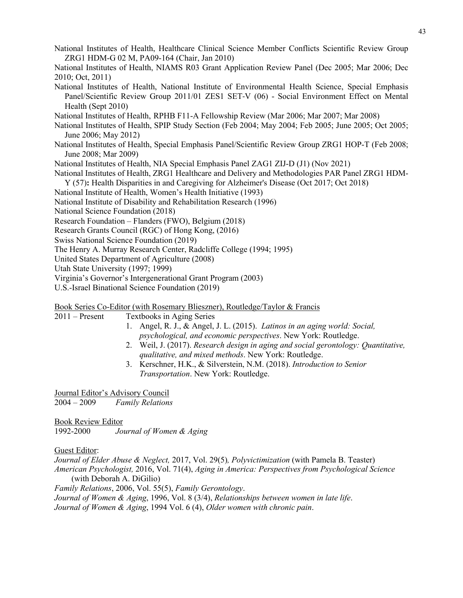- National Institutes of Health, Healthcare Clinical Science Member Conflicts Scientific Review Group ZRG1 HDM-G 02 M, PA09-164 (Chair, Jan 2010)
- National Institutes of Health, NIAMS R03 Grant Application Review Panel (Dec 2005; Mar 2006; Dec 2010; Oct, 2011)
- National Institutes of Health, National Institute of Environmental Health Science, Special Emphasis Panel/Scientific Review Group 2011/01 ZES1 SET‐V (06) - Social Environment Effect on Mental Health (Sept 2010)

National Institutes of Health, RPHB F11-A Fellowship Review (Mar 2006; Mar 2007; Mar 2008)

- National Institutes of Health, SPIP Study Section (Feb 2004; May 2004; Feb 2005; June 2005; Oct 2005; June 2006; May 2012)
- National Institutes of Health, Special Emphasis Panel/Scientific Review Group ZRG1 HOP-T (Feb 2008; June 2008; Mar 2009)

National Institutes of Health, NIA Special Emphasis Panel ZAG1 ZIJ-D (J1) (Nov 2021)

- National Institutes of Health, ZRG1 Healthcare and Delivery and Methodologies PAR Panel ZRG1 HDM-Y (57)**:** Health Disparities in and Caregiving for Alzheimer's Disease (Oct 2017; Oct 2018)
- National Institute of Health, Women's Health Initiative (1993)

National Institute of Disability and Rehabilitation Research (1996)

National Science Foundation (2018)

Research Foundation – Flanders (FWO), Belgium (2018)

Research Grants Council (RGC) of Hong Kong, (2016)

Swiss National Science Foundation (2019)

The Henry A. Murray Research Center, Radcliffe College (1994; 1995)

United States Department of Agriculture (2008)

Utah State University (1997; 1999)

Virginia's Governor's Intergenerational Grant Program (2003)

U.S.-Israel Binational Science Foundation (2019)

### Book Series Co-Editor (with Rosemary Blieszner), Routledge/Taylor & Francis

2011 – Present Textbooks in Aging Series

- 1. Angel, R. J., & Angel, J. L. (2015). *Latinos in an aging world: Social, psychological, and economic perspectives*. New York: Routledge.
- 2. Weil, J. (2017). *Research design in aging and social gerontology: Quantitative, qualitative, and mixed methods*. New York: Routledge.
- 3. Kerschner, H.K., & Silverstein, N.M. (2018). *Introduction to Senior Transportation*. New York: Routledge.

Journal Editor's Advisory Council

2004 – 2009 *Family Relations*

Book Review Editor

1992-2000 *Journal of Women & Aging*

### Guest Editor:

*Journal of Elder Abuse & Neglect,* 2017, Vol. 29(5)*, Polyvictimization* (with Pamela B. Teaster) *American Psychologist,* 2016, Vol. 71(4), *Aging in America: Perspectives from Psychological Science* (with Deborah A. DiGilio)

*Family Relations*, 2006, Vol. 55(5), *Family Gerontology*.

*Journal of Women & Aging*, 1996, Vol. 8 (3/4), *Relationships between women in late life*.

*Journal of Women & Aging*, 1994 Vol. 6 (4), *Older women with chronic pain*.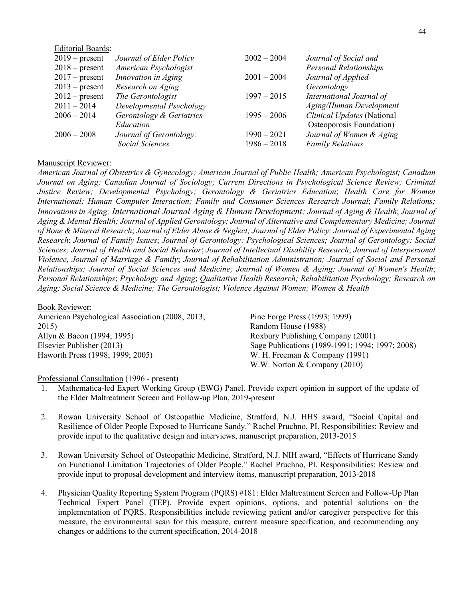| <b>Editorial Boards:</b> |               |                               |
|--------------------------|---------------|-------------------------------|
| Journal of Elder Policy  | $2002 - 2004$ | Journal of Social and         |
| American Psychologist    |               | <b>Personal Relationships</b> |
| Innovation in Aging      | $2001 - 2004$ | Journal of Applied            |
| Research on Aging        |               | Gerontology                   |
| The Gerontologist        | $1997 - 2015$ | International Journal of      |
| Developmental Psychology |               | Aging/Human Development       |
| Gerontology & Geriatrics | $1995 - 2006$ | Clinical Updates (National    |
| Education                |               | Osteoporosis Foundation)      |
| Journal of Gerontology:  | $1990 - 2021$ | Journal of Women & Aging      |
| <b>Social Sciences</b>   | $1986 - 2018$ | <b>Family Relations</b>       |
|                          |               |                               |

### Manuscript Reviewer:

*American Journal of Obstetrics & Gynecology; American Journal of Public Health; American Psychologist; Canadian Journal on Aging; Canadian Journal of Sociology; Current Directions in Psychological Science Review; Criminal Justice Review; Developmental Psychology; Gerontology & Geriatrics Education*; *Health Care for Women International; Human Computer Interaction; Family and Consumer Sciences Research Journal*; *Family Relations; Innovations in Aging; International Journal Aging & Human Development; Journal of Aging & Health*; *Journal of Aging & Mental Health; Journal of Applied Gerontology; Journal of Alternative and Complementary Medicine; Journal of Bone & Mineral Research*; *Journal of Elder Abuse & Neglect; Journal of Elder Policy; Journal of Experimental Aging Research*; *Journal of Family Issues*; *Journal of Gerontology: Psychological Sciences; Journal of Gerontology: Social Sciences; Journal of Health and Social Behavior*; *Journal of Intellectual Disability Research*; *Journal of Interpersonal Violence, Journal of Marriage & Family*; *Journal of Rehabilitation Administration; Journal of Social and Personal Relationships; Journal of Social Sciences and Medicine; Journal of Women & Aging; Journal of Women's Health*; *Personal Relationships*; *Psychology and Aging*; *Qualitative Health Research; Rehabilitation Psychology; Research on Aging; Social Science & Medicine; The Gerontologist; Violence Against Women; Women & Health*

| <b>Book Reviewer:</b>                           |                                                 |
|-------------------------------------------------|-------------------------------------------------|
| American Psychological Association (2008; 2013; | Pine Forge Press (1993; 1999)                   |
| 2015)                                           | Random House (1988)                             |
| Allyn & Bacon (1994; 1995)                      | Roxbury Publishing Company (2001)               |
| Elsevier Publisher (2013)                       | Sage Publications (1989-1991; 1994; 1997; 2008) |
| Haworth Press (1998; 1999; 2005)                | W. H. Freeman & Company (1991)                  |
|                                                 | W.W. Norton & Company $(2010)$                  |

#### Professional Consultation (1996 - present)

- 1. Mathematica-led Expert Working Group (EWG) Panel. Provide expert opinion in support of the update of the Elder Maltreatment Screen and Follow-up Plan, 2019-present
- 2. Rowan University School of Osteopathic Medicine, Stratford, N.J. HHS award, "Social Capital and Resilience of Older People Exposed to Hurricane Sandy." Rachel Pruchno, PI. Responsibilities: Review and provide input to the qualitative design and interviews, manuscript preparation, 2013-2015
- 3. Rowan University School of Osteopathic Medicine, Stratford, N.J. NIH award, "Effects of Hurricane Sandy on Functional Limitation Trajectories of Older People." Rachel Pruchno, PI. Responsibilities: Review and provide input to proposal development and interview items, manuscript preparation, 2013-2018
- 4. Physician Quality Reporting System Program (PQRS) #181: Elder Maltreatment Screen and Follow-Up Plan Technical Expert Panel (TEP). Provide expert opinions, options, and potential solutions on the implementation of PQRS. Responsibilities include reviewing patient and/or caregiver perspective for this measure, the environmental scan for this measure, current measure specification, and recommending any changes or additions to the current specification, 2014-2018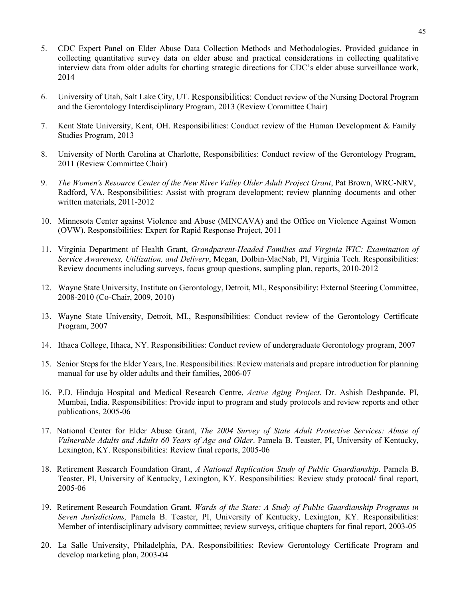- 5. CDC Expert Panel on Elder Abuse Data Collection Methods and Methodologies. Provided guidance in collecting quantitative survey data on elder abuse and practical considerations in collecting qualitative interview data from older adults for charting strategic directions for CDC's elder abuse surveillance work, 2014
- 6. University of Utah, Salt Lake City, UT. Responsibilities: Conduct review of the Nursing Doctoral Program and the Gerontology Interdisciplinary Program, 2013 (Review Committee Chair)
- 7. Kent State University, Kent, OH. Responsibilities: Conduct review of the Human Development & Family Studies Program, 2013
- 8. University of North Carolina at Charlotte, Responsibilities: Conduct review of the Gerontology Program, 2011 (Review Committee Chair)
- 9. *The Women's Resource Center of the New River Valley Older Adult Project Grant*, Pat Brown, WRC-NRV, Radford, VA. Responsibilities: Assist with program development; review planning documents and other written materials, 2011-2012
- 10. Minnesota Center against Violence and Abuse (MINCAVA) and the Office on Violence Against Women (OVW). Responsibilities: Expert for Rapid Response Project, 2011
- 11. Virginia Department of Health Grant, *Grandparent-Headed Families and Virginia WIC: Examination of Service Awareness, Utilization, and Delivery*, Megan, Dolbin-MacNab, PI, Virginia Tech. Responsibilities: Review documents including surveys, focus group questions, sampling plan, reports, 2010-2012
- 12. Wayne State University, Institute on Gerontology, Detroit, MI., Responsibility: External Steering Committee, 2008-2010 (Co-Chair, 2009, 2010)
- 13. Wayne State University, Detroit, MI., Responsibilities: Conduct review of the Gerontology Certificate Program, 2007
- 14. Ithaca College, Ithaca, NY. Responsibilities: Conduct review of undergraduate Gerontology program, 2007
- 15. Senior Steps for the Elder Years, Inc. Responsibilities: Review materials and prepare introduction for planning manual for use by older adults and their families, 2006-07
- 16. P.D. Hinduja Hospital and Medical Research Centre, *Active Aging Project*. Dr. Ashish Deshpande, PI, Mumbai, India. Responsibilities: Provide input to program and study protocols and review reports and other publications, 2005-06
- 17. National Center for Elder Abuse Grant, *The 2004 Survey of State Adult Protective Services: Abuse of Vulnerable Adults and Adults 60 Years of Age and Older*. Pamela B. Teaster, PI, University of Kentucky, Lexington, KY. Responsibilities: Review final reports, 2005-06
- 18. Retirement Research Foundation Grant, *A National Replication Study of Public Guardianship*. Pamela B. Teaster, PI, University of Kentucky, Lexington, KY. Responsibilities: Review study protocal/ final report, 2005-06
- 19. Retirement Research Foundation Grant, *Wards of the State: A Study of Public Guardianship Programs in Seven Jurisdictions,* Pamela B. Teaster, PI, University of Kentucky, Lexington, KY. Responsibilities: Member of interdisciplinary advisory committee; review surveys, critique chapters for final report, 2003-05
- 20. La Salle University, Philadelphia, PA. Responsibilities: Review Gerontology Certificate Program and develop marketing plan, 2003-04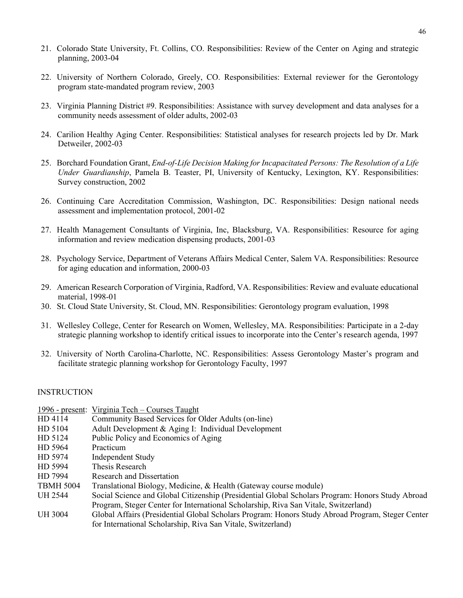- 21. Colorado State University, Ft. Collins, CO. Responsibilities: Review of the Center on Aging and strategic planning, 2003-04
- 22. University of Northern Colorado, Greely, CO. Responsibilities: External reviewer for the Gerontology program state-mandated program review, 2003
- 23. Virginia Planning District #9. Responsibilities: Assistance with survey development and data analyses for a community needs assessment of older adults, 2002-03
- 24. Carilion Healthy Aging Center. Responsibilities: Statistical analyses for research projects led by Dr. Mark Detweiler, 2002-03
- 25. Borchard Foundation Grant, *End-of-Life Decision Making for Incapacitated Persons: The Resolution of a Life Under Guardianship*, Pamela B. Teaster, PI, University of Kentucky, Lexington, KY. Responsibilities: Survey construction, 2002
- 26. Continuing Care Accreditation Commission, Washington, DC. Responsibilities: Design national needs assessment and implementation protocol, 2001-02
- 27. Health Management Consultants of Virginia, Inc, Blacksburg, VA. Responsibilities: Resource for aging information and review medication dispensing products, 2001-03
- 28. Psychology Service, Department of Veterans Affairs Medical Center, Salem VA. Responsibilities: Resource for aging education and information, 2000-03
- 29. American Research Corporation of Virginia, Radford, VA. Responsibilities: Review and evaluate educational material, 1998-01
- 30. St. Cloud State University, St. Cloud, MN. Responsibilities: Gerontology program evaluation, 1998
- 31. Wellesley College, Center for Research on Women, Wellesley, MA. Responsibilities: Participate in a 2-day strategic planning workshop to identify critical issues to incorporate into the Center's research agenda, 1997
- 32. University of North Carolina-Charlotte, NC. Responsibilities: Assess Gerontology Master's program and facilitate strategic planning workshop for Gerontology Faculty, 1997

### **INSTRUCTION**

|                  | 1996 - present: Virginia Tech – Courses Taught                                                   |
|------------------|--------------------------------------------------------------------------------------------------|
| HD 4114          | Community Based Services for Older Adults (on-line)                                              |
| HD 5104          | Adult Development & Aging I: Individual Development                                              |
| HD 5124          | Public Policy and Economics of Aging                                                             |
| HD 5964          | Practicum                                                                                        |
| HD 5974          | Independent Study                                                                                |
| HD 5994          | Thesis Research                                                                                  |
| HD 7994          | Research and Dissertation                                                                        |
| <b>TBMH 5004</b> | Translational Biology, Medicine, & Health (Gateway course module)                                |
| <b>UH 2544</b>   | Social Science and Global Citizenship (Presidential Global Scholars Program: Honors Study Abroad |
|                  | Program, Steger Center for International Scholarship, Riva San Vitale, Switzerland)              |
| <b>UH 3004</b>   | Global Affairs (Presidential Global Scholars Program: Honors Study Abroad Program, Steger Center |
|                  | for International Scholarship, Riva San Vitale, Switzerland)                                     |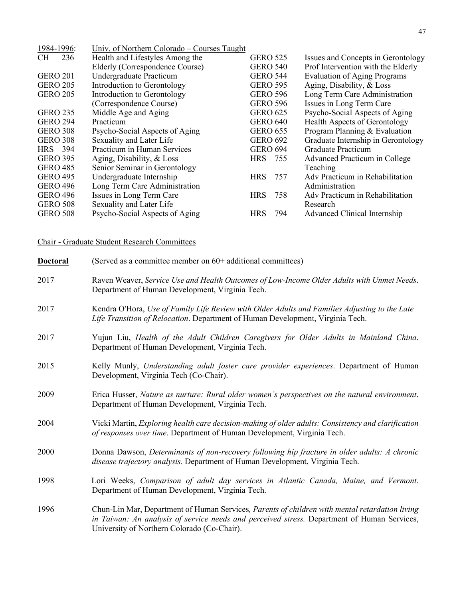| 1984-1996:       | Univ. of Northern Colorado – Courses Taught |                 |     |                                     |
|------------------|---------------------------------------------|-----------------|-----|-------------------------------------|
| 236<br><b>CH</b> | Health and Lifestyles Among the             | <b>GERO 525</b> |     | Issues and Concepts in Gerontology  |
|                  | Elderly (Correspondence Course)             | <b>GERO 540</b> |     | Prof Intervention with the Elderly  |
| <b>GERO 201</b>  | Undergraduate Practicum                     | <b>GERO 544</b> |     | <b>Evaluation of Aging Programs</b> |
| <b>GERO 205</b>  | Introduction to Gerontology                 | <b>GERO 595</b> |     | Aging, Disability, & Loss           |
| <b>GERO 205</b>  | Introduction to Gerontology                 | <b>GERO 596</b> |     | Long Term Care Administration       |
|                  | (Correspondence Course)                     | <b>GERO 596</b> |     | Issues in Long Term Care            |
| <b>GERO 235</b>  | Middle Age and Aging                        | <b>GERO 625</b> |     | Psycho-Social Aspects of Aging      |
| <b>GERO 294</b>  | Practicum                                   | <b>GERO 640</b> |     | Health Aspects of Gerontology       |
| <b>GERO 308</b>  | Psycho-Social Aspects of Aging              | <b>GERO 655</b> |     | Program Planning & Evaluation       |
| <b>GERO 308</b>  | Sexuality and Later Life                    | <b>GERO 692</b> |     | Graduate Internship in Gerontology  |
| HRS 394          | Practicum in Human Services                 | <b>GERO 694</b> |     | <b>Graduate Practicum</b>           |
| <b>GERO 395</b>  | Aging, Disability, & Loss                   | HRS 755         |     | Advanced Practicum in College       |
| <b>GERO 485</b>  | Senior Seminar in Gerontology               |                 |     | Teaching                            |
| <b>GERO 495</b>  | Undergraduate Internship                    | <b>HRS</b>      | 757 | Adv Practicum in Rehabilitation     |
| <b>GERO 496</b>  | Long Term Care Administration               |                 |     | Administration                      |
| <b>GERO 496</b>  | Issues in Long Term Care                    | <b>HRS</b>      | 758 | Adv Practicum in Rehabilitation     |
| <b>GERO 508</b>  | Sexuality and Later Life                    |                 |     | Research                            |
| <b>GERO 508</b>  | Psycho-Social Aspects of Aging              | <b>HRS</b>      | 794 | Advanced Clinical Internship        |
|                  |                                             |                 |     |                                     |

Chair - Graduate Student Research Committees

| <b>Doctoral</b> | (Served as a committee member on 60+ additional committees)                                                                                                                                                                                  |
|-----------------|----------------------------------------------------------------------------------------------------------------------------------------------------------------------------------------------------------------------------------------------|
| 2017            | Raven Weaver, Service Use and Health Outcomes of Low-Income Older Adults with Unmet Needs.<br>Department of Human Development, Virginia Tech.                                                                                                |
| 2017            | Kendra O'Hora, Use of Family Life Review with Older Adults and Families Adjusting to the Late<br>Life Transition of Relocation. Department of Human Development, Virginia Tech.                                                              |
| 2017            | Yujun Liu, Health of the Adult Children Caregivers for Older Adults in Mainland China.<br>Department of Human Development, Virginia Tech.                                                                                                    |
| 2015            | Kelly Munly, Understanding adult foster care provider experiences. Department of Human<br>Development, Virginia Tech (Co-Chair).                                                                                                             |
| 2009            | Erica Husser, Nature as nurture: Rural older women's perspectives on the natural environment.<br>Department of Human Development, Virginia Tech.                                                                                             |
| 2004            | Vicki Martin, Exploring health care decision-making of older adults: Consistency and clarification<br>of responses over time. Department of Human Development, Virginia Tech.                                                                |
| 2000            | Donna Dawson, Determinants of non-recovery following hip fracture in older adults: A chronic<br>disease trajectory analysis. Department of Human Development, Virginia Tech.                                                                 |
| 1998            | Lori Weeks, Comparison of adult day services in Atlantic Canada, Maine, and Vermont.<br>Department of Human Development, Virginia Tech.                                                                                                      |
| 1996            | Chun-Lin Mar, Department of Human Services, Parents of children with mental retardation living<br>in Taiwan: An analysis of service needs and perceived stress. Department of Human Services,<br>University of Northern Colorado (Co-Chair). |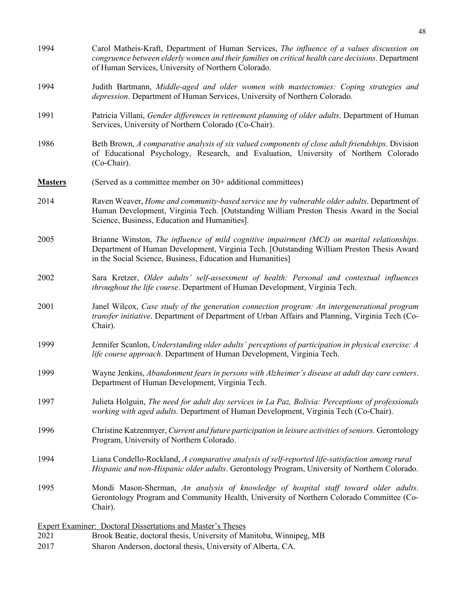| 1994           | Carol Matheis-Kraft, Department of Human Services, The influence of a values discussion on<br>congruence between elderly women and their families on critical health care decisions. Department<br>of Human Services, University of Northern Colorado. |
|----------------|--------------------------------------------------------------------------------------------------------------------------------------------------------------------------------------------------------------------------------------------------------|
| 1994           | Judith Bartmann, Middle-aged and older women with mastectomies: Coping strategies and<br>depression. Department of Human Services, University of Northern Colorado.                                                                                    |
| 1991           | Patricia Villani, Gender differences in retirement planning of older adults. Department of Human<br>Services, University of Northern Colorado (Co-Chair).                                                                                              |
| 1986           | Beth Brown, A comparative analysis of six valued components of close adult friendships. Division<br>of Educational Psychology, Research, and Evaluation, University of Northern Colorado<br>(Co-Chair).                                                |
| <b>Masters</b> | (Served as a committee member on $30+$ additional committees)                                                                                                                                                                                          |
| 2014           | Raven Weaver, Home and community-based service use by vulnerable older adults. Department of<br>Human Development, Virginia Tech. [Outstanding William Preston Thesis Award in the Social<br>Science, Business, Education and Humanities].             |
| 2005           | Brianne Winston, The influence of mild cognitive impairment (MCI) on marital relationships.<br>Department of Human Development, Virginia Tech. [Outstanding William Preston Thesis Award<br>in the Social Science, Business, Education and Humanities] |
| 2002           | Sara Kretzer, Older adults' self-assessment of health: Personal and contextual influences<br>throughout the life course. Department of Human Development, Virginia Tech.                                                                               |
| 2001           | Janel Wilcox, Case study of the generation connection program: An intergenerational program<br>transfer initiative. Department of Department of Urban Affairs and Planning, Virginia Tech (Co-<br>Chair).                                              |
| 1999           | Jennifer Scanlon, Understanding older adults' perceptions of participation in physical exercise: A<br>life course approach. Department of Human Development, Virginia Tech.                                                                            |
| 1999           | Wayne Jenkins, Abandonment fears in persons with Alzheimer's disease at adult day care centers.<br>Department of Human Development, Virginia Tech.                                                                                                     |
| 1997           | Julieta Holguin, The need for adult day services in La Paz, Bolivia: Perceptions of professionals<br>working with aged adults. Department of Human Development, Virginia Tech (Co-Chair).                                                              |
| 1996           | Christine Katzenmyer, Current and future participation in leisure activities of seniors. Gerontology<br>Program, University of Northern Colorado.                                                                                                      |
| 1994           | Liana Condello-Rockland, A comparative analysis of self-reported life-satisfaction among rural<br>Hispanic and non-Hispanic older adults. Gerontology Program, University of Northern Colorado.                                                        |
| 1995           | Mondi Mason-Sherman, An analysis of knowledge of hospital staff toward older adults.<br>Gerontology Program and Community Health, University of Northern Colorado Committee (Co-<br>Chair).                                                            |
|                | <b>Expert Examiner: Doctoral Dissertations and Master's Theses</b>                                                                                                                                                                                     |
| 2021           | Brook Beatie, doctoral thesis, University of Manitoba, Winnipeg, MB                                                                                                                                                                                    |
| 2017           | Sharon Anderson, doctoral thesis, University of Alberta, CA.                                                                                                                                                                                           |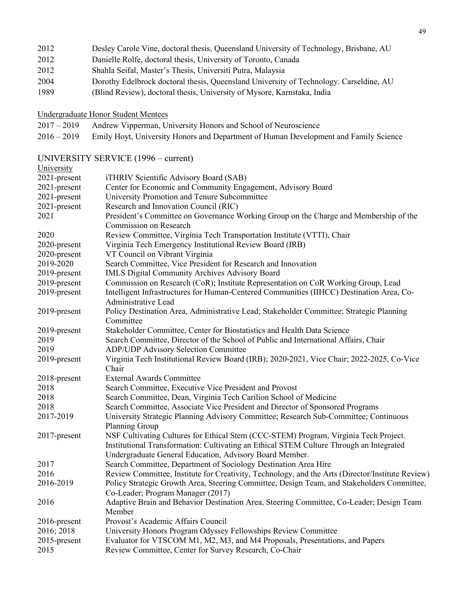| 2012 |  |  | Desley Carole Vine, doctoral thesis, Queensland University of Technology, Brisbane, AU |
|------|--|--|----------------------------------------------------------------------------------------|
|      |  |  |                                                                                        |

- 2012 Danielle Rolfe, doctoral thesis, University of Toronto, Canada
- 2012 Shahla Seifal, Master's Thesis, Universiti Putra, Malaysia
- 2004 Dorothy Edelbrock doctoral thesis, Queensland University of Technology. Carseldine, AU
- 1989 (Blind Review), doctoral thesis, University of Mysore, Karnstaka, India

Undergraduate Honor Student Mentees

- 2017 2019 Andrew Vipperman, University Honors and School of Neuroscience
- 2016 2019 Emily Hoyt, University Honors and Department of Human Development and Family Science

#### UNIVERSITY SERVICE (1996 – current)  $\overline{\text{Univ}}$

| University   |                                                                                                  |
|--------------|--------------------------------------------------------------------------------------------------|
| 2021-present | iTHRIV Scientific Advisory Board (SAB)                                                           |
| 2021-present | Center for Economic and Community Engagement, Advisory Board                                     |
| 2021-present | University Promotion and Tenure Subcommittee                                                     |
| 2021-present | Research and Innovation Council (RIC)                                                            |
| 2021         | President's Committee on Governance Working Group on the Charge and Membership of the            |
|              | Commission on Research                                                                           |
| 2020         | Review Committee, Virginia Tech Transportation Institute (VTTI), Chair                           |
| 2020-present | Virginia Tech Emergency Institutional Review Board (IRB)                                         |
| 2020-present | VT Council on Vibrant Virginia                                                                   |
| 2019-2020    | Search Committee, Vice President for Research and Innovation                                     |
| 2019-present | IMLS Digital Community Archives Advisory Board                                                   |
| 2019-present | Commission on Research (CoR); Institute Representation on CoR Working Group, Lead                |
| 2019-present | Intelligent Infrastructures for Human-Centered Communities (IIHCC) Destination Area, Co-         |
|              | Administrative Lead                                                                              |
| 2019-present | Policy Destination Area, Administrative Lead; Stakeholder Committee; Strategic Planning          |
|              | Committee                                                                                        |
| 2019-present | Stakeholder Committee, Center for Biostatistics and Health Data Science                          |
| 2019         | Search Committee, Director of the School of Public and International Affairs, Chair              |
| 2019         | <b>ADP/UDP Advisory Selection Committee</b>                                                      |
| 2019-present | Virginia Tech Institutional Review Board (IRB); 2020-2021, Vice Chair; 2022-2025, Co-Vice        |
|              | Chair                                                                                            |
| 2018-present | <b>External Awards Committee</b>                                                                 |
| 2018         | Search Committee, Executive Vice President and Provost                                           |
| 2018         | Search Committee, Dean, Virginia Tech Carilion School of Medicine                                |
| 2018         | Search Committee, Associate Vice President and Director of Sponsored Programs                    |
| 2017-2019    | University Strategic Planning Advisory Committee; Research Sub-Committee; Continuous             |
|              | Planning Group                                                                                   |
| 2017-present | NSF Cultivating Cultures for Ethical Stem (CCC-STEM) Program, Virginia Tech Project.             |
|              | Institutional Transformation: Cultivating an Ethical STEM Culture Through an Integrated          |
|              | Undergraduate General Education, Advisory Board Member.                                          |
| 2017         | Search Committee, Department of Sociology Destination Area Hire                                  |
| 2016         | Review Committee, Institute for Creativity, Technology, and the Arts (Director/Institute Review) |
| 2016-2019    | Policy Strategic Growth Area, Steering Committee, Design Team, and Stakeholders Committee,       |
|              | Co-Leader; Program Manager (2017)                                                                |
| 2016         | Adaptive Brain and Behavior Destination Area, Steering Committee, Co-Leader; Design Team         |
|              | Member                                                                                           |
| 2016-present | Provost's Academic Affairs Council                                                               |
| 2016; 2018   | University Honors Program Odyssey Fellowships Review Committee                                   |
| 2015-present | Evaluator for VTSCOM M1, M2, M3, and M4 Proposals, Presentations, and Papers                     |
| 2015         | Review Committee, Center for Survey Research, Co-Chair                                           |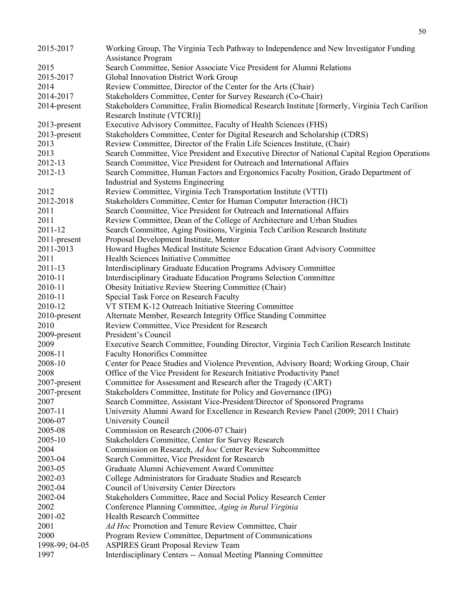| 2015-2017          | Working Group, The Virginia Tech Pathway to Independence and New Investigator Funding                                     |
|--------------------|---------------------------------------------------------------------------------------------------------------------------|
|                    | <b>Assistance Program</b>                                                                                                 |
| 2015               | Search Committee, Senior Associate Vice President for Alumni Relations                                                    |
| 2015-2017          | Global Innovation District Work Group                                                                                     |
| 2014               | Review Committee, Director of the Center for the Arts (Chair)                                                             |
| 2014-2017          | Stakeholders Committee, Center for Survey Research (Co-Chair)                                                             |
| 2014-present       | Stakeholders Committee, Fralin Biomedical Research Institute [formerly, Virginia Tech Carilion                            |
|                    | Research Institute (VTCRI)]                                                                                               |
| 2013-present       | Executive Advisory Committee, Faculty of Health Sciences (FHS)                                                            |
| 2013-present       | Stakeholders Committee, Center for Digital Research and Scholarship (CDRS)                                                |
| 2013               | Review Committee, Director of the Fralin Life Sciences Institute, (Chair)                                                 |
| 2013               | Search Committee, Vice President and Executive Director of National Capital Region Operations                             |
| 2012-13            | Search Committee, Vice President for Outreach and International Affairs                                                   |
| 2012-13            | Search Committee, Human Factors and Ergonomics Faculty Position, Grado Department of                                      |
|                    | Industrial and Systems Engineering                                                                                        |
| 2012               | Review Committee, Virginia Tech Transportation Institute (VTTI)                                                           |
| 2012-2018          | Stakeholders Committee, Center for Human Computer Interaction (HCI)                                                       |
| 2011               | Search Committee, Vice President for Outreach and International Affairs                                                   |
| 2011               | Review Committee, Dean of the College of Architecture and Urban Studies                                                   |
| 2011-12            | Search Committee, Aging Positions, Virginia Tech Carilion Research Institute                                              |
| 2011-present       | Proposal Development Institute, Mentor                                                                                    |
| 2011-2013          | Howard Hughes Medical Institute Science Education Grant Advisory Committee                                                |
| 2011               | Health Sciences Initiative Committee                                                                                      |
| 2011-13            | Interdisciplinary Graduate Education Programs Advisory Committee                                                          |
| 2010-11<br>2010-11 | Interdisciplinary Graduate Education Programs Selection Committee<br>Obesity Initiative Review Steering Committee (Chair) |
| 2010-11            | Special Task Force on Research Faculty                                                                                    |
| 2010-12            | VT STEM K-12 Outreach Initiative Steering Committee                                                                       |
| 2010-present       | Alternate Member, Research Integrity Office Standing Committee                                                            |
| 2010               | Review Committee, Vice President for Research                                                                             |
| 2009-present       | President's Council                                                                                                       |
| 2009               | Executive Search Committee, Founding Director, Virginia Tech Carilion Research Institute                                  |
| 2008-11            | <b>Faculty Honorifics Committee</b>                                                                                       |
| 2008-10            | Center for Peace Studies and Violence Prevention, Advisory Board; Working Group, Chair                                    |
| 2008               | Office of the Vice President for Research Initiative Productivity Panel                                                   |
| 2007-present       | Committee for Assessment and Research after the Tragedy (CART)                                                            |
| 2007-present       | Stakeholders Committee, Institute for Policy and Governance (IPG)                                                         |
| 2007               | Search Committee, Assistant Vice-President/Director of Sponsored Programs                                                 |
| 2007-11            | University Alumni Award for Excellence in Research Review Panel (2009; 2011 Chair)                                        |
| 2006-07            | University Council                                                                                                        |
| 2005-08            | Commission on Research (2006-07 Chair)                                                                                    |
| 2005-10            | Stakeholders Committee, Center for Survey Research                                                                        |
| 2004               | Commission on Research, Ad hoc Center Review Subcommittee                                                                 |
| 2003-04            | Search Committee, Vice President for Research                                                                             |
| 2003-05            | Graduate Alumni Achievement Award Committee                                                                               |
| 2002-03            | College Administrators for Graduate Studies and Research                                                                  |
| 2002-04            | Council of University Center Directors                                                                                    |
| 2002-04            | Stakeholders Committee, Race and Social Policy Research Center                                                            |
| 2002               | Conference Planning Committee, Aging in Rural Virginia                                                                    |
| 2001-02            | Health Research Committee                                                                                                 |
| 2001               | Ad Hoc Promotion and Tenure Review Committee, Chair                                                                       |
| 2000               | Program Review Committee, Department of Communications                                                                    |
| 1998-99; 04-05     | <b>ASPIRES Grant Proposal Review Team</b>                                                                                 |
| 1997               | Interdisciplinary Centers -- Annual Meeting Planning Committee                                                            |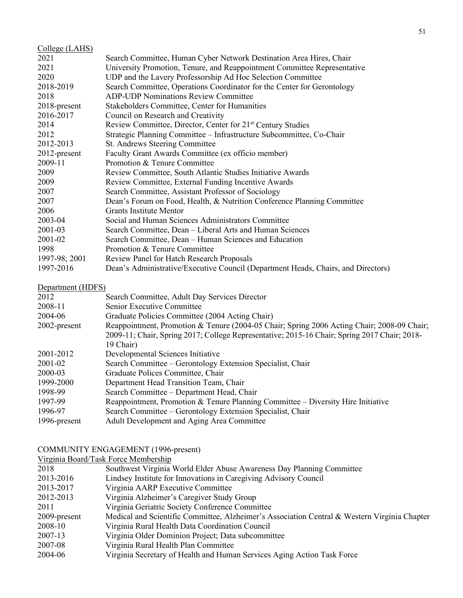| College (LAHS)  |                                                                                   |
|-----------------|-----------------------------------------------------------------------------------|
| 2021            | Search Committee, Human Cyber Network Destination Area Hires, Chair               |
| 2021            | University Promotion, Tenure, and Reappointment Committee Representative          |
| 2020            | UDP and the Lavery Professorship Ad Hoc Selection Committee                       |
| 2018-2019       | Search Committee, Operations Coordinator for the Center for Gerontology           |
| 2018            | <b>ADP-UDP Nominations Review Committee</b>                                       |
| 2018-present    | <b>Stakeholders Committee, Center for Humanities</b>                              |
| 2016-2017       | Council on Research and Creativity                                                |
| 2014            | Review Committee, Director, Center for 21 <sup>st</sup> Century Studies           |
| 2012            | Strategic Planning Committee - Infrastructure Subcommittee, Co-Chair              |
| 2012-2013       | St. Andrews Steering Committee                                                    |
| $2012$ -present | Faculty Grant Awards Committee (ex officio member)                                |
| 2009-11         | Promotion & Tenure Committee                                                      |
| 2009            | Review Committee, South Atlantic Studies Initiative Awards                        |
| 2009            | Review Committee, External Funding Incentive Awards                               |
| 2007            | Search Committee, Assistant Professor of Sociology                                |
| 2007            | Dean's Forum on Food, Health, & Nutrition Conference Planning Committee           |
| 2006            | <b>Grants Institute Mentor</b>                                                    |
| 2003-04         | Social and Human Sciences Administrators Committee                                |
| 2001-03         | Search Committee, Dean – Liberal Arts and Human Sciences                          |
| 2001-02         | Search Committee, Dean – Human Sciences and Education                             |
| 1998            | Promotion & Tenure Committee                                                      |
| 1997-98; 2001   | Review Panel for Hatch Research Proposals                                         |
| 1997-2016       | Dean's Administrative/Executive Council (Department Heads, Chairs, and Directors) |
|                 |                                                                                   |

# Department (HDFS)

| $D$ $\bullet$ $P$ and $n$ and $n$ in $D$ in $D$ |                                                                                              |
|-------------------------------------------------|----------------------------------------------------------------------------------------------|
| 2012                                            | Search Committee, Adult Day Services Director                                                |
| 2008-11                                         | Senior Executive Committee                                                                   |
| 2004-06                                         | Graduate Policies Committee (2004 Acting Chair)                                              |
| $2002$ -present                                 | Reappointment, Promotion & Tenure (2004-05 Chair; Spring 2006 Acting Chair; 2008-09 Chair;   |
|                                                 | 2009-11; Chair, Spring 2017; College Representative; 2015-16 Chair; Spring 2017 Chair; 2018- |
|                                                 | 19 Chair)                                                                                    |
| 2001-2012                                       | Developmental Sciences Initiative                                                            |
| 2001-02                                         | Search Committee - Gerontology Extension Specialist, Chair                                   |
| 2000-03                                         | Graduate Polices Committee, Chair                                                            |
| 1999-2000                                       | Department Head Transition Team, Chair                                                       |
| 1998-99                                         | Search Committee - Department Head, Chair                                                    |
| 1997-99                                         | Reappointment, Promotion & Tenure Planning Committee $-$ Diversity Hire Initiative           |
| 1996-97                                         | Search Committee – Gerontology Extension Specialist, Chair                                   |
| 1996-present                                    | Adult Development and Aging Area Committee                                                   |
|                                                 |                                                                                              |

#### COMMUNITY ENGAGEMENT (1996-present)

Virginia Board/Task Force Membership

| 2018         | Southwest Virginia World Elder Abuse Awareness Day Planning Committee                        |
|--------------|----------------------------------------------------------------------------------------------|
| 2013-2016    | Lindsey Institute for Innovations in Caregiving Advisory Council                             |
| 2013-2017    | Virginia AARP Executive Committee                                                            |
| 2012-2013    | Virginia Alzheimer's Caregiver Study Group                                                   |
| 2011         | Virginia Geriatric Society Conference Committee                                              |
| 2009-present | Medical and Scientific Committee, Alzheimer's Association Central & Western Virginia Chapter |
| 2008-10      | Virginia Rural Health Data Coordination Council                                              |
| 2007-13      | Virginia Older Dominion Project; Data subcommittee                                           |
| 2007-08      | Virginia Rural Health Plan Committee                                                         |
| 2004-06      | Virginia Secretary of Health and Human Services Aging Action Task Force                      |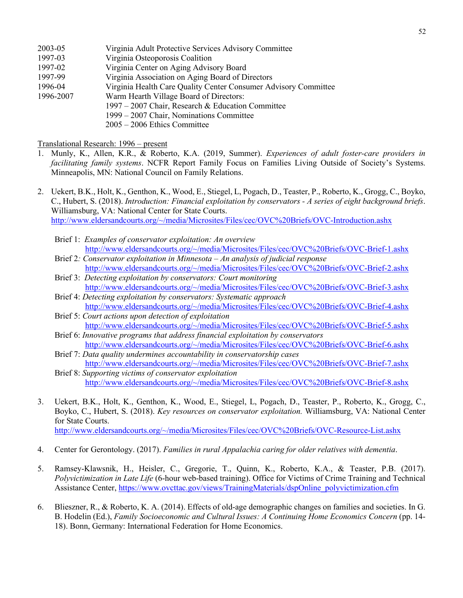| 2003-05   | Virginia Adult Protective Services Advisory Committee           |
|-----------|-----------------------------------------------------------------|
| 1997-03   | Virginia Osteoporosis Coalition                                 |
| 1997-02   | Virginia Center on Aging Advisory Board                         |
| 1997-99   | Virginia Association on Aging Board of Directors                |
| 1996-04   | Virginia Health Care Quality Center Consumer Advisory Committee |
| 1996-2007 | Warm Hearth Village Board of Directors:                         |
|           | 1997 – 2007 Chair, Research & Education Committee               |
|           | 1999 – 2007 Chair, Nominations Committee                        |
|           | $2005 - 2006$ Ethics Committee                                  |
|           |                                                                 |

Translational Research: 1996 – present

- 1. Munly, K., Allen, K.R., & Roberto, K.A. (2019, Summer). *Experiences of adult foster-care providers in facilitating family systems*. NCFR Report Family Focus on Families Living Outside of Society's Systems. Minneapolis, MN: National Council on Family Relations.
- 2. Uekert, B.K., Holt, K., Genthon, K., Wood, E., Stiegel, L, Pogach, D., Teaster, P., Roberto, K., Grogg, C., Boyko, C., Hubert, S. (2018). *Introduction: Financial exploitation by conservators - A series of eight background briefs*. Williamsburg, VA: National Center for State Courts. [http://www.eldersandcourts.org/~/media/Microsites/Files/cec/OVC%20Briefs/OVC-Introduction.ashx](http://www.eldersandcourts.org/%7E/media/Microsites/Files/cec/OVC%20Briefs/OVC-Introduction.ashx)
	- Brief 1: *Examples of conservator exploitation: An overview* [http://www.eldersandcourts.org/~/media/Microsites/Files/cec/OVC%20Briefs/OVC-Brief-1.ashx](http://www.eldersandcourts.org/%7E/media/Microsites/Files/cec/OVC%20Briefs/OVC-Brief-1.ashx)
	- Brief 2*: Conservator exploitation in Minnesota – An analysis of judicial response* [http://www.eldersandcourts.org/~/media/Microsites/Files/cec/OVC%20Briefs/OVC-Brief-2.ashx](http://www.eldersandcourts.org/%7E/media/Microsites/Files/cec/OVC%20Briefs/OVC-Brief-2.ashx)
	- Brief 3: *Detecting exploitation by conservators: Court monitoring*  [http://www.eldersandcourts.org/~/media/Microsites/Files/cec/OVC%20Briefs/OVC-Brief-3.ashx](http://www.eldersandcourts.org/%7E/media/Microsites/Files/cec/OVC%20Briefs/OVC-Brief-3.ashx)
	- Brief 4: *Detecting exploitation by conservators: Systematic approach*  [http://www.eldersandcourts.org/~/media/Microsites/Files/cec/OVC%20Briefs/OVC-Brief-4.ashx](http://www.eldersandcourts.org/%7E/media/Microsites/Files/cec/OVC%20Briefs/OVC-Brief-4.ashx)
	- Brief 5: *Court actions upon detection of exploitation* [http://www.eldersandcourts.org/~/media/Microsites/Files/cec/OVC%20Briefs/OVC-Brief-5.ashx](http://www.eldersandcourts.org/%7E/media/Microsites/Files/cec/OVC%20Briefs/OVC-Brief-5.ashx)
	- Brief 6: *Innovative programs that address financial exploitation by conservators*  [http://www.eldersandcourts.org/~/media/Microsites/Files/cec/OVC%20Briefs/OVC-Brief-6.ashx](http://www.eldersandcourts.org/%7E/media/Microsites/Files/cec/OVC%20Briefs/OVC-Brief-6.ashx)
	- Brief 7: *Data quality undermines accountability in conservatorship cases* [http://www.eldersandcourts.org/~/media/Microsites/Files/cec/OVC%20Briefs/OVC-Brief-7.ashx](http://www.eldersandcourts.org/%7E/media/Microsites/Files/cec/OVC%20Briefs/OVC-Brief-7.ashx)
	- Brief 8: *Supporting victims of conservator exploitation*  [http://www.eldersandcourts.org/~/media/Microsites/Files/cec/OVC%20Briefs/OVC-Brief-8.ashx](http://www.eldersandcourts.org/%7E/media/Microsites/Files/cec/OVC%20Briefs/OVC-Brief-8.ashx)
- 3. Uekert, B.K., Holt, K., Genthon, K., Wood, E., Stiegel, L, Pogach, D., Teaster, P., Roberto, K., Grogg, C., Boyko, C., Hubert, S. (2018). *Key resources on conservator exploitation.* Williamsburg, VA: National Center for State Courts. [http://www.eldersandcourts.org/~/media/Microsites/Files/cec/OVC%20Briefs/OVC-Resource-List.ashx](http://www.eldersandcourts.org/%7E/media/Microsites/Files/cec/OVC%20Briefs/OVC-Resource-List.ashx)
	-
- 4. Center for Gerontology. (2017). *Families in rural Appalachia caring for older relatives with dementia*.
- 5. Ramsey-Klawsnik, H., Heisler, C., Gregorie, T., Quinn, K., Roberto, K.A., & Teaster, P.B. (2017). *Polyvictimization in Late Life* (6-hour web-based training). Office for Victims of Crime Training and Technical Assistance Center, [https://www.ovcttac.gov/views/TrainingMaterials/dspOnline\\_polyvictimization.cfm](https://www.ovcttac.gov/views/TrainingMaterials/dspOnline_polyvictimization.cfm)
- 6. Blieszner, R., & Roberto, K. A. (2014). Effects of old-age demographic changes on families and societies. In G. B. Hodelin (Ed.), *Family Socioeconomic and Cultural Issues: A Continuing Home Economics Concern* (pp. 14- 18). Bonn, Germany: International Federation for Home Economics.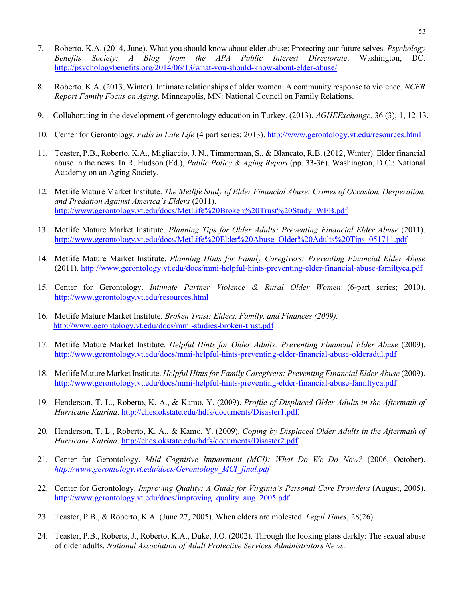- 7. Roberto, K.A. (2014, June). What you should know about elder abuse: Protecting our future selves. *Psychology Benefits Society: A Blog from the APA Public Interest Directorate*. Washington, DC. <http://psychologybenefits.org/2014/06/13/what-you-should-know-about-elder-abuse/>
- 8. Roberto, K.A. (2013, Winter). Intimate relationships of older women: A community response to violence. *NCFR Report Family Focus on Aging*. Minneapolis, MN: National Council on Family Relations.
- 9. Collaborating in the development of gerontology education in Turkey. (2013). *AGHEExchange,* 36 (3), 1, 12-13.
- 10. Center for Gerontology. *Falls in Late Life* (4 part series; 2013).<http://www.gerontology.vt.edu/resources.html>
- 11. Teaster, P.B., Roberto, K.A., Migliaccio, J. N., Timmerman, S., & Blancato, R.B. (2012, Winter). Elder financial abuse in the news. In R. Hudson (Ed.), *Public Policy & Aging Report* (pp. 33-36). Washington, D.C.: National Academy on an Aging Society.
- 12. Metlife Mature Market Institute. *The Metlife Study of Elder Financial Abuse: Crimes of Occasion, Desperation, and Predation Against America's Elders* (2011). [http://www.gerontology.vt.edu/docs/MetLife%20Broken%20Trust%20Study\\_WEB.pdf](http://www.gerontology.vt.edu/docs/MetLife%20Broken%20Trust%20Study_WEB.pdf)
- 13. Metlife Mature Market Institute. *Planning Tips for Older Adults: Preventing Financial Elder Abuse* (2011). [http://www.gerontology.vt.edu/docs/MetLife%20Elder%20Abuse\\_Older%20Adults%20Tips\\_051711.pdf](http://www.gerontology.vt.edu/docs/MetLife%20Elder%20Abuse_Older%20Adults%20Tips_051711.pdf)
- 14. Metlife Mature Market Institute. *Planning Hints for Family Caregivers: Preventing Financial Elder Abuse* (2011).<http://www.gerontology.vt.edu/docs/mmi-helpful-hints-preventing-elder-financial-abuse-familtyca.pdf>
- 15. Center for Gerontology. *Intimate Partner Violence & Rural Older Women* (6-part series; 2010). <http://www.gerontology.vt.edu/resources.html>
- 16. Metlife Mature Market Institute. *Broken Trust: Elders, Family, and Finances (2009).* <http://www.gerontology.vt.edu/docs/mmi-studies-broken-trust.pdf>
- 17. Metlife Mature Market Institute. *Helpful Hints for Older Adults: Preventing Financial Elder Abuse* (2009). <http://www.gerontology.vt.edu/docs/mmi-helpful-hints-preventing-elder-financial-abuse-olderadul.pdf>
- 18. Metlife Mature Market Institute. *Helpful Hints for Family Caregivers: Preventing Financial Elder Abuse* (2009). <http://www.gerontology.vt.edu/docs/mmi-helpful-hints-preventing-elder-financial-abuse-familtyca.pdf>
- 19. Henderson, T. L., Roberto, K. A., & Kamo, Y. (2009). *Profile of Displaced Older Adults in the Aftermath of Hurricane Katrina*. [http://ches.okstate.edu/hdfs/documents/Disaster1.pdf.](http://ches.okstate.edu/hdfs/documents/Disaster1.pdf)
- 20. Henderson, T. L., Roberto, K. A., & Kamo, Y. (2009). *Coping by Displaced Older Adults in the Aftermath of Hurricane Katrina*. [http://ches.okstate.edu/hdfs/documents/Disaster2.pdf.](http://ches.okstate.edu/hdfs/documents/Disaster2.pdf)
- 21. Center for Gerontology. *Mild Cognitive Impairment (MCI): What Do We Do Now?* (2006, October). *[http://www.gerontology.vt.edu/docs/Gerontology\\_MCI\\_final.pdf](http://www.gerontology.vt.edu/docs/Gerontology_MCI_final.pdf)*
- 22. Center for Gerontology. *Improving Quality: A Guide for Virginia's Personal Care Providers* (August, 2005). [http://www.gerontology.vt.edu/docs/improving\\_quality\\_aug\\_2005.pdf](http://www.gerontology.vt.edu/docs/improving_quality_aug_2005.pdf)
- 23. Teaster, P.B., & Roberto, K.A. (June 27, 2005). When elders are molested. *Legal Times*, 28(26).
- 24. Teaster, P.B., Roberts, J., Roberto, K.A., Duke, J.O. (2002). Through the looking glass darkly: The sexual abuse of older adults. *National Association of Adult Protective Services Administrators News.*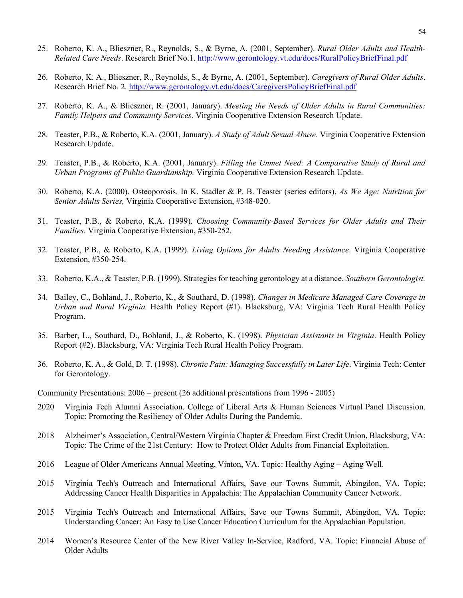- 25. Roberto, K. A., Blieszner, R., Reynolds, S., & Byrne, A. (2001, September). *Rural Older Adults and Health-Related Care Needs*. Research Brief No.1.<http://www.gerontology.vt.edu/docs/RuralPolicyBriefFinal.pdf>
- 26. Roberto, K. A., Blieszner, R., Reynolds, S., & Byrne, A. (2001, September). *Caregivers of Rural Older Adults*. Research Brief No. 2*.* <http://www.gerontology.vt.edu/docs/CaregiversPolicyBriefFinal.pdf>
- 27. Roberto, K. A., & Blieszner, R. (2001, January). *Meeting the Needs of Older Adults in Rural Communities: Family Helpers and Community Services*. Virginia Cooperative Extension Research Update.
- 28. Teaster, P.B., & Roberto, K.A. (2001, January). *A Study of Adult Sexual Abuse.* Virginia Cooperative Extension Research Update.
- 29. Teaster, P.B., & Roberto, K.A. (2001, January). *Filling the Unmet Need: A Comparative Study of Rural and Urban Programs of Public Guardianship.* Virginia Cooperative Extension Research Update.
- 30. Roberto, K.A. (2000). Osteoporosis. In K. Stadler & P. B. Teaster (series editors), *As We Age: Nutrition for Senior Adults Series,* Virginia Cooperative Extension, #348-020.
- 31. Teaster, P.B., & Roberto, K.A. (1999). *Choosing Community-Based Services for Older Adults and Their Families*. Virginia Cooperative Extension, #350-252.
- 32. Teaster, P.B., & Roberto, K.A. (1999). *Living Options for Adults Needing Assistance*. Virginia Cooperative Extension, #350-254.
- 33. Roberto, K.A., & Teaster, P.B. (1999). Strategies for teaching gerontology at a distance. *Southern Gerontologist.*
- 34. Bailey, C., Bohland, J., Roberto, K., & Southard, D. (1998). *Changes in Medicare Managed Care Coverage in Urban and Rural Virginia.* Health Policy Report (#1). Blacksburg, VA: Virginia Tech Rural Health Policy Program.
- 35. Barber, L., Southard, D., Bohland, J., & Roberto, K. (1998). *Physician Assistants in Virginia*. Health Policy Report (#2). Blacksburg, VA: Virginia Tech Rural Health Policy Program.
- 36. Roberto, K. A., & Gold, D. T. (1998). *Chronic Pain: Managing Successfully in Later Life*. Virginia Tech: Center for Gerontology.

Community Presentations: 2006 – present (26 additional presentations from 1996 - 2005)

- 2020 Virginia Tech Alumni Association. College of Liberal Arts & Human Sciences Virtual Panel Discussion. Topic: Promoting the Resiliency of Older Adults During the Pandemic.
- 2018 Alzheimer's Association, Central/Western Virginia Chapter & Freedom First Credit Union, Blacksburg, VA: Topic: The Crime of the 21st Century: How to Protect Older Adults from Financial Exploitation.
- 2016 League of Older Americans Annual Meeting, Vinton, VA. Topic: Healthy Aging Aging Well.
- 2015 Virginia Tech's Outreach and International Affairs, Save our Towns Summit, Abingdon, VA. Topic: Addressing Cancer Health Disparities in Appalachia: The Appalachian Community Cancer Network.
- 2015 Virginia Tech's Outreach and International Affairs, Save our Towns Summit, Abingdon, VA. Topic: Understanding Cancer: An Easy to Use Cancer Education Curriculum for the Appalachian Population.
- 2014 Women's Resource Center of the New River Valley In-Service, Radford, VA. Topic: Financial Abuse of Older Adults